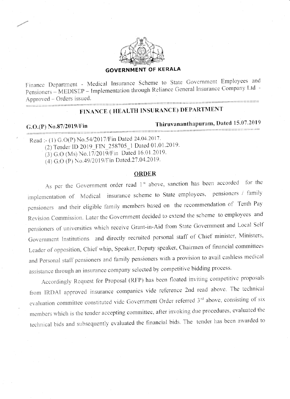

## **GOVERNMENT OF KERALA**

Finance Department - Medical Insurance Scheme to State Government Employees and Pensioners - MEDISEP - Implementation through Reliance General Insurance Company Ltd -Approved – Orders issued.

# FINANCE (HEALTH INSURANCE) DEPARTMENT

## G.O.(P) No.87/2019/Fin

# Thiruvananthapuram, Dated 15.07.2019

Read :- (1) G.O(P) No.54/2017/Fin Dated 24.04.2017.

(2) Tender ID 2019\_FIN\_258705\_1 Dated 01.01.2019.

(3) G.O (Ms) No.17/2019/Fin Dated 16.01.2019.

(4) G.O (P) No.49/2019/Fin Dated.27.04.2019.

## **ORDER**

As per the Government order read 1<sup>st</sup> above, sanction has been accorded for the implementation of Medical insurance scheme to State employees, pensioners / family pensioners and their eligible family members based on the recommendation of Tenth Pay Revision Commission. Later the Government decided to extend the scheme to employees and pensioners of universities which receive Grant-in-Aid from State Government and Local Self Government Institutions and directly recruited personal staff of Chief minister, Ministers, Leader of opposition, Chief whip, Speaker, Deputy speaker, Chairmen of financial committees and Personal staff pensioners and family pensioners with a provision to avail cashless medical assistance through an insurance company selected by competitive bidding process.

Accordingly Request for Proposal (RFP) has been floated inviting competitive proposals from IRDAI approved insurance companies vide reference 2nd read above. The technical evaluation committee constituted vide Government Order referred 3<sup>rd</sup> above, consisting of six members which is the tender accepting committee, after invoking due procedures, evaluated the technical bids and subsequently evaluated the financial bids. The tender has been awarded to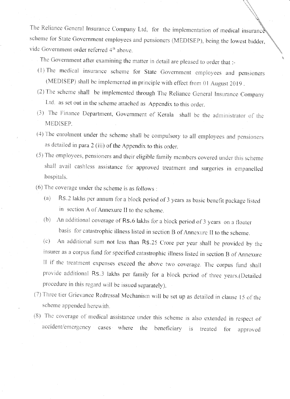The Reliance General Insurance Company Ltd, for the implementation of medical insurance scheme for State Government employees and pensioners (MEDISEP), being the lowest bidder, vide Government order referred 4<sup>th</sup> above.

The Government after examining the matter in detail are pleased to order that :-

- (1) The medical insurance scheme for State Government employees and pensioners (MEDISEP) shall be implemented in principle with effect from 01 August 2019.
- (2) The scheme shall be implemented through The Reliance General Insurance Company Ltd. as set out in the scheme attached as Appendix to this order.
- (3) The Finance Department, Government of Kerala shall be the administrator of the MEDISEP.
- (4) The enrolment under the scheme shall be compulsory to all employees and pensioners as detailed in para 2 (iii) of the Appendix to this order.
- (5) The employees, pensioners and their eligible family members covered under this scheme shall avail cashless assistance for approved treatment and surgeries in empanelled hospitals.
- (6) The coverage under the scheme is as follows :
	- Rs.2 lakhs per annum for a block period of 3 years as basic benefit package listed  $(a)$ in section A of Annexure II to the scheme.
	- An additional coverage of Rs.6 lakhs for a block period of 3 years on a floater  $(b)$ basis for catastrophic illness listed in section B of Annexure II to the scheme.

An additional sum not less than Rs.25 Crore per year shall be provided by the  $(c)$ insurer as a corpus fund for specified catastrophic illness listed in section B of Annexure II if the treatment expenses exceed the above two coverage. The corpus fund shall provide additional Rs.3 lakhs per family for a block period of three years.(Detailed procedure in this regard will be issued separately).

- (7) Three tier Grievance Redressal Mechanism will be set up as detailed in clause 15 of the scheme appended herewith.
- (8) The coverage of medical assistance under this scheme is also extended in respect of accident/emergency cases where the beneficiary  $is$ treated for approved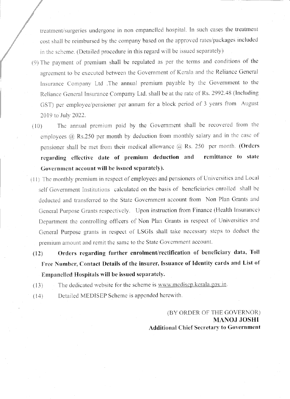treatment/surgeries undergone in non empanelled hospital. In such cases the treatment cost shall be reimbursed by the company based on the approved rates/packages included in the scheme. (Detailed procedure in this regard will be issued separately)

- (9) The payment of premium shall be regulated as per the terms and conditions of the agreement to be executed between the Government of Kerala and the Reliance General Insurance Company Ltd .The annual premium payable by the Government to the Reliance General Insurance Compamy Ltd. shall be at the rate of Rs. 2992.48 (Including GST) per employee/pensioner per annum for a block period of 3 years from August 2019 to July 2022.
- The annual premium paid by the Government shall be recovered from the  $(10)$ employees @ Rs.250 per month by deduction from monthly salary and in the case of pensioner shall be met from their medical allowance  $@$  Rs. 250 per month. (Orders regarding effective date of premium deduction and remittance to state Government account will be issued separately).
- (11) The monthly premium in respect of employees and pensioners of Universities and Local self Government Institutions calculated on the basis of beneficiaries enrolled shall be deducted and transferred to the State Government account from Non Plan Grants and General Purpose Grants respectively. Upon instruction from Finance (Health Insurance) Department the controlling officers of Non Plan Grants in respect of Universities and General Purpose grants in respect of LSGIs shall take necessary steps to deduct the premium amount and remit the same to the State Government account.
- Orders regarding further enrolment/rectification of beneficiary data, Toll  $(12)$ Free Number, Contact Details of the insurer, Issuance of Identity cards and List of Empanelled Hospitals will be issued separately.
- The dedicated website for the scheme is www.medisep.kerala.gov.in.  $(13)$
- Detailed MEDISEP Scheme is appended herewith.  $(14)$

(BY ORDER OF THE GOVERNOR) MANOJ JOSHI **Additional Chief Secretary to Government**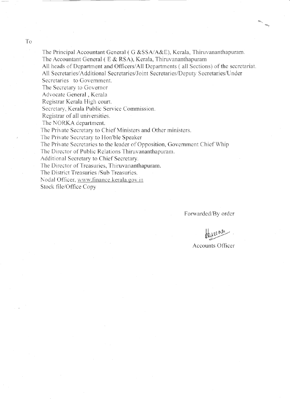**To** 

The Principal Accountant General (G & SSA/A&E), Kerala, Thiruvananthapuram. The Accountant General (E & RSA), Kerala, Thiruvananthapuram

All heads of Department and Officers/All Departments (all Sections) of the secretariat. All Secretaries/Additional Secretaries/Joint Secretaries/Deputy Secretaries/Under

Secretaries to Government.

The Secretary to Governor

Advocate General, Kerala

Registrar Kerala High court.

Secretary, Kerala Public Service Commission.

Registrar of all universities.

The NORKA department.

The Private Secretary to Chief Ministers and Other ministers.

The Private Secretary to Hon'ble Speaker

The Private Secretaries to the leader of Opposition, Government Chief Whip

The Director of Public Relations Thiruvananthapuram.

Additional Secretary to Chief Secretary.

The Director of Treasuries, Thiruvananthapuram.

The District Treasuries /Sub Treasuries.

Nodal Officer, www.finance.kerala.gov.in

Stock file/Office Copy

Forwarded/By order

Accounts Officer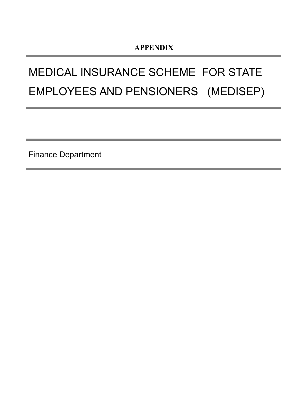# MEDICAL INSURANCE SCHEME FOR STATE EMPLOYEES AND PENSIONERS (MEDISEP)

Finance Department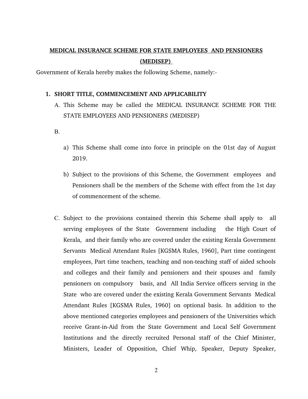# **MEDICAL INSURANCE SCHEME FOR STATE EMPLOYEES AND PENSIONERS (MEDISEP)**

Government of Kerala hereby makes the following Scheme, namely:

## **1. SHORT TITLE, COMMENCEMENT AND APPLICABILITY**

- A. This Scheme may be called the MEDICAL INSURANCE SCHEME FOR THE STATE EMPLOYEES AND PENSIONERS (MEDISEP)
- B.
- a) This Scheme shall come into force in principle on the 01st day of August 2019.
- b) Subject to the provisions of this Scheme, the Government employees and Pensioners shall be the members of the Scheme with effect from the 1st day of commencement of the scheme.
- C. Subject to the provisions contained therein this Scheme shall apply to all serving employees of the State Government including the High Court of Kerala, and their family who are covered under the existing Kerala Government Servants Medical Attendant Rules [KGSMA Rules, 1960], Part time contingent employees, Part time teachers, teaching and non-teaching staff of aided schools and colleges and their family and pensioners and their spouses and family pensioners on compulsory basis, and All India Service officers serving in the State who are covered under the existing Kerala Government Servants Medical Attendant Rules [KGSMA Rules, 1960] on optional basis. In addition to the above mentioned categories employees and pensioners of the Universities which receive Grant-in-Aid from the State Government and Local Self Government Institutions and the directly recruited Personal staff of the Chief Minister, Ministers, Leader of Opposition, Chief Whip, Speaker, Deputy Speaker,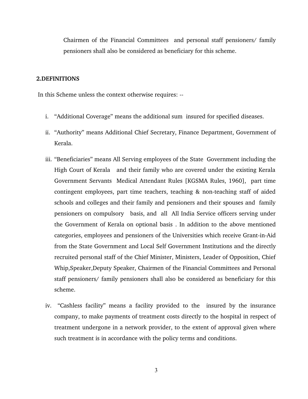Chairmen of the Financial Committees and personal staff pensioners/ family pensioners shall also be considered as beneficiary for this scheme.

#### **2.DEFINITIONS**

In this Scheme unless the context otherwise requires:

- i. "Additional Coverage" means the additional sum insured for specified diseases.
- ii. "Authority" means Additional Chief Secretary, Finance Department, Government of Kerala.
- iii. "Beneficiaries" means All Serving employees of the State Government including the High Court of Kerala and their family who are covered under the existing Kerala Government Servants Medical Attendant Rules [KGSMA Rules, 1960], part time contingent employees, part time teachers, teaching & non-teaching staff of aided schools and colleges and their family and pensioners and their spouses and family pensioners on compulsory basis, and all All India Service officers serving under the Government of Kerala on optional basis . In addition to the above mentioned categories, employees and pensioners of the Universities which receive Grant-in-Aid from the State Government and Local Self Government Institutions and the directly recruited personal staff of the Chief Minister, Ministers, Leader of Opposition, Chief Whip,Speaker,Deputy Speaker, Chairmen of the Financial Committees and Personal staff pensioners/ family pensioners shall also be considered as beneficiary for this scheme.
- iv. "Cashless facility" means a facility provided to the insured by the insurance company, to make payments of treatment costs directly to the hospital in respect of treatment undergone in a network provider, to the extent of approval given where such treatment is in accordance with the policy terms and conditions.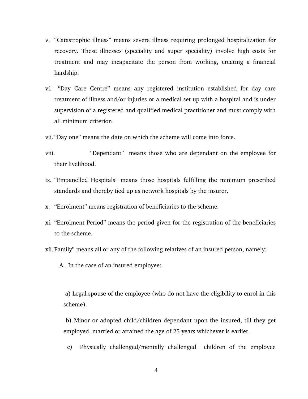- v. "Catastrophic illness" means severe illness requiring prolonged hospitalization for recovery. These illnesses (speciality and super speciality) involve high costs for treatment and may incapacitate the person from working, creating a financial hardship.
- vi. "Day Care Centre" means any registered institution established for day care treatment of illness and/or injuries or a medical set up with a hospital and is under supervision of a registered and qualified medical practitioner and must comply with all minimum criterion.
- vii. "Day one" means the date on which the scheme will come into force.
- viii. "Dependant" means those who are dependant on the employee for their livelihood.
- ix. "Empanelled Hospitals" means those hospitals fulfilling the minimum prescribed standards and thereby tied up as network hospitals by the insurer.
- x. "Enrolment" means registration of beneficiaries to the scheme.
- xi. "Enrolment Period" means the period given for the registration of the beneficiaries to the scheme.
- xii. Family" means all or any of the following relatives of an insured person, namely:

## A. In the case of an insured employee:

 a) Legal spouse of the employee (who do not have the eligibility to enrol in this scheme).

 b) Minor or adopted child/children dependant upon the insured, till they get employed, married or attained the age of 25 years whichever is earlier.

c) Physically challenged/mentally challenged children of the employee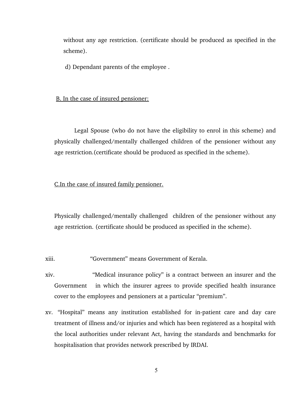without any age restriction. (certificate should be produced as specified in the scheme).

d) Dependant parents of the employee .

#### B. In the case of insured pensioner:

 Legal Spouse (who do not have the eligibility to enrol in this scheme) and physically challenged/mentally challenged children of the pensioner without any age restriction.(certificate should be produced as specified in the scheme).

## C.In the case of insured family pensioner.

Physically challenged/mentally challenged children of the pensioner without any age restriction. (certificate should be produced as specified in the scheme).

xiii. "Government" means Government of Kerala.

- xiv. "Medical insurance policy" is a contract between an insurer and the Government in which the insurer agrees to provide specified health insurance cover to the employees and pensioners at a particular "premium".
- xv. "Hospital" means any institution established for in-patient care and day care treatment of illness and/or injuries and which has been registered as a hospital with the local authorities under relevant Act, having the standards and benchmarks for hospitalisation that provides network prescribed by IRDAI.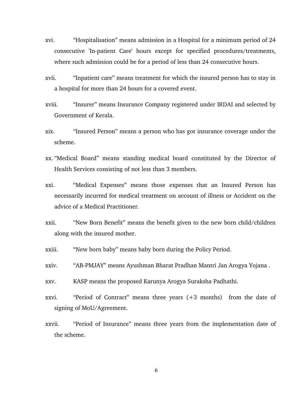- xvi. "Hospitalisation" means admission in a Hospital for a minimum period of 24 consecutive 'In-patient Care' hours except for specified procedures/treatments, where such admission could be for a period of less than 24 consecutive hours.
- xvii. "Inpatient care" means treatment for which the insured person has to stay in a hospital for more than 24 hours for a covered event.
- xviii. "Insurer" means Insurance Company registered under IRDAI and selected by Government of Kerala.
- xix. "Insured Person" means a person who has got insurance coverage under the scheme.
- xx. "Medical Board" means standing medical board constituted by the Director of Health Services consisting of not less than 3 members.
- xxi. "Medical Expenses" means those expenses that an Insured Person has necessarily incurred for medical treatment on account of illness or Accident on the advice of a Medical Practitioner.
- xxii. "New Born Benefit" means the benefit given to the new born child/children along with the insured mother.
- xxiii. "New born baby" means baby born during the Policy Period.
- xxiv. "AB-PMJAY" means Ayushman Bharat Pradhan Mantri Jan Arogya Yojana.
- xxv. KASP means the proposed Karunya Arogya Suraksha Padhathi.
- xxvi. "Period of Contract" means three years (+3 months) from the date of signing of MoU/Agreement.
- xxvii. "Period of Insurance" means three years from the implementation date of the scheme.

6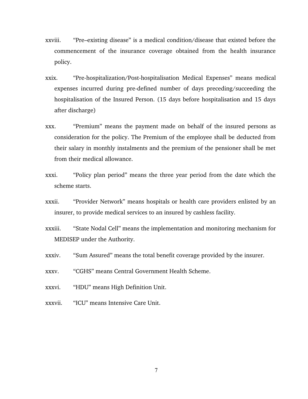- xxviii. "Pre–existing disease" is a medical condition/disease that existed before the commencement of the insurance coverage obtained from the health insurance policy.
- xxix. "Pre-hospitalization/Post-hospitalisation Medical Expenses" means medical expenses incurred during pre-defined number of days preceding/succeeding the hospitalisation of the Insured Person. (15 days before hospitalisation and 15 days after discharge)
- xxx. "Premium" means the payment made on behalf of the insured persons as consideration for the policy. The Premium of the employee shall be deducted from their salary in monthly instalments and the premium of the pensioner shall be met from their medical allowance.
- xxxi. "Policy plan period" means the three year period from the date which the scheme starts.
- xxxii. "Provider Network" means hospitals or health care providers enlisted by an insurer, to provide medical services to an insured by cashless facility.
- xxxiii. "State Nodal Cell" means the implementation and monitoring mechanism for MEDISEP under the Authority.
- xxxiv. "Sum Assured" means the total benefit coverage provided by the insurer.
- xxxv. "CGHS" means Central Government Health Scheme.
- xxxvi. "HDU" means High Definition Unit.
- xxxvii. "ICU" means Intensive Care Unit.

7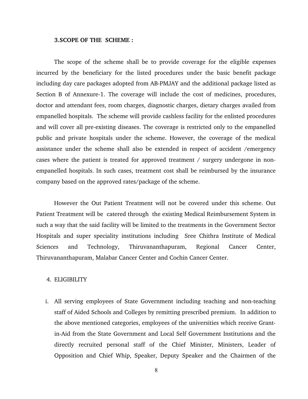#### **3.SCOPE OF THE SCHEME :**

The scope of the scheme shall be to provide coverage for the eligible expenses incurred by the beneficiary for the listed procedures under the basic benefit package including day care packages adopted from AB-PMJAY and the additional package listed as Section B of Annexure-1. The coverage will include the cost of medicines, procedures, doctor and attendant fees, room charges, diagnostic charges, dietary charges availed from empanelled hospitals. The scheme will provide cashless facility for the enlisted procedures and will cover all pre-existing diseases. The coverage is restricted only to the empanelled public and private hospitals under the scheme. However, the coverage of the medical assistance under the scheme shall also be extended in respect of accident /emergency cases where the patient is treated for approved treatment / surgery undergone in nonempanelled hospitals. In such cases, treatment cost shall be reimbursed by the insurance company based on the approved rates/package of the scheme.

However the Out Patient Treatment will not be covered under this scheme. Out Patient Treatment will be catered through the existing Medical Reimbursement System in such a way that the said facility will be limited to the treatments in the Government Sector Hospitals and super speciality institutions including Sree Chithra Institute of Medical Sciences and Technology, Thiruvananthapuram, Regional Cancer Center, Thiruvananthapuram, Malabar Cancer Center and Cochin Cancer Center.

#### 4. ELIGIBILITY

i. All serving employees of State Government including teaching and non-teaching staff of Aided Schools and Colleges by remitting prescribed premium. In addition to the above mentioned categories, employees of the universities which receive Grantin-Aid from the State Government and Local Self Government Institutions and the directly recruited personal staff of the Chief Minister, Ministers, Leader of Opposition and Chief Whip, Speaker, Deputy Speaker and the Chairmen of the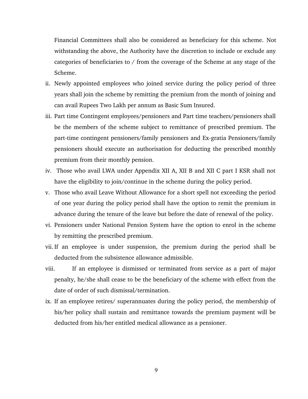Financial Committees shall also be considered as beneficiary for this scheme. Not withstanding the above, the Authority have the discretion to include or exclude any categories of beneficiaries to / from the coverage of the Scheme at any stage of the Scheme.

- ii. Newly appointed employees who joined service during the policy period of three years shall join the scheme by remitting the premium from the month of joining and can avail Rupees Two Lakh per annum as Basic Sum Insured.
- iii. Part time Contingent employees/pensioners and Part time teachers/pensioners shall be the members of the scheme subject to remittance of prescribed premium. The part-time contingent pensioners/family pensioners and Ex-gratia Pensioners/family pensioners should execute an authorisation for deducting the prescribed monthly premium from their monthly pension.
- iv. Those who avail LWA under Appendix XII A, XII B and XII C part I KSR shall not have the eligibility to join/continue in the scheme during the policy period.
- v. Those who avail Leave Without Allowance for a short spell not exceeding the period of one year during the policy period shall have the option to remit the premium in advance during the tenure of the leave but before the date of renewal of the policy.
- vi. Pensioners under National Pension System have the option to enrol in the scheme by remitting the prescribed premium.
- vii. If an employee is under suspension, the premium during the period shall be deducted from the subsistence allowance admissible.
- viii. If an employee is dismissed or terminated from service as a part of major penalty, he/she shall cease to be the beneficiary of the scheme with effect from the date of order of such dismissal/termination.
- ix. If an employee retires/ superannuates during the policy period, the membership of his/her policy shall sustain and remittance towards the premium payment will be deducted from his/her entitled medical allowance as a pensioner.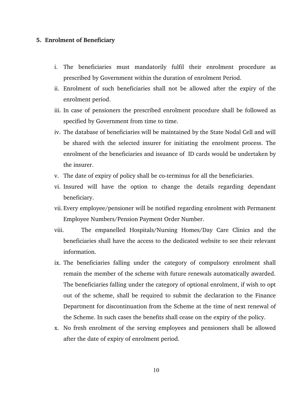#### **5. Enrolment of Beneficiary**

- i. The beneficiaries must mandatorily fulfil their enrolment procedure as prescribed by Government within the duration of enrolment Period.
- ii. Enrolment of such beneficiaries shall not be allowed after the expiry of the enrolment period.
- iii. In case of pensioners the prescribed enrolment procedure shall be followed as specified by Government from time to time.
- iv. The database of beneficiaries will be maintained by the State Nodal Cell and will be shared with the selected insurer for initiating the enrolment process. The enrolment of the beneficiaries and issuance of ID cards would be undertaken by the insurer.
- v. The date of expiry of policy shall be co-terminus for all the beneficiaries.
- vi. Insured will have the option to change the details regarding dependant beneficiary.
- vii. Every employee/pensioner will be notified regarding enrolment with Permanent Employee Numbers/Pension Payment Order Number.
- viii. The empanelled Hospitals/Nursing Homes/Day Care Clinics and the beneficiaries shall have the access to the dedicated website to see their relevant information.
- ix. The beneficiaries falling under the category of compulsory enrolment shall remain the member of the scheme with future renewals automatically awarded. The beneficiaries falling under the category of optional enrolment, if wish to opt out of the scheme, shall be required to submit the declaration to the Finance Department for discontinuation from the Scheme at the time of next renewal of the Scheme. In such cases the benefits shall cease on the expiry of the policy.
- x. No fresh enrolment of the serving employees and pensioners shall be allowed after the date of expiry of enrolment period.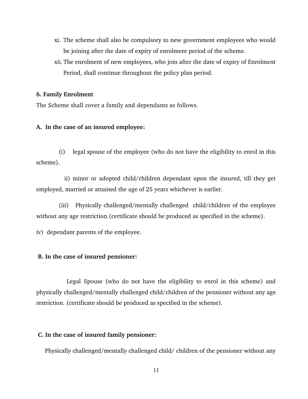- xi. The scheme shall also be compulsory to new government employees who would be joining after the date of expiry of enrolment period of the scheme.
- xii. The enrolment of new employees, who join after the date of expiry of Enrolment Period, shall continue throughout the policy plan period.

## **6. Family Enrolment**

The Scheme shall cover a family and dependants as follows.

#### **A. In the case of an insured employee:**

 (i) legal spouse of the employee (who do not have the eligibility to enrol in this scheme).

 ii) minor or adopted child/children dependant upon the insured, till they get employed, married or attained the age of 25 years whichever is earlier.

 (iii) Physically challenged/mentally challenged child/children of the employee without any age restriction.(certificate should be produced as specified in the scheme).

iv) dependant parents of the employee.

#### **B. In the case of insured pensioner:**

 Legal Spouse (who do not have the eligibility to enrol in this scheme) and physically challenged/mentally challenged child/children of the pensioner without any age restriction. (certificate should be produced as specified in the scheme).

## **C. In the case of insured family pensioner:**

Physically challenged/mentally challenged child/ children of the pensioner without any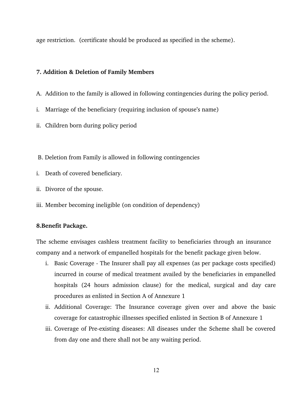age restriction. (certificate should be produced as specified in the scheme).

## **7. Addition & Deletion of Family Members**

- A. Addition to the family is allowed in following contingencies during the policy period.
- i. Marriage of the beneficiary (requiring inclusion of spouse's name)
- ii. Children born during policy period
- B. Deletion from Family is allowed in following contingencies
- i. Death of covered beneficiary.
- ii. Divorce of the spouse.
- iii. Member becoming ineligible (on condition of dependency)

## **8.Benefit Package.**

The scheme envisages cashless treatment facility to beneficiaries through an insurance company and a network of empanelled hospitals for the benefit package given below.

- i. Basic Coverage The Insurer shall pay all expenses (as per package costs specified) incurred in course of medical treatment availed by the beneficiaries in empanelled hospitals (24 hours admission clause) for the medical, surgical and day care procedures as enlisted in Section A of Annexure 1
- ii. Additional Coverage: The Insurance coverage given over and above the basic coverage for catastrophic illnesses specified enlisted in Section B of Annexure 1
- iii. Coverage of Pre-existing diseases: All diseases under the Scheme shall be covered from day one and there shall not be any waiting period.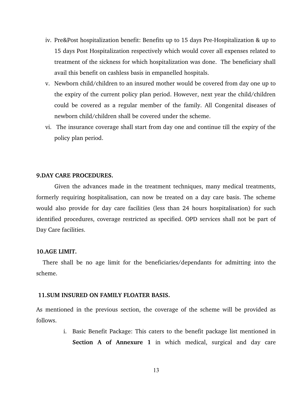- iv. Pre&Post hospitalization benefit: Benefits up to 15 days Pre-Hospitalization & up to 15 days Post Hospitalization respectively which would cover all expenses related to treatment of the sickness for which hospitalization was done. The beneficiary shall avail this benefit on cashless basis in empanelled hospitals.
- v. Newborn child/children to an insured mother would be covered from day one up to the expiry of the current policy plan period. However, next year the child/children could be covered as a regular member of the family. All Congenital diseases of newborn child/children shall be covered under the scheme.
- vi. The insurance coverage shall start from day one and continue till the expiry of the policy plan period.

## **9.DAY CARE PROCEDURES.**

Given the advances made in the treatment techniques, many medical treatments, formerly requiring hospitalisation, can now be treated on a day care basis. The scheme would also provide for day care facilities (less than 24 hours hospitalisation) for such identified procedures, coverage restricted as specified. OPD services shall not be part of Day Care facilities.

#### **10.AGE LIMIT.**

There shall be no age limit for the beneficiaries/dependants for admitting into the scheme.

#### **11.SUM INSURED ON FAMILY FLOATER BASIS.**

As mentioned in the previous section, the coverage of the scheme will be provided as follows.

> i. Basic Benefit Package: This caters to the benefit package list mentioned in **Section A of Annexure 1** in which medical, surgical and day care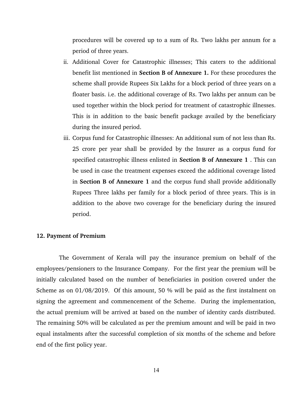procedures will be covered up to a sum of Rs. Two lakhs per annum for a period of three years.

- ii. Additional Cover for Catastrophic illnesses; This caters to the additional benefit list mentioned in **Section B of Annexure 1.** For these procedures the scheme shall provide Rupees Six Lakhs for a block period of three years on a floater basis. i.e. the additional coverage of Rs. Two lakhs per annum can be used together within the block period for treatment of catastrophic illnesses. This is in addition to the basic benefit package availed by the beneficiary during the insured period.
- iii. Corpus fund for Catastrophic illnesses: An additional sum of not less than Rs. 25 crore per year shall be provided by the Insurer as a corpus fund for specified catastrophic illness enlisted in **Section B of Annexure 1** . This can be used in case the treatment expenses exceed the additional coverage listed in **Section B of Annexure 1** and the corpus fund shall provide additionally Rupees Three lakhs per family for a block period of three years. This is in addition to the above two coverage for the beneficiary during the insured period.

#### **12. Payment of Premium**

 The Government of Kerala will pay the insurance premium on behalf of the employees/pensioners to the Insurance Company. For the first year the premium will be initially calculated based on the number of beneficiaries in position covered under the Scheme as on 01/08/2019. Of this amount, 50 % will be paid as the first instalment on signing the agreement and commencement of the Scheme. During the implementation, the actual premium will be arrived at based on the number of identity cards distributed. The remaining 50% will be calculated as per the premium amount and will be paid in two equal instalments after the successful completion of six months of the scheme and before end of the first policy year.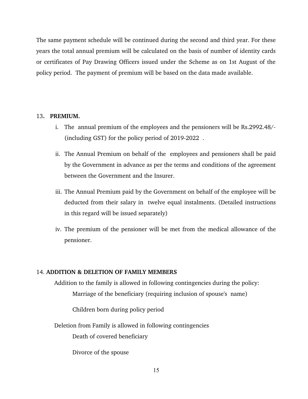The same payment schedule will be continued during the second and third year. For these years the total annual premium will be calculated on the basis of number of identity cards or certificates of Pay Drawing Officers issued under the Scheme as on 1st August of the policy period. The payment of premium will be based on the data made available.

## 13**. PREMIUM.**

- i. The annual premium of the employees and the pensioners will be Rs.2992.48/  $(including GST)$  for the policy period of 2019-2022.
- ii. The Annual Premium on behalf of the employees and pensioners shall be paid by the Government in advance as per the terms and conditions of the agreement between the Government and the Insurer.
- iii. The Annual Premium paid by the Government on behalf of the employee will be deducted from their salary in twelve equal instalments. (Detailed instructions in this regard will be issued separately)
- iv. The premium of the pensioner will be met from the medical allowance of the pensioner.

## 14. **ADDITION & DELETION OF FAMILY MEMBERS**

Addition to the family is allowed in following contingencies during the policy: Marriage of the beneficiary (requiring inclusion of spouse's name)

Children born during policy period

Deletion from Family is allowed in following contingencies

Death of covered beneficiary

Divorce of the spouse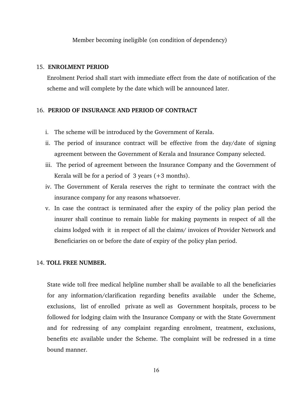Member becoming ineligible (on condition of dependency)

## 15. **ENROLMENT PERIOD**

Enrolment Period shall start with immediate effect from the date of notification of the scheme and will complete by the date which will be announced later.

## 16. **PERIOD OF INSURANCE AND PERIOD OF CONTRACT**

- i. The scheme will be introduced by the Government of Kerala.
- ii. The period of insurance contract will be effective from the day/date of signing agreement between the Government of Kerala and Insurance Company selected.
- iii. The period of agreement between the Insurance Company and the Government of Kerala will be for a period of  $3$  years  $(+3$  months).
- iv. The Government of Kerala reserves the right to terminate the contract with the insurance company for any reasons whatsoever.
- v. In case the contract is terminated after the expiry of the policy plan period the insurer shall continue to remain liable for making payments in respect of all the claims lodged with it in respect of all the claims/ invoices of Provider Network and Beneficiaries on or before the date of expiry of the policy plan period.

## 14. **TOLL FREE NUMBER.**

State wide toll free medical helpline number shall be available to all the beneficiaries for any information/clarification regarding benefits available under the Scheme, exclusions, list of enrolled private as well as Government hospitals, process to be followed for lodging claim with the Insurance Company or with the State Government and for redressing of any complaint regarding enrolment, treatment, exclusions, benefits etc available under the Scheme. The complaint will be redressed in a time bound manner.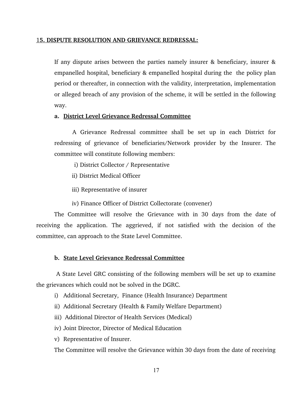#### 1**5. DISPUTE RESOLUTION AND GRIEVANCE REDRESSAL:**

If any dispute arises between the parties namely insurer & beneficiary, insurer & empanelled hospital, beneficiary & empanelled hospital during the the policy plan period or thereafter, in connection with the validity, interpretation, implementation or alleged breach of any provision of the scheme, it will be settled in the following way.

## **a. District Level Grievance Redressal Committee**

A Grievance Redressal committee shall be set up in each District for redressing of grievance of beneficiaries/Network provider by the Insurer. The committee will constitute following members:

- i) District Collector / Representative
- ii) District Medical Officer
- iii) Representative of insurer
- iv) Finance Officer of District Collectorate (convener)

The Committee will resolve the Grievance with in 30 days from the date of receiving the application. The aggrieved, if not satisfied with the decision of the committee, can approach to the State Level Committee.

## **b. State Level Grievance Redressal Committee**

 A State Level GRC consisting of the following members will be set up to examine the grievances which could not be solved in the DGRC.

- i) Additional Secretary, Finance (Health Insurance) Department
- ii) Additional Secretary (Health & Family Welfare Department)
- iii) Additional Director of Health Services (Medical)
- iv) Joint Director, Director of Medical Education
- v) Representative of Insurer.

The Committee will resolve the Grievance within 30 days from the date of receiving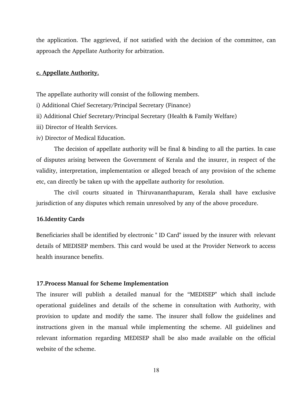the application. The aggrieved, if not satisfied with the decision of the committee, can approach the Appellate Authority for arbitration.

## **c. Appellate Authority.**

The appellate authority will consist of the following members.

i) Additional Chief Secretary/Principal Secretary (Finance)

ii) Additional Chief Secretary/Principal Secretary (Health & Family Welfare)

iii) Director of Health Services.

iv) Director of Medical Education.

The decision of appellate authority will be final & binding to all the parties. In case of disputes arising between the Government of Kerala and the insurer, in respect of the validity, interpretation, implementation or alleged breach of any provision of the scheme etc, can directly be taken up with the appellate authority for resolution.

The civil courts situated in Thiruvananthapuram, Kerala shall have exclusive jurisdiction of any disputes which remain unresolved by any of the above procedure.

## **16.Identity Cards**

Beneficiaries shall be identified by electronic " ID Card" issued by the insurer with relevant details of MEDISEP members. This card would be used at the Provider Network to access health insurance benefits.

#### **17.Process Manual for Scheme Implementation**

The insurer will publish a detailed manual for the "MEDISEP" which shall include operational guidelines and details of the scheme in consultation with Authority, with provision to update and modify the same. The insurer shall follow the guidelines and instructions given in the manual while implementing the scheme. All guidelines and relevant information regarding MEDISEP shall be also made available on the official website of the scheme.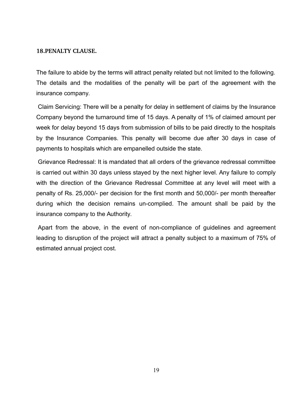## **18.PENALTY CLAUSE.**

The failure to abide by the terms will attract penalty related but not limited to the following. The details and the modalities of the penalty will be part of the agreement with the insurance company.

Claim Servicing: There will be a penalty for delay in settlement of claims by the Insurance Company beyond the turnaround time of 15 days. A penalty of 1% of claimed amount per week for delay beyond 15 days from submission of bills to be paid directly to the hospitals by the Insurance Companies. This penalty will become due after 30 days in case of payments to hospitals which are empanelled outside the state.

Grievance Redressal: It is mandated that all orders of the grievance redressal committee is carried out within 30 days unless stayed by the next higher level. Any failure to comply with the direction of the Grievance Redressal Committee at any level will meet with a penalty of Rs. 25,000/- per decision for the first month and 50,000/- per month thereafter during which the decision remains un-complied. The amount shall be paid by the insurance company to the Authority.

Apart from the above, in the event of non-compliance of guidelines and agreement leading to disruption of the project will attract a penalty subject to a maximum of 75% of estimated annual project cost.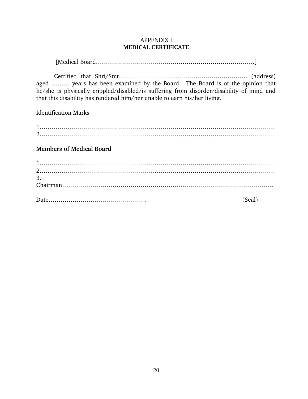## APPENDIX I **MEDICAL CERTIFICATE**

[Medical Board…………………………………………………………………………]

Certified that Shri/Smt………………………………………………………. (address) aged ……… years has been examined by the Board. The Board is of the opinion that he/she is physically crippled/disabled/is suffering from disorder/disability of mind and that this disability has rendered him/her unable to earn his/her living.

Identification Marks

1……………………………………………………………………………………………………… 2………………………………………………………………………………………………………

**Members of Medical Board**

| 3. |        |
|----|--------|
|    |        |
|    | (Seal) |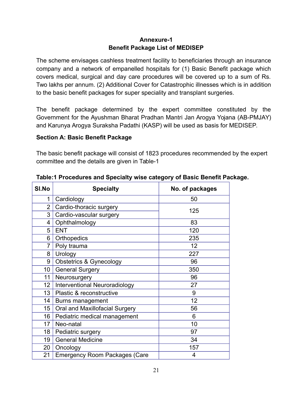## **Annexure-1 Benefit Package List of MEDISEP**

The scheme envisages cashless treatment facility to beneficiaries through an insurance company and a network of empanelled hospitals for (1) Basic Benefit package which covers medical, surgical and day care procedures will be covered up to a sum of Rs. Two lakhs per annum. (2) Additional Cover for Catastrophic illnesses which is in addition to the basic benefit packages for super speciality and transplant surgeries.

The benefit package determined by the expert committee constituted by the Government for the Ayushman Bharat Pradhan Mantri Jan Arogya Yojana (AB-PMJAY) and Karunya Arogya Suraksha Padathi (KASP) will be used as basis for MEDISEP.

## **Section A: Basic Benefit Package**

The basic benefit package will consist of 1823 procedures recommended by the expert committee and the details are given in Table-1

| SI.No          | <b>Specialty</b>                     | No. of packages |
|----------------|--------------------------------------|-----------------|
| 1              | Cardiology                           | 50              |
| $\overline{2}$ | Cardio-thoracic surgery              | 125             |
| 3              | Cardio-vascular surgery              |                 |
| 4              | Ophthalmology                        | 83              |
| 5              | <b>ENT</b>                           | 120             |
| 6              | Orthopedics                          | 235             |
| $\overline{7}$ | Poly trauma                          | 12              |
| 8              | Urology                              | 227             |
| 9              | <b>Obstetrics &amp; Gynecology</b>   | 96              |
| 10             | <b>General Surgery</b>               | 350             |
| 11             | Neurosurgery                         | 96              |
| 12             | Interventional Neuroradiology        | 27              |
| 13             | Plastic & reconstructive             | 9               |
| 14             | Burns management                     | 12              |
| 15             | Oral and Maxillofacial Surgery       | 56              |
| 16             | Pediatric medical management         | 6               |
| 17             | Neo-natal                            | 10              |
| 18             | Pediatric surgery                    | 97              |
| 19             | <b>General Medicine</b>              | 34              |
| 20             | Oncology                             | 157             |
| 21             | <b>Emergency Room Packages (Care</b> | 4               |

|  |  | Table:1 Procedures and Specialty wise category of Basic Benefit Package. |
|--|--|--------------------------------------------------------------------------|
|  |  |                                                                          |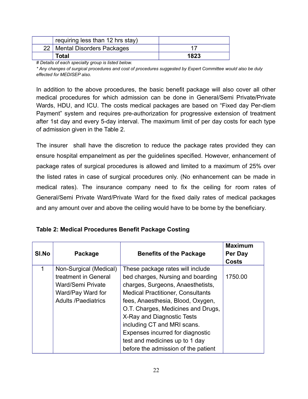| requiring less than 12 hrs stay) |      |
|----------------------------------|------|
| 22   Mental Disorders Packages   | 17   |
| <b>Total</b>                     | 1823 |

*# Details of each specialty group is listed below.*

*\* Any changes of surgical procedures and cost of procedures suggested by Expert Committee would also be duly effected for MEDISEP also.*

In addition to the above procedures, the basic benefit package will also cover all other medical procedures for which admission can be done in General/Semi Private/Private Wards, HDU, and ICU. The costs medical packages are based on "Fixed day Per-diem Payment" system and requires pre-authorization for progressive extension of treatment after 1st day and every 5-day interval. The maximum limit of per day costs for each type of admission given in the Table 2.

The insurer shall have the discretion to reduce the package rates provided they can ensure hospital empanelment as per the guidelines specified. However, enhancement of package rates of surgical procedures is allowed and limited to a maximum of 25% over the listed rates in case of surgical procedures only. (No enhancement can be made in medical rates). The insurance company need to fix the ceiling for room rates of General/Semi Private Ward/Private Ward for the fixed daily rates of medical packages and any amount over and above the ceiling would have to be borne by the beneficiary.

| Table 2: Medical Procedures Benefit Package Costing |  |  |  |  |
|-----------------------------------------------------|--|--|--|--|
|-----------------------------------------------------|--|--|--|--|

| <b>SI.No</b> | Package                                   | <b>Benefits of the Package</b>                                         | <b>Maximum</b><br>Per Day<br><b>Costs</b> |
|--------------|-------------------------------------------|------------------------------------------------------------------------|-------------------------------------------|
|              | Non-Surgical (Medical)                    | These package rates will include                                       |                                           |
|              | treatment in General<br>Ward/Semi Private | bed charges, Nursing and boarding<br>charges, Surgeons, Anaesthetists, | 1750.00                                   |
|              | Ward/Pay Ward for                         | <b>Medical Practitioner, Consultants</b>                               |                                           |
|              | <b>Adults /Paediatrics</b>                | fees, Anaesthesia, Blood, Oxygen,                                      |                                           |
|              |                                           | O.T. Charges, Medicines and Drugs,                                     |                                           |
|              |                                           | X-Ray and Diagnostic Tests                                             |                                           |
|              |                                           | including CT and MRI scans.                                            |                                           |
|              |                                           | Expenses incurred for diagnostic                                       |                                           |
|              |                                           | test and medicines up to 1 day                                         |                                           |
|              |                                           | before the admission of the patient                                    |                                           |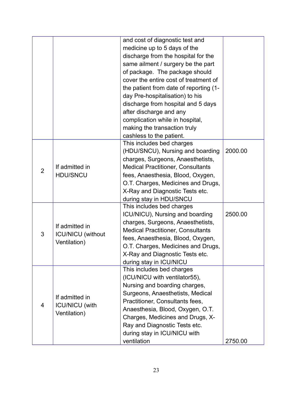|                |                          | and cost of diagnostic test and          |         |
|----------------|--------------------------|------------------------------------------|---------|
|                |                          | medicine up to 5 days of the             |         |
|                |                          | discharge from the hospital for the      |         |
|                |                          | same ailment / surgery be the part       |         |
|                |                          | of package. The package should           |         |
|                |                          | cover the entire cost of treatment of    |         |
|                |                          | the patient from date of reporting (1-   |         |
|                |                          | day Pre-hospitalisation) to his          |         |
|                |                          | discharge from hospital and 5 days       |         |
|                |                          | after discharge and any                  |         |
|                |                          | complication while in hospital,          |         |
|                |                          | making the transaction truly             |         |
|                |                          | cashless to the patient.                 |         |
|                |                          | This includes bed charges                |         |
|                |                          | (HDU/SNCU), Nursing and boarding         | 2000.00 |
|                |                          | charges, Surgeons, Anaesthetists,        |         |
| $\overline{2}$ | If admitted in           | <b>Medical Practitioner, Consultants</b> |         |
|                | <b>HDU/SNCU</b>          | fees, Anaesthesia, Blood, Oxygen,        |         |
|                |                          | O.T. Charges, Medicines and Drugs,       |         |
|                |                          | X-Ray and Diagnostic Tests etc.          |         |
|                |                          | during stay in HDU/SNCU                  |         |
|                |                          | This includes bed charges                |         |
|                |                          | ICU/NICU), Nursing and boarding          | 2500.00 |
|                | If admitted in           | charges, Surgeons, Anaesthetists,        |         |
| 3              | <b>ICU/NICU</b> (without | <b>Medical Practitioner, Consultants</b> |         |
|                | Ventilation)             | fees, Anaesthesia, Blood, Oxygen,        |         |
|                |                          | O.T. Charges, Medicines and Drugs,       |         |
|                |                          | X-Ray and Diagnostic Tests etc.          |         |
|                |                          | during stay in ICU/NICU                  |         |
|                |                          | This includes bed charges                |         |
|                |                          | (ICU/NICU with ventilator55),            |         |
|                |                          | Nursing and boarding charges,            |         |
| 4              | If admitted in           | Surgeons, Anaesthetists, Medical         |         |
|                | <b>ICU/NICU</b> (with    | Practitioner, Consultants fees,          |         |
|                | Ventilation)             | Anaesthesia, Blood, Oxygen, O.T.         |         |
|                |                          | Charges, Medicines and Drugs, X-         |         |
|                |                          | Ray and Diagnostic Tests etc.            |         |
|                |                          | during stay in ICU/NICU with             |         |
|                |                          | ventilation                              | 2750.00 |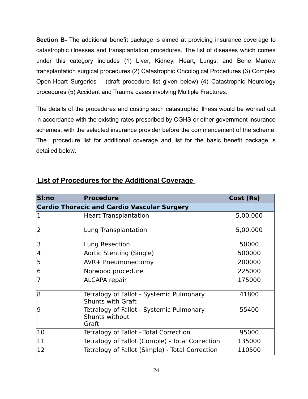**Section B-** The additional benefit package is aimed at providing insurance coverage to catastrophic illnesses and transplantation procedures. The list of diseases which comes under this category includes (1) Liver, Kidney, Heart, Lungs, and Bone Marrow transplantation surgical procedures (2) Catastrophic Oncological Procedures (3) Complex Open-Heart Surgeries – (draft procedure list given below) (4) Catastrophic Neurology procedures (5) Accident and Trauma cases involving Multiple Fractures.

The details of the procedures and costing such catastrophic illness would be worked out in accordance with the existing rates prescribed by CGHS or other government insurance schemes, with the selected insurance provider before the commencement of the scheme. The procedure list for additional coverage and list for the basic benefit package is detailed below.

| Sl:no                                              | <b>Procedure</b>                                                     | Cost (Rs) |
|----------------------------------------------------|----------------------------------------------------------------------|-----------|
| <b>Cardio Thoracic and Cardio Vascular Surgery</b> |                                                                      |           |
| 1                                                  | <b>Heart Transplantation</b>                                         | 5,00,000  |
| $\overline{2}$                                     | Lung Transplantation                                                 | 5,00,000  |
| 3                                                  | Lung Resection                                                       | 50000     |
| 4                                                  | Aortic Stenting (Single)                                             | 500000    |
| 5                                                  | AVR+ Pneumonectomy                                                   | 200000    |
| 6                                                  | Norwood procedure                                                    | 225000    |
| 7                                                  | <b>ALCAPA</b> repair                                                 | 175000    |
| 8                                                  | Tetralogy of Fallot - Systemic Pulmonary<br><b>Shunts with Graft</b> | 41800     |
| 9                                                  | Tetralogy of Fallot - Systemic Pulmonary<br>Shunts without<br>Graft  | 55400     |
| 10                                                 | Tetralogy of Fallot - Total Correction                               | 95000     |
| 11                                                 | Tetralogy of Fallot (Comple) - Total Correction                      | 135000    |
| 12                                                 | Tetralogy of Fallot (Simple) - Total Correction                      | 110500    |

## **List of Procedures for the Additional Coverage**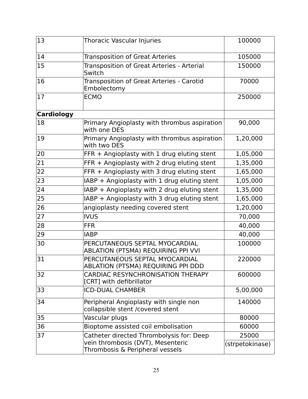| 13                | Thoracic Vascular Injuries                                                 | 100000          |
|-------------------|----------------------------------------------------------------------------|-----------------|
| 14                | <b>Transposition of Great Arteries</b>                                     | 105000          |
| 15                | Transposition of Great Arteries - Arterial<br>Switch                       | 150000          |
| 16                | Transposition of Great Arteries - Carotid<br>Embolectomy                   | 70000           |
| 17                | <b>ECMO</b>                                                                | 250000          |
| <b>Cardiology</b> |                                                                            |                 |
| 18                | Primary Angioplasty with thrombus aspiration<br>with one DES               | 90,000          |
| 19                | Primary Angioplasty with thrombus aspiration<br>with two DES               | 1,20,000        |
| 20                | FFR + Angioplasty with 1 drug eluting stent                                | 1,05,000        |
| 21                | $FFR + Angioplasty$ with 2 drug eluting stent                              | 1,35,000        |
| 22                | FFR + Angioplasty with 3 drug eluting stent                                | 1,65,000        |
| 23                | IABP + Angioplasty with 1 drug eluting stent                               | 1,05,000        |
| 24                | IABP + Angioplasty with 2 drug eluting stent                               | 1,35,000        |
| 25                | IABP + Angioplasty with 3 drug eluting stent                               | 1,65,000        |
| 26                | angioplasty needing covered stent                                          | 1,20,000        |
| 27                | <b>IVUS</b>                                                                | 70,000          |
| 28                | <b>FFR</b>                                                                 | 40,000          |
| 29                | <b>IABP</b>                                                                | 40,000          |
| 30                | PERCUTANEOUS SEPTAL MYOCARDIAL<br>ABLATION (PTSMA) REQUIRING PPI VVI       | 100000          |
| 31                | PERCUTANEOUS SEPTAL MYOCARDIAL<br>ABLATION (PTSMA) REQUIRING PPI DDD       | 220000          |
| 32                | <b>CARDIAC RESYNCHRONISATION THERAPY</b><br>[CRT] with defibrillator       | 600000          |
| 33                | <b>ICD-DUAL CHAMBER</b>                                                    | 5,00,000        |
| 34                | Peripheral Angioplasty with single non<br>collapsible stent /covered stent | 140000          |
| 35                | Vascular plugs                                                             | 80000           |
| 36                | Bioptome assisted coil embolisation                                        | 60000           |
| 37                | Catheter directed Thrombolysis for: Deep                                   | 25000           |
|                   | vein thrombosis (DVT), Mesenteric<br>Thrombosis & Peripheral vessels       | (strpetokinase) |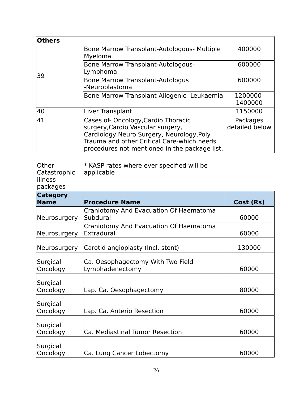| <b>Others</b> |                                                                                                                                                                                                                      |                            |
|---------------|----------------------------------------------------------------------------------------------------------------------------------------------------------------------------------------------------------------------|----------------------------|
| 39            | Bone Marrow Transplant-Autologous- Multiple<br>Myeloma                                                                                                                                                               | 400000                     |
|               | Bone Marrow Transplant-Autologous-<br>Lymphoma                                                                                                                                                                       | 600000                     |
|               | <b>Bone Marrow Transplant-Autologus</b><br>-Neuroblastoma                                                                                                                                                            | 600000                     |
|               | Bone Marrow Transplant-Allogenic- Leukaemia                                                                                                                                                                          | 1200000-<br>1400000        |
| 40            | Liver Transplant                                                                                                                                                                                                     | 1150000                    |
| 41            | Cases of-Oncology, Cardio Thoracic<br>surgery, Cardio Vascular surgery,<br>Cardiology, Neuro Surgery, Neurology, Poly<br>Trauma and other Critical Care-which needs<br>procedures not mentioned in the package list. | Packages<br>detailed below |

| Other                   | * KASP rates where ever specified will be |
|-------------------------|-------------------------------------------|
| Catastrophic applicable |                                           |

illness

packages

| <b>Category</b><br><b>Name</b> | <b>Procedure Name</b>                                | Cost (Rs) |
|--------------------------------|------------------------------------------------------|-----------|
| <b>Neurosurgery</b>            | Craniotomy And Evacuation Of Haematoma<br>Subdural   | 60000     |
| <b>Neurosurgery</b>            | Craniotomy And Evacuation Of Haematoma<br>Extradural | 60000     |
| <b>Neurosurgery</b>            | Carotid angioplasty (Incl. stent)                    | 130000    |
| Surgical<br>Oncology           | Ca. Oesophagectomy With Two Field<br>Lymphadenectomy | 60000     |
| Surgical<br>Oncology           | Lap. Ca. Oesophagectomy                              | 80000     |
| Surgical<br>Oncology           | Lap. Ca. Anterio Resection                           | 60000     |
| Surgical<br>Oncology           | Ca. Mediastinal Tumor Resection                      | 60000     |
| Surgical<br>Oncology           | Ca. Lung Cancer Lobectomy                            | 60000     |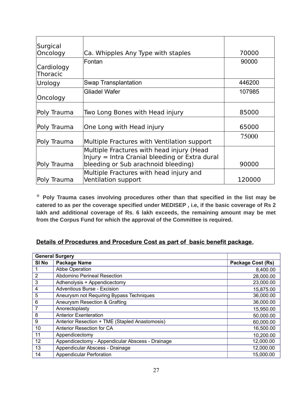| Surgical                      |                                                                                             |        |
|-------------------------------|---------------------------------------------------------------------------------------------|--------|
| Oncology                      | Ca. Whipples Any Type with staples                                                          | 70000  |
| Cardiology<br><b>Thoracic</b> | Fontan                                                                                      | 90000  |
| Urology                       | Swap Transplantation                                                                        | 446200 |
| Oncology                      | <b>Gliadel Wafer</b>                                                                        | 107985 |
| Poly Trauma                   | Two Long Bones with Head injury                                                             | 85000  |
| Poly Trauma                   | One Long with Head injury                                                                   | 65000  |
| Poly Trauma                   | Multiple Fractures with Ventilation support                                                 | 75000  |
|                               | Multiple Fractures with head injury (Head<br>Injury = Intra Cranial bleeding or Extra dural |        |
| Poly Trauma                   | bleeding or Sub arachnoid bleeding)                                                         | 90000  |
| Poly Trauma                   | Multiple Fractures with head injury and<br>Ventilation support                              | 120000 |

\* **Poly Trauma cases involving procedures other than that specified in the list may be catered to as per the coverage specified under MEDISEP , i.e, if the basic coverage of Rs 2 lakh and additional coverage of Rs. 6 lakh exceeds, the remaining amount may be met from the Corpus Fund for which the approval of the Committee is required.**

## **Details of Procedures and Procedure Cost as part of basic benefit package.**

| <b>General Surgery</b> |                                                  |                          |
|------------------------|--------------------------------------------------|--------------------------|
| SI <sub>No</sub>       | <b>Package Name</b>                              | <b>Package Cost (Rs)</b> |
|                        | Abbe Operation                                   | 8,400.00                 |
| 2                      | Abdomino Perineal Resection                      | 28,000.00                |
| 3                      | Adhenolysis + Appendicectomy                     | 23,000.00                |
| 4                      | <b>Adventious Burse - Excision</b>               | 15,875.00                |
| 5                      | Aneurysm not Requiring Bypass Techniques         | 36,000.00                |
| 6                      | Aneurysm Resection & Grafting                    | 36,000.00                |
| 7                      | Anorectoplasty                                   | 15,950.00                |
| 8                      | <b>Anterior Exenteration</b>                     | 50,000.00                |
| 9                      | Anterior Resection + TME (Stapled Anastomosis)   | 60,000.00                |
| 10                     | Anterior Resection for CA                        | 16,500.00                |
| 11                     | Appendicectomy                                   | 10,200.00                |
| 12                     | Appendicectomy - Appendicular Abscess - Drainage | 12,000.00                |
| 13                     | Appendicular Abscess - Drainage                  | 12,000.00                |
| 14                     | <b>Appendicular Perforation</b>                  | 15,000.00                |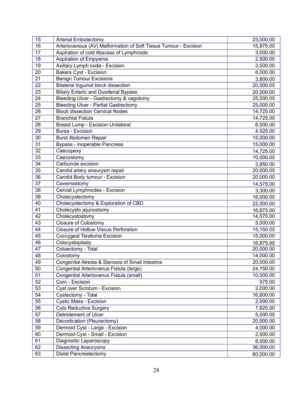| 16<br>Arteriovenous (AV) Malformation of Soft Tissue Tumour - Excision<br>15,875.00<br>17<br>Aspiration of cold Abscess of Lymphnode<br>3,000.00<br>18<br>Aspiration of Empyema<br>2,500.00<br>19<br>Axillary Lymph node - Excision<br>3,500.00<br><b>Bakers Cyst - Excision</b><br>6,000.00<br>20<br>$\overline{21}$<br><b>Benign Tumour Excisions</b><br>3,800.00<br>22<br><b>Bilateral Inguinal block dissection</b><br>20,000.00<br>23<br><b>Biliary Enteric and Duodenal Bypass</b><br>20,000.00<br>24<br>Bleeding Ulcer - Gastrectomy & vagotomy<br>25,000.00<br>25<br><b>Bleeding Ulcer - Partial Gastrectomy</b><br>25,000.00<br>26<br><b>Block dissection Cervical Nodes</b><br>14,725.00<br>27<br><b>Branchial Fistula</b><br>14,725.00<br>28<br>6,500.00<br>Breast Lump - Excision-Unilateral<br>29<br>Bursa - Excision<br>4,525.00<br>30<br>15,000.00<br>Burst Abdomen Repair<br>31<br>Bypass - Inoperable Pancreas<br>15,000.00<br>32<br>Caecopexy<br>14,725.00<br>$\overline{33}$<br>10,000.00<br>Caecostomy<br>34<br>Carbuncle excision<br>3,950.00<br>35<br>20,000.00<br>Carotid artery aneurysm repair<br>36<br>Carotid Body tumour - Excision<br>20,000.00<br>37<br>Cavernostomy<br>14,575.00<br>38<br>Cervial Lymphnodes - Excision<br>3,300.00<br>$\overline{39}$<br>Cholecystectomy<br>16,000.00<br>40<br>Cholecystectomy & Exploration of CBD<br>22,000.00<br>41<br>Cholecysto jejunostomy<br>16,875.00<br>42<br>Cholecystostomy<br>14,575.00<br>43<br><b>Closure of Colostomy</b><br>5,000.00<br>44<br>Closure of Hollow Viscus Perforation<br>15,150.00<br>45<br>15,000.00<br>Coccygeal Teratoma Excision<br>46<br>Colocystoplasty<br>16,875.00<br>Coloectomy - Total<br>47<br>20,000.00<br>48<br>Colostomy<br>14,000.00<br>49<br>Congenital Atresia & Stenosis of Small Intestine<br>20,000.00<br>50<br>Congential Arteriovenus Fistula (large)<br>24,150.00<br>51<br>10,000.00<br>Congential Arteriovenus Fistula (small)<br>52<br>Corn - Excision<br>575.00<br>53<br>Cyst over Scrotum - Excision<br>2,000.00<br>54<br>Cystectomy - Total<br>16,800.00<br>55<br>Cystic Mass - Excision<br>2,000.00 | 15 | <b>Arterial Embolectomy</b>   | 23,000.00 |
|-------------------------------------------------------------------------------------------------------------------------------------------------------------------------------------------------------------------------------------------------------------------------------------------------------------------------------------------------------------------------------------------------------------------------------------------------------------------------------------------------------------------------------------------------------------------------------------------------------------------------------------------------------------------------------------------------------------------------------------------------------------------------------------------------------------------------------------------------------------------------------------------------------------------------------------------------------------------------------------------------------------------------------------------------------------------------------------------------------------------------------------------------------------------------------------------------------------------------------------------------------------------------------------------------------------------------------------------------------------------------------------------------------------------------------------------------------------------------------------------------------------------------------------------------------------------------------------------------------------------------------------------------------------------------------------------------------------------------------------------------------------------------------------------------------------------------------------------------------------------------------------------------------------------------------------------------------------------------------------------------------------------------------------------------------------------------------------------------------------------------------|----|-------------------------------|-----------|
|                                                                                                                                                                                                                                                                                                                                                                                                                                                                                                                                                                                                                                                                                                                                                                                                                                                                                                                                                                                                                                                                                                                                                                                                                                                                                                                                                                                                                                                                                                                                                                                                                                                                                                                                                                                                                                                                                                                                                                                                                                                                                                                               |    |                               |           |
|                                                                                                                                                                                                                                                                                                                                                                                                                                                                                                                                                                                                                                                                                                                                                                                                                                                                                                                                                                                                                                                                                                                                                                                                                                                                                                                                                                                                                                                                                                                                                                                                                                                                                                                                                                                                                                                                                                                                                                                                                                                                                                                               |    |                               |           |
|                                                                                                                                                                                                                                                                                                                                                                                                                                                                                                                                                                                                                                                                                                                                                                                                                                                                                                                                                                                                                                                                                                                                                                                                                                                                                                                                                                                                                                                                                                                                                                                                                                                                                                                                                                                                                                                                                                                                                                                                                                                                                                                               |    |                               |           |
|                                                                                                                                                                                                                                                                                                                                                                                                                                                                                                                                                                                                                                                                                                                                                                                                                                                                                                                                                                                                                                                                                                                                                                                                                                                                                                                                                                                                                                                                                                                                                                                                                                                                                                                                                                                                                                                                                                                                                                                                                                                                                                                               |    |                               |           |
|                                                                                                                                                                                                                                                                                                                                                                                                                                                                                                                                                                                                                                                                                                                                                                                                                                                                                                                                                                                                                                                                                                                                                                                                                                                                                                                                                                                                                                                                                                                                                                                                                                                                                                                                                                                                                                                                                                                                                                                                                                                                                                                               |    |                               |           |
|                                                                                                                                                                                                                                                                                                                                                                                                                                                                                                                                                                                                                                                                                                                                                                                                                                                                                                                                                                                                                                                                                                                                                                                                                                                                                                                                                                                                                                                                                                                                                                                                                                                                                                                                                                                                                                                                                                                                                                                                                                                                                                                               |    |                               |           |
|                                                                                                                                                                                                                                                                                                                                                                                                                                                                                                                                                                                                                                                                                                                                                                                                                                                                                                                                                                                                                                                                                                                                                                                                                                                                                                                                                                                                                                                                                                                                                                                                                                                                                                                                                                                                                                                                                                                                                                                                                                                                                                                               |    |                               |           |
|                                                                                                                                                                                                                                                                                                                                                                                                                                                                                                                                                                                                                                                                                                                                                                                                                                                                                                                                                                                                                                                                                                                                                                                                                                                                                                                                                                                                                                                                                                                                                                                                                                                                                                                                                                                                                                                                                                                                                                                                                                                                                                                               |    |                               |           |
|                                                                                                                                                                                                                                                                                                                                                                                                                                                                                                                                                                                                                                                                                                                                                                                                                                                                                                                                                                                                                                                                                                                                                                                                                                                                                                                                                                                                                                                                                                                                                                                                                                                                                                                                                                                                                                                                                                                                                                                                                                                                                                                               |    |                               |           |
|                                                                                                                                                                                                                                                                                                                                                                                                                                                                                                                                                                                                                                                                                                                                                                                                                                                                                                                                                                                                                                                                                                                                                                                                                                                                                                                                                                                                                                                                                                                                                                                                                                                                                                                                                                                                                                                                                                                                                                                                                                                                                                                               |    |                               |           |
|                                                                                                                                                                                                                                                                                                                                                                                                                                                                                                                                                                                                                                                                                                                                                                                                                                                                                                                                                                                                                                                                                                                                                                                                                                                                                                                                                                                                                                                                                                                                                                                                                                                                                                                                                                                                                                                                                                                                                                                                                                                                                                                               |    |                               |           |
|                                                                                                                                                                                                                                                                                                                                                                                                                                                                                                                                                                                                                                                                                                                                                                                                                                                                                                                                                                                                                                                                                                                                                                                                                                                                                                                                                                                                                                                                                                                                                                                                                                                                                                                                                                                                                                                                                                                                                                                                                                                                                                                               |    |                               |           |
|                                                                                                                                                                                                                                                                                                                                                                                                                                                                                                                                                                                                                                                                                                                                                                                                                                                                                                                                                                                                                                                                                                                                                                                                                                                                                                                                                                                                                                                                                                                                                                                                                                                                                                                                                                                                                                                                                                                                                                                                                                                                                                                               |    |                               |           |
|                                                                                                                                                                                                                                                                                                                                                                                                                                                                                                                                                                                                                                                                                                                                                                                                                                                                                                                                                                                                                                                                                                                                                                                                                                                                                                                                                                                                                                                                                                                                                                                                                                                                                                                                                                                                                                                                                                                                                                                                                                                                                                                               |    |                               |           |
|                                                                                                                                                                                                                                                                                                                                                                                                                                                                                                                                                                                                                                                                                                                                                                                                                                                                                                                                                                                                                                                                                                                                                                                                                                                                                                                                                                                                                                                                                                                                                                                                                                                                                                                                                                                                                                                                                                                                                                                                                                                                                                                               |    |                               |           |
|                                                                                                                                                                                                                                                                                                                                                                                                                                                                                                                                                                                                                                                                                                                                                                                                                                                                                                                                                                                                                                                                                                                                                                                                                                                                                                                                                                                                                                                                                                                                                                                                                                                                                                                                                                                                                                                                                                                                                                                                                                                                                                                               |    |                               |           |
|                                                                                                                                                                                                                                                                                                                                                                                                                                                                                                                                                                                                                                                                                                                                                                                                                                                                                                                                                                                                                                                                                                                                                                                                                                                                                                                                                                                                                                                                                                                                                                                                                                                                                                                                                                                                                                                                                                                                                                                                                                                                                                                               |    |                               |           |
|                                                                                                                                                                                                                                                                                                                                                                                                                                                                                                                                                                                                                                                                                                                                                                                                                                                                                                                                                                                                                                                                                                                                                                                                                                                                                                                                                                                                                                                                                                                                                                                                                                                                                                                                                                                                                                                                                                                                                                                                                                                                                                                               |    |                               |           |
|                                                                                                                                                                                                                                                                                                                                                                                                                                                                                                                                                                                                                                                                                                                                                                                                                                                                                                                                                                                                                                                                                                                                                                                                                                                                                                                                                                                                                                                                                                                                                                                                                                                                                                                                                                                                                                                                                                                                                                                                                                                                                                                               |    |                               |           |
|                                                                                                                                                                                                                                                                                                                                                                                                                                                                                                                                                                                                                                                                                                                                                                                                                                                                                                                                                                                                                                                                                                                                                                                                                                                                                                                                                                                                                                                                                                                                                                                                                                                                                                                                                                                                                                                                                                                                                                                                                                                                                                                               |    |                               |           |
|                                                                                                                                                                                                                                                                                                                                                                                                                                                                                                                                                                                                                                                                                                                                                                                                                                                                                                                                                                                                                                                                                                                                                                                                                                                                                                                                                                                                                                                                                                                                                                                                                                                                                                                                                                                                                                                                                                                                                                                                                                                                                                                               |    |                               |           |
|                                                                                                                                                                                                                                                                                                                                                                                                                                                                                                                                                                                                                                                                                                                                                                                                                                                                                                                                                                                                                                                                                                                                                                                                                                                                                                                                                                                                                                                                                                                                                                                                                                                                                                                                                                                                                                                                                                                                                                                                                                                                                                                               |    |                               |           |
|                                                                                                                                                                                                                                                                                                                                                                                                                                                                                                                                                                                                                                                                                                                                                                                                                                                                                                                                                                                                                                                                                                                                                                                                                                                                                                                                                                                                                                                                                                                                                                                                                                                                                                                                                                                                                                                                                                                                                                                                                                                                                                                               |    |                               |           |
|                                                                                                                                                                                                                                                                                                                                                                                                                                                                                                                                                                                                                                                                                                                                                                                                                                                                                                                                                                                                                                                                                                                                                                                                                                                                                                                                                                                                                                                                                                                                                                                                                                                                                                                                                                                                                                                                                                                                                                                                                                                                                                                               |    |                               |           |
|                                                                                                                                                                                                                                                                                                                                                                                                                                                                                                                                                                                                                                                                                                                                                                                                                                                                                                                                                                                                                                                                                                                                                                                                                                                                                                                                                                                                                                                                                                                                                                                                                                                                                                                                                                                                                                                                                                                                                                                                                                                                                                                               |    |                               |           |
|                                                                                                                                                                                                                                                                                                                                                                                                                                                                                                                                                                                                                                                                                                                                                                                                                                                                                                                                                                                                                                                                                                                                                                                                                                                                                                                                                                                                                                                                                                                                                                                                                                                                                                                                                                                                                                                                                                                                                                                                                                                                                                                               |    |                               |           |
|                                                                                                                                                                                                                                                                                                                                                                                                                                                                                                                                                                                                                                                                                                                                                                                                                                                                                                                                                                                                                                                                                                                                                                                                                                                                                                                                                                                                                                                                                                                                                                                                                                                                                                                                                                                                                                                                                                                                                                                                                                                                                                                               |    |                               |           |
|                                                                                                                                                                                                                                                                                                                                                                                                                                                                                                                                                                                                                                                                                                                                                                                                                                                                                                                                                                                                                                                                                                                                                                                                                                                                                                                                                                                                                                                                                                                                                                                                                                                                                                                                                                                                                                                                                                                                                                                                                                                                                                                               |    |                               |           |
|                                                                                                                                                                                                                                                                                                                                                                                                                                                                                                                                                                                                                                                                                                                                                                                                                                                                                                                                                                                                                                                                                                                                                                                                                                                                                                                                                                                                                                                                                                                                                                                                                                                                                                                                                                                                                                                                                                                                                                                                                                                                                                                               |    |                               |           |
|                                                                                                                                                                                                                                                                                                                                                                                                                                                                                                                                                                                                                                                                                                                                                                                                                                                                                                                                                                                                                                                                                                                                                                                                                                                                                                                                                                                                                                                                                                                                                                                                                                                                                                                                                                                                                                                                                                                                                                                                                                                                                                                               |    |                               |           |
|                                                                                                                                                                                                                                                                                                                                                                                                                                                                                                                                                                                                                                                                                                                                                                                                                                                                                                                                                                                                                                                                                                                                                                                                                                                                                                                                                                                                                                                                                                                                                                                                                                                                                                                                                                                                                                                                                                                                                                                                                                                                                                                               |    |                               |           |
|                                                                                                                                                                                                                                                                                                                                                                                                                                                                                                                                                                                                                                                                                                                                                                                                                                                                                                                                                                                                                                                                                                                                                                                                                                                                                                                                                                                                                                                                                                                                                                                                                                                                                                                                                                                                                                                                                                                                                                                                                                                                                                                               |    |                               |           |
|                                                                                                                                                                                                                                                                                                                                                                                                                                                                                                                                                                                                                                                                                                                                                                                                                                                                                                                                                                                                                                                                                                                                                                                                                                                                                                                                                                                                                                                                                                                                                                                                                                                                                                                                                                                                                                                                                                                                                                                                                                                                                                                               |    |                               |           |
|                                                                                                                                                                                                                                                                                                                                                                                                                                                                                                                                                                                                                                                                                                                                                                                                                                                                                                                                                                                                                                                                                                                                                                                                                                                                                                                                                                                                                                                                                                                                                                                                                                                                                                                                                                                                                                                                                                                                                                                                                                                                                                                               |    |                               |           |
|                                                                                                                                                                                                                                                                                                                                                                                                                                                                                                                                                                                                                                                                                                                                                                                                                                                                                                                                                                                                                                                                                                                                                                                                                                                                                                                                                                                                                                                                                                                                                                                                                                                                                                                                                                                                                                                                                                                                                                                                                                                                                                                               |    |                               |           |
|                                                                                                                                                                                                                                                                                                                                                                                                                                                                                                                                                                                                                                                                                                                                                                                                                                                                                                                                                                                                                                                                                                                                                                                                                                                                                                                                                                                                                                                                                                                                                                                                                                                                                                                                                                                                                                                                                                                                                                                                                                                                                                                               |    |                               |           |
|                                                                                                                                                                                                                                                                                                                                                                                                                                                                                                                                                                                                                                                                                                                                                                                                                                                                                                                                                                                                                                                                                                                                                                                                                                                                                                                                                                                                                                                                                                                                                                                                                                                                                                                                                                                                                                                                                                                                                                                                                                                                                                                               |    |                               |           |
|                                                                                                                                                                                                                                                                                                                                                                                                                                                                                                                                                                                                                                                                                                                                                                                                                                                                                                                                                                                                                                                                                                                                                                                                                                                                                                                                                                                                                                                                                                                                                                                                                                                                                                                                                                                                                                                                                                                                                                                                                                                                                                                               |    |                               |           |
|                                                                                                                                                                                                                                                                                                                                                                                                                                                                                                                                                                                                                                                                                                                                                                                                                                                                                                                                                                                                                                                                                                                                                                                                                                                                                                                                                                                                                                                                                                                                                                                                                                                                                                                                                                                                                                                                                                                                                                                                                                                                                                                               |    |                               |           |
|                                                                                                                                                                                                                                                                                                                                                                                                                                                                                                                                                                                                                                                                                                                                                                                                                                                                                                                                                                                                                                                                                                                                                                                                                                                                                                                                                                                                                                                                                                                                                                                                                                                                                                                                                                                                                                                                                                                                                                                                                                                                                                                               |    |                               |           |
|                                                                                                                                                                                                                                                                                                                                                                                                                                                                                                                                                                                                                                                                                                                                                                                                                                                                                                                                                                                                                                                                                                                                                                                                                                                                                                                                                                                                                                                                                                                                                                                                                                                                                                                                                                                                                                                                                                                                                                                                                                                                                                                               | 56 | <b>Cyto Reductive Surgery</b> | 7,825.00  |
| Debridement of Ulcer<br>57<br>5,000.00                                                                                                                                                                                                                                                                                                                                                                                                                                                                                                                                                                                                                                                                                                                                                                                                                                                                                                                                                                                                                                                                                                                                                                                                                                                                                                                                                                                                                                                                                                                                                                                                                                                                                                                                                                                                                                                                                                                                                                                                                                                                                        |    |                               |           |
| 58<br>Decortication (Pleurectomy)<br>20,000.00                                                                                                                                                                                                                                                                                                                                                                                                                                                                                                                                                                                                                                                                                                                                                                                                                                                                                                                                                                                                                                                                                                                                                                                                                                                                                                                                                                                                                                                                                                                                                                                                                                                                                                                                                                                                                                                                                                                                                                                                                                                                                |    |                               |           |
| 59<br>Dermoid Cyst - Large - Excision<br>4,000.00                                                                                                                                                                                                                                                                                                                                                                                                                                                                                                                                                                                                                                                                                                                                                                                                                                                                                                                                                                                                                                                                                                                                                                                                                                                                                                                                                                                                                                                                                                                                                                                                                                                                                                                                                                                                                                                                                                                                                                                                                                                                             |    |                               |           |
| 60<br>Dermoid Cyst - Small - Excision<br>2,000.00                                                                                                                                                                                                                                                                                                                                                                                                                                                                                                                                                                                                                                                                                                                                                                                                                                                                                                                                                                                                                                                                                                                                                                                                                                                                                                                                                                                                                                                                                                                                                                                                                                                                                                                                                                                                                                                                                                                                                                                                                                                                             |    |                               |           |
| 61<br>Diagnostic Laparoscopy<br>8,000.00                                                                                                                                                                                                                                                                                                                                                                                                                                                                                                                                                                                                                                                                                                                                                                                                                                                                                                                                                                                                                                                                                                                                                                                                                                                                                                                                                                                                                                                                                                                                                                                                                                                                                                                                                                                                                                                                                                                                                                                                                                                                                      |    |                               |           |
| 62<br>36,000.00<br><b>Dissecting Aneurysms</b>                                                                                                                                                                                                                                                                                                                                                                                                                                                                                                                                                                                                                                                                                                                                                                                                                                                                                                                                                                                                                                                                                                                                                                                                                                                                                                                                                                                                                                                                                                                                                                                                                                                                                                                                                                                                                                                                                                                                                                                                                                                                                |    |                               |           |
| 63<br><b>Distal Pancreatectomy</b><br>60,000.00                                                                                                                                                                                                                                                                                                                                                                                                                                                                                                                                                                                                                                                                                                                                                                                                                                                                                                                                                                                                                                                                                                                                                                                                                                                                                                                                                                                                                                                                                                                                                                                                                                                                                                                                                                                                                                                                                                                                                                                                                                                                               |    |                               |           |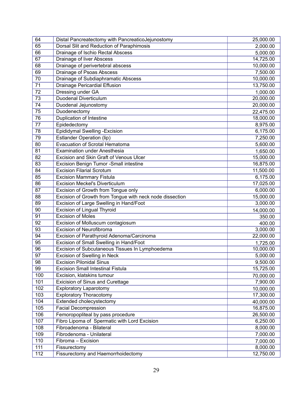| 64              | Distal Pancreatectomy with PancreaticoJejunostomy        | 25,000.00 |
|-----------------|----------------------------------------------------------|-----------|
| 65              | Dorsal Slit and Reduction of Paraphimosis                | 2,000.00  |
| 66              | Drainage of Ischio Rectal Abscess                        | 5,000.00  |
| 67              | Drainage of liver Abscess                                | 14,725.00 |
| 68              | Drainage of perivertebral abscess                        | 10,000.00 |
| 69              | Drainage of Psoas Abscess                                | 7,500.00  |
| 70              | Drainage of Subdiaphramatic Abscess                      | 10,000.00 |
| $\overline{71}$ | Drainage Pericardial Effusion                            | 13,750.00 |
| 72              | Dressing under GA                                        | 1,000.00  |
| 73              | <b>Duodenal Diverticulum</b>                             | 20,000.00 |
| 74              | Duodenal Jejunostomy                                     | 20,000.00 |
| 75              | Duodenectomy                                             | 22,475.00 |
| $\overline{76}$ | Duplication of Intestine                                 | 18,000.00 |
| 77              | Epidedectomy                                             | 8,975.00  |
| 78              | Epididymal Swelling - Excision                           | 6,175.00  |
| 79              | Estlander Operation (lip)                                | 7,250.00  |
| 80              | Evacuation of Scrotal Hematoma                           | 5,600.00  |
| 81              | <b>Examination under Anesthesia</b>                      | 1,650.00  |
| 82              | Excision and Skin Graft of Venous Ulcer                  | 15,000.00 |
| 83              | Excision Benign Tumor -Small intestine                   | 16,875.00 |
| 84              | <b>Excision Filarial Scrotum</b>                         | 11,500.00 |
| 85              | <b>Excision Mammary Fistula</b>                          | 6,175.00  |
| 86              | <b>Excision Meckel's Diverticulum</b>                    | 17,025.00 |
| 87              | Excision of Growth from Tongue only                      | 6,000.00  |
| 88              | Excision of Growth from Tongue with neck node dissection | 15,000.00 |
| 89              | Excision of Large Swelling in Hand/Foot                  | 3,000.00  |
| 90              | <b>Excision of Lingual Thyroid</b>                       | 14,000.00 |
| 91              | <b>Excision of Moles</b>                                 | 350.00    |
| 92              | Excision of Molluscum contagiosum                        | 400.00    |
| 93              | <b>Excision of Neurofibroma</b>                          | 3,000.00  |
| 94              | Excision of Parathyroid Adenoma/Carcinoma                | 22,000.00 |
| 95              | Excision of Small Swelling in Hand/Foot                  | 1,725.00  |
| 96              | Excision of Subcutaneous Tissues In Lymphoedema          | 10,000.00 |
| 97              | Excision of Swelling in Neck                             | 5,000.00  |
| 98              | <b>Excision Pilonidal Sinus</b>                          | 9,500.00  |
| 99              | <b>Excision Small Intestinal Fistula</b>                 | 15,725.00 |
| 100             | Excision, klatskins tumour                               | 70,000.00 |
| 101             | Exicision of Sinus and Curettage                         | 7,900.00  |
| 102             | <b>Exploratory Laparotomy</b>                            | 10,000.00 |
| 103             | <b>Exploratory Thoracotomy</b>                           | 17,300.00 |
| 104             | Extended cholecystectomy                                 | 40,000.00 |
| 105             | <b>Facial Decompression</b>                              | 16,875.00 |
| 106             | Femoropopliteal by pass procedure                        | 26,500.00 |
| 107             | Fibro Lipoma of Spermatic with Lord Excision             | 6,250.00  |
| 108             | Fibroadenoma - Bilateral                                 | 8,000.00  |
| 109             | Fibrodenoma - Unilateral                                 | 7,000.00  |
| 110             | Fibroma - Excision                                       | 7,000.00  |
| 111             | Fissurectomy                                             | 8,000.00  |
| 112             | Fissurectomy and Haemorrhoidectomy                       | 12,750.00 |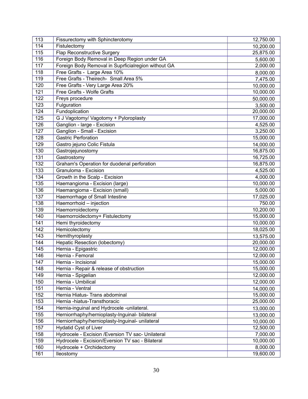| 113 | Fissurectomy with Sphincterotomy                    | 12,750.00 |
|-----|-----------------------------------------------------|-----------|
| 114 | Fistulectomy                                        | 10,200.00 |
| 115 | <b>Flap Reconstructive Surgery</b>                  | 25,875.00 |
| 116 | Foreign Body Removal in Deep Region under GA        | 5,600.00  |
| 117 | Foreign Body Removal in Suprficialregion without GA | 2,000.00  |
| 118 | Free Grafts - Large Area 10%                        | 8,000.00  |
| 119 | Free Grafts - Theirech- Small Area 5%               | 7,475.00  |
| 120 | Free Grafts - Very Large Area 20%                   | 10,000.00 |
| 121 | Free Grafts - Wolfe Grafts                          | 10,000.00 |
| 122 | Freys procedure                                     | 50,000.00 |
| 123 | Fulguration                                         | 3,500.00  |
| 124 | Fundoplication                                      | 20,000.00 |
| 125 | G J Vagotomy/ Vagotomy + Pyloroplasty               | 17,000.00 |
| 126 | Ganglion - large - Excision                         | 4,525.00  |
| 127 | Ganglion - Small - Excision                         | 3,250.00  |
| 128 | <b>Gastric Perforation</b>                          | 15,000.00 |
| 129 | Gastro jejuno Colic Fistula                         | 14,000.00 |
| 130 | Gastrojejunostomy                                   | 16,875.00 |
| 131 | Gastrostomy                                         | 16,725.00 |
| 132 | Graham's Operation for duodenal perforation         | 16,875.00 |
| 133 | Granuloma - Excision                                | 4,525.00  |
| 134 | Growth in the Scalp - Excision                      | 4,000.00  |
| 135 | Haemangioma - Excision (large)                      | 10,000.00 |
| 136 | Haemangioma - Excision (small)                      | 5,000.00  |
| 137 | Haemorrhage of Small Intestine                      | 17,025.00 |
| 138 | Haemorrhoid - injection                             | 750.00    |
| 139 | Haemorroidectomy                                    | 10,200.00 |
| 140 | Haemorroidectomy+ Fistulectomy                      | 15,000.00 |
| 141 | Hemi thyroidectomy                                  | 10,000.00 |
| 142 | Hemicolectomy                                       | 18,025.00 |
| 143 | Hemithyroplasty                                     | 13,575.00 |
| 144 | <b>Hepatic Resection (lobectomy)</b>                | 20,000.00 |
| 145 | Hernia - Epigastric                                 | 12,000.00 |
| 146 | Hernia - Femoral                                    | 12,000.00 |
| 147 | Hernia - Incisional                                 | 15,000.00 |
| 148 | Hernia - Repair & release of obstruction            | 15,000.00 |
| 149 | Hernia - Spigelian                                  | 12,000.00 |
| 150 | Hernia - Umbilical                                  | 12,000.00 |
| 151 | Hernia - Ventral                                    | 14,000.00 |
| 152 | Hernia Hiatus- Trans abdominal                      | 15,000.00 |
| 153 | Hernia -hiatus-Transthoracic                        | 25,000.00 |
| 154 | Hernia-inguinal and Hydrocele -unilateral.          | 13,000.00 |
| 155 | Herniorrhaphy/hernioplasty-Inguinal- bilateral      | 13,000.00 |
| 156 | Herniorrhaphy/hernioplasty-Inguinal- unilateral     | 10,000.00 |
| 157 | Hydatid Cyst of Liver                               | 12,500.00 |
| 158 | Hydrocele - Excision / Eversion TV sac- Unilateral  | 7,000.00  |
| 159 | Hydrocele - Excision/Eversion TV sac - Bilateral    | 10,000.00 |
| 160 | Hydrocele + Orchidectomy                            | 8,000.00  |
| 161 | lleostomy                                           | 19,600.00 |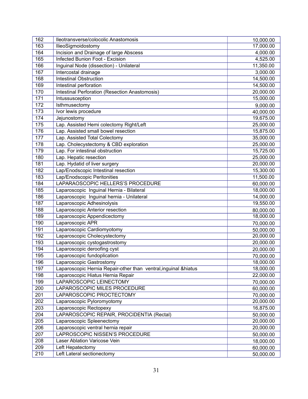| 162 | Ileotransverse/colocolic Anastomosis                             | 10,000.00 |
|-----|------------------------------------------------------------------|-----------|
| 163 | llieoSigmoidostomy                                               | 17,000.00 |
| 164 | Incision and Drainage of large Abscess                           | 4,000.00  |
| 165 | Infected Bunion Foot - Excision                                  | 4,525.00  |
| 166 | Inguinal Node (dissection) - Unilateral                          | 11,350.00 |
| 167 | Intercostal drainage                                             | 3,000.00  |
| 168 | <b>Intestinal Obstruction</b>                                    | 14,500.00 |
| 169 | Intestinal perforation                                           | 14,500.00 |
| 170 | <b>Intestinal Perforation (Resection Anastomosis)</b>            | 20,000.00 |
| 171 | Intussusception                                                  | 15,000.00 |
| 172 | Isthmusectomy                                                    | 9,000.00  |
| 173 | Ivor lewis procedure                                             | 40,000.00 |
| 174 | Jejunostomy                                                      | 19,675.00 |
| 175 | Lap. Assisted Hemi colectomy Right/Left                          | 25,000.00 |
| 176 | Lap. Assisted small bowel resection                              | 15,875.00 |
| 177 | Lap. Assisted Total Colectomy                                    | 35,000.00 |
| 178 | Lap. Cholecystectomy & CBD exploration                           | 25,000.00 |
| 179 | Lap. For intestinal obstruction                                  | 15,725.00 |
| 180 | Lap. Hepatic resection                                           | 25,000.00 |
| 181 | Lap. Hydatid of liver surgery                                    | 20,000.00 |
| 182 | Lap/Enodscopic Intestinal resection                              | 15,300.00 |
| 183 | Lap/Enodscopic Peritonities                                      | 11,500.00 |
| 184 | LAPARAOSCOPIC HELLERS'S PROCEDURE                                | 60,000.00 |
| 185 | Laparoscopic Inguinal Hernia - Bilateral                         | 18,000.00 |
| 186 | Laparoscopic Inguinal hernia - Unilateral                        | 14,000.00 |
| 187 | Laparoscopic Adhesinolysis                                       | 19,550.00 |
| 188 | Laparoscopic Anterior resection                                  | 80,000.00 |
| 189 | Laparoscopic Appendicectomy                                      | 18,000.00 |
| 190 | Laparoscopic APR                                                 | 70,000.00 |
| 191 | Laparoscopic Cardiomyotomy                                       | 50,000.00 |
| 192 | Laparoscopic Cholecystectomy                                     | 20,000.00 |
| 193 | Laparoscopic cystogastrostomy                                    | 20,000.00 |
| 194 | Laparoscopic deroofing cyst                                      | 20,000.00 |
| 195 | Laparoscopic fundoplication                                      | 70,000.00 |
| 196 | aparoscopic Gastrostomy                                          | 18,000.00 |
| 197 | Laparoscopic Hernia Repair-other than ventral, inguinal & hiatus | 18,000.00 |
| 198 | Laparoscopic Hiatus Hernia Repair                                | 22,000.00 |
| 199 | LAPAROSCOPIC LEINECTOMY                                          | 70,000.00 |
| 200 | LAPAROSCOPIC MILES PROCEDURE                                     | 60,000.00 |
| 201 | LAPAROSCOPIC PROCTECTOMY                                         | 70,000.00 |
| 202 | Laparoscopic Pyloromyotomy                                       | 20,000.00 |
| 203 | Laparoscopic Rectopexy                                           | 16,875.00 |
| 204 | LAPAROSCOPIC REPAIR, PROCIDENTIA (Rectal)                        | 50,000.00 |
| 205 | Laparoscopic Spleenectomy                                        | 20,000.00 |
| 206 | Laparoscopic ventral hernia repair                               | 20,000.00 |
| 207 | LAPROSCOPIC NISSEN'S PROCEDURE                                   | 50,000.00 |
| 208 | Laser Ablation Varicose Vein                                     | 18,000.00 |
| 209 | Left Hepatectomy                                                 | 60,000.00 |
| 210 | Left Lateral sectionectomy                                       | 50,000.00 |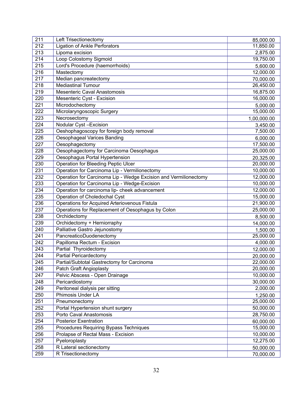| 11,850.00<br><b>Ligation of Ankle Perforators</b><br>213<br>Lipoma excision<br>2,875.00<br>214<br>Loop Colostomy Sigmoid<br>19,750.00<br>215<br>Lord's Procedure (haemorrhoids)<br>5,600.00<br>216<br>Mastectomy<br>12,000.00<br>217<br>Median pancreatectomy<br>70,000.00<br>218<br><b>Mediastinal Tumour</b><br>26,450.00<br>219<br><b>Mesenteric Caval Anastomosis</b><br>16,875.00<br>220<br>16,000.00<br>Mesenteric Cyst - Excision<br>221<br>Microdochectomy<br>5,000.00<br>222<br>Microlaryngoscopic Surgery<br>15,000.00<br>223<br>Necrosectomy<br>1,00,000.00<br>224<br>Nodular Cyst-Excision<br>3,450.00<br>225<br>Oeshophagoscopy for foreign body removal<br>7,500.00<br>226<br>Oesophageal Varices Banding<br>6,000.00<br>227<br>17,500.00<br>Oesophagectomy<br>Oesophagectomy for Carcinoma Oesophagus<br>228<br>25,000.00<br>229<br>Oesophagus Portal Hypertension<br>20,325.00<br><b>Operation for Bleeding Peptic Ulcer</b><br>230<br>20,000.00<br>Operation for Carcinoma Lip - Vermilionectomy<br>231<br>10,000.00<br>Operation for Carcinoma Lip - Wedge Excision and Vermilionectomy<br>232<br>12,000.00<br>Operation for Carcinoma Lip - Wedge-Excision<br>233<br>10,000.00<br>234<br>Operation for carcinoma lip- cheek advancement<br>12,000.00<br>235<br>Operation of Choledochal Cyst<br>15,000.00<br>Operations for Acquired Arteriovenous Fistula<br>236<br>21,900.00<br>237<br>Operations for Replacement of Oesophagus by Colon<br>25,000.00<br>238<br>Orchidectomy<br>8,500.00<br>239<br>Orchidectomy + Herniorraphy<br>14,000.00<br>240<br>Palliative Gastro Jejunostomy<br>1,500.00<br>241<br>PancreaticoDuodenectomy<br>25,000.00<br>242<br>Papilloma Rectum - Excision<br>4,000.00<br>243<br>Partial Thyroidectomy<br>12,000.00<br>244<br><b>Partial Pericardectomy</b><br>20,000.00<br>245<br>Partial/Subtotal Gastrectomy for Carcinoma<br>22,000.00<br>246<br>Patch Graft Angioplasty<br>20,000.00<br>247<br>10,000.00<br>Pelvic Abscess - Open Drainage<br>248<br>30,000.00<br>Pericardiostomy<br>249<br>Peritoneal dialysis per sitting<br>2,000.00<br>250<br>Phimosis Under LA<br>1,250.00<br>251<br>Pneumonectomy<br>25,000.00<br>252<br>Portal Hypertension shunt surgery<br>50,000.00<br>253<br>Porto Caval Anastomosis<br>28,750.00<br>254<br><b>Posterior Exentration</b><br>60,000.00<br>255<br>Procedures Requiring Bypass Techniques<br>15,000.00<br>Prolapse of Rectal Mass - Excision<br>256<br>10,000.00<br>257<br>Pyeloroplasty<br>12,275.00<br>258<br>R Lateral sectionectomy<br>50,000.00<br>259<br>R Trisectionectomy<br>70,000.00 | 211 | Left Trisectionectomy | 85,000.00 |
|--------------------------------------------------------------------------------------------------------------------------------------------------------------------------------------------------------------------------------------------------------------------------------------------------------------------------------------------------------------------------------------------------------------------------------------------------------------------------------------------------------------------------------------------------------------------------------------------------------------------------------------------------------------------------------------------------------------------------------------------------------------------------------------------------------------------------------------------------------------------------------------------------------------------------------------------------------------------------------------------------------------------------------------------------------------------------------------------------------------------------------------------------------------------------------------------------------------------------------------------------------------------------------------------------------------------------------------------------------------------------------------------------------------------------------------------------------------------------------------------------------------------------------------------------------------------------------------------------------------------------------------------------------------------------------------------------------------------------------------------------------------------------------------------------------------------------------------------------------------------------------------------------------------------------------------------------------------------------------------------------------------------------------------------------------------------------------------------------------------------------------------------------------------------------------------------------------------------------------------------------------------------------------------------------------------------------------------------------------------------------------------------------------------------------------------------------------------------------------------------------------------------------------------------------------------------------------------------|-----|-----------------------|-----------|
|                                                                                                                                                                                                                                                                                                                                                                                                                                                                                                                                                                                                                                                                                                                                                                                                                                                                                                                                                                                                                                                                                                                                                                                                                                                                                                                                                                                                                                                                                                                                                                                                                                                                                                                                                                                                                                                                                                                                                                                                                                                                                                                                                                                                                                                                                                                                                                                                                                                                                                                                                                                            | 212 |                       |           |
|                                                                                                                                                                                                                                                                                                                                                                                                                                                                                                                                                                                                                                                                                                                                                                                                                                                                                                                                                                                                                                                                                                                                                                                                                                                                                                                                                                                                                                                                                                                                                                                                                                                                                                                                                                                                                                                                                                                                                                                                                                                                                                                                                                                                                                                                                                                                                                                                                                                                                                                                                                                            |     |                       |           |
|                                                                                                                                                                                                                                                                                                                                                                                                                                                                                                                                                                                                                                                                                                                                                                                                                                                                                                                                                                                                                                                                                                                                                                                                                                                                                                                                                                                                                                                                                                                                                                                                                                                                                                                                                                                                                                                                                                                                                                                                                                                                                                                                                                                                                                                                                                                                                                                                                                                                                                                                                                                            |     |                       |           |
|                                                                                                                                                                                                                                                                                                                                                                                                                                                                                                                                                                                                                                                                                                                                                                                                                                                                                                                                                                                                                                                                                                                                                                                                                                                                                                                                                                                                                                                                                                                                                                                                                                                                                                                                                                                                                                                                                                                                                                                                                                                                                                                                                                                                                                                                                                                                                                                                                                                                                                                                                                                            |     |                       |           |
|                                                                                                                                                                                                                                                                                                                                                                                                                                                                                                                                                                                                                                                                                                                                                                                                                                                                                                                                                                                                                                                                                                                                                                                                                                                                                                                                                                                                                                                                                                                                                                                                                                                                                                                                                                                                                                                                                                                                                                                                                                                                                                                                                                                                                                                                                                                                                                                                                                                                                                                                                                                            |     |                       |           |
|                                                                                                                                                                                                                                                                                                                                                                                                                                                                                                                                                                                                                                                                                                                                                                                                                                                                                                                                                                                                                                                                                                                                                                                                                                                                                                                                                                                                                                                                                                                                                                                                                                                                                                                                                                                                                                                                                                                                                                                                                                                                                                                                                                                                                                                                                                                                                                                                                                                                                                                                                                                            |     |                       |           |
|                                                                                                                                                                                                                                                                                                                                                                                                                                                                                                                                                                                                                                                                                                                                                                                                                                                                                                                                                                                                                                                                                                                                                                                                                                                                                                                                                                                                                                                                                                                                                                                                                                                                                                                                                                                                                                                                                                                                                                                                                                                                                                                                                                                                                                                                                                                                                                                                                                                                                                                                                                                            |     |                       |           |
|                                                                                                                                                                                                                                                                                                                                                                                                                                                                                                                                                                                                                                                                                                                                                                                                                                                                                                                                                                                                                                                                                                                                                                                                                                                                                                                                                                                                                                                                                                                                                                                                                                                                                                                                                                                                                                                                                                                                                                                                                                                                                                                                                                                                                                                                                                                                                                                                                                                                                                                                                                                            |     |                       |           |
|                                                                                                                                                                                                                                                                                                                                                                                                                                                                                                                                                                                                                                                                                                                                                                                                                                                                                                                                                                                                                                                                                                                                                                                                                                                                                                                                                                                                                                                                                                                                                                                                                                                                                                                                                                                                                                                                                                                                                                                                                                                                                                                                                                                                                                                                                                                                                                                                                                                                                                                                                                                            |     |                       |           |
|                                                                                                                                                                                                                                                                                                                                                                                                                                                                                                                                                                                                                                                                                                                                                                                                                                                                                                                                                                                                                                                                                                                                                                                                                                                                                                                                                                                                                                                                                                                                                                                                                                                                                                                                                                                                                                                                                                                                                                                                                                                                                                                                                                                                                                                                                                                                                                                                                                                                                                                                                                                            |     |                       |           |
|                                                                                                                                                                                                                                                                                                                                                                                                                                                                                                                                                                                                                                                                                                                                                                                                                                                                                                                                                                                                                                                                                                                                                                                                                                                                                                                                                                                                                                                                                                                                                                                                                                                                                                                                                                                                                                                                                                                                                                                                                                                                                                                                                                                                                                                                                                                                                                                                                                                                                                                                                                                            |     |                       |           |
|                                                                                                                                                                                                                                                                                                                                                                                                                                                                                                                                                                                                                                                                                                                                                                                                                                                                                                                                                                                                                                                                                                                                                                                                                                                                                                                                                                                                                                                                                                                                                                                                                                                                                                                                                                                                                                                                                                                                                                                                                                                                                                                                                                                                                                                                                                                                                                                                                                                                                                                                                                                            |     |                       |           |
|                                                                                                                                                                                                                                                                                                                                                                                                                                                                                                                                                                                                                                                                                                                                                                                                                                                                                                                                                                                                                                                                                                                                                                                                                                                                                                                                                                                                                                                                                                                                                                                                                                                                                                                                                                                                                                                                                                                                                                                                                                                                                                                                                                                                                                                                                                                                                                                                                                                                                                                                                                                            |     |                       |           |
|                                                                                                                                                                                                                                                                                                                                                                                                                                                                                                                                                                                                                                                                                                                                                                                                                                                                                                                                                                                                                                                                                                                                                                                                                                                                                                                                                                                                                                                                                                                                                                                                                                                                                                                                                                                                                                                                                                                                                                                                                                                                                                                                                                                                                                                                                                                                                                                                                                                                                                                                                                                            |     |                       |           |
|                                                                                                                                                                                                                                                                                                                                                                                                                                                                                                                                                                                                                                                                                                                                                                                                                                                                                                                                                                                                                                                                                                                                                                                                                                                                                                                                                                                                                                                                                                                                                                                                                                                                                                                                                                                                                                                                                                                                                                                                                                                                                                                                                                                                                                                                                                                                                                                                                                                                                                                                                                                            |     |                       |           |
|                                                                                                                                                                                                                                                                                                                                                                                                                                                                                                                                                                                                                                                                                                                                                                                                                                                                                                                                                                                                                                                                                                                                                                                                                                                                                                                                                                                                                                                                                                                                                                                                                                                                                                                                                                                                                                                                                                                                                                                                                                                                                                                                                                                                                                                                                                                                                                                                                                                                                                                                                                                            |     |                       |           |
|                                                                                                                                                                                                                                                                                                                                                                                                                                                                                                                                                                                                                                                                                                                                                                                                                                                                                                                                                                                                                                                                                                                                                                                                                                                                                                                                                                                                                                                                                                                                                                                                                                                                                                                                                                                                                                                                                                                                                                                                                                                                                                                                                                                                                                                                                                                                                                                                                                                                                                                                                                                            |     |                       |           |
|                                                                                                                                                                                                                                                                                                                                                                                                                                                                                                                                                                                                                                                                                                                                                                                                                                                                                                                                                                                                                                                                                                                                                                                                                                                                                                                                                                                                                                                                                                                                                                                                                                                                                                                                                                                                                                                                                                                                                                                                                                                                                                                                                                                                                                                                                                                                                                                                                                                                                                                                                                                            |     |                       |           |
|                                                                                                                                                                                                                                                                                                                                                                                                                                                                                                                                                                                                                                                                                                                                                                                                                                                                                                                                                                                                                                                                                                                                                                                                                                                                                                                                                                                                                                                                                                                                                                                                                                                                                                                                                                                                                                                                                                                                                                                                                                                                                                                                                                                                                                                                                                                                                                                                                                                                                                                                                                                            |     |                       |           |
|                                                                                                                                                                                                                                                                                                                                                                                                                                                                                                                                                                                                                                                                                                                                                                                                                                                                                                                                                                                                                                                                                                                                                                                                                                                                                                                                                                                                                                                                                                                                                                                                                                                                                                                                                                                                                                                                                                                                                                                                                                                                                                                                                                                                                                                                                                                                                                                                                                                                                                                                                                                            |     |                       |           |
|                                                                                                                                                                                                                                                                                                                                                                                                                                                                                                                                                                                                                                                                                                                                                                                                                                                                                                                                                                                                                                                                                                                                                                                                                                                                                                                                                                                                                                                                                                                                                                                                                                                                                                                                                                                                                                                                                                                                                                                                                                                                                                                                                                                                                                                                                                                                                                                                                                                                                                                                                                                            |     |                       |           |
|                                                                                                                                                                                                                                                                                                                                                                                                                                                                                                                                                                                                                                                                                                                                                                                                                                                                                                                                                                                                                                                                                                                                                                                                                                                                                                                                                                                                                                                                                                                                                                                                                                                                                                                                                                                                                                                                                                                                                                                                                                                                                                                                                                                                                                                                                                                                                                                                                                                                                                                                                                                            |     |                       |           |
|                                                                                                                                                                                                                                                                                                                                                                                                                                                                                                                                                                                                                                                                                                                                                                                                                                                                                                                                                                                                                                                                                                                                                                                                                                                                                                                                                                                                                                                                                                                                                                                                                                                                                                                                                                                                                                                                                                                                                                                                                                                                                                                                                                                                                                                                                                                                                                                                                                                                                                                                                                                            |     |                       |           |
|                                                                                                                                                                                                                                                                                                                                                                                                                                                                                                                                                                                                                                                                                                                                                                                                                                                                                                                                                                                                                                                                                                                                                                                                                                                                                                                                                                                                                                                                                                                                                                                                                                                                                                                                                                                                                                                                                                                                                                                                                                                                                                                                                                                                                                                                                                                                                                                                                                                                                                                                                                                            |     |                       |           |
|                                                                                                                                                                                                                                                                                                                                                                                                                                                                                                                                                                                                                                                                                                                                                                                                                                                                                                                                                                                                                                                                                                                                                                                                                                                                                                                                                                                                                                                                                                                                                                                                                                                                                                                                                                                                                                                                                                                                                                                                                                                                                                                                                                                                                                                                                                                                                                                                                                                                                                                                                                                            |     |                       |           |
|                                                                                                                                                                                                                                                                                                                                                                                                                                                                                                                                                                                                                                                                                                                                                                                                                                                                                                                                                                                                                                                                                                                                                                                                                                                                                                                                                                                                                                                                                                                                                                                                                                                                                                                                                                                                                                                                                                                                                                                                                                                                                                                                                                                                                                                                                                                                                                                                                                                                                                                                                                                            |     |                       |           |
|                                                                                                                                                                                                                                                                                                                                                                                                                                                                                                                                                                                                                                                                                                                                                                                                                                                                                                                                                                                                                                                                                                                                                                                                                                                                                                                                                                                                                                                                                                                                                                                                                                                                                                                                                                                                                                                                                                                                                                                                                                                                                                                                                                                                                                                                                                                                                                                                                                                                                                                                                                                            |     |                       |           |
|                                                                                                                                                                                                                                                                                                                                                                                                                                                                                                                                                                                                                                                                                                                                                                                                                                                                                                                                                                                                                                                                                                                                                                                                                                                                                                                                                                                                                                                                                                                                                                                                                                                                                                                                                                                                                                                                                                                                                                                                                                                                                                                                                                                                                                                                                                                                                                                                                                                                                                                                                                                            |     |                       |           |
|                                                                                                                                                                                                                                                                                                                                                                                                                                                                                                                                                                                                                                                                                                                                                                                                                                                                                                                                                                                                                                                                                                                                                                                                                                                                                                                                                                                                                                                                                                                                                                                                                                                                                                                                                                                                                                                                                                                                                                                                                                                                                                                                                                                                                                                                                                                                                                                                                                                                                                                                                                                            |     |                       |           |
|                                                                                                                                                                                                                                                                                                                                                                                                                                                                                                                                                                                                                                                                                                                                                                                                                                                                                                                                                                                                                                                                                                                                                                                                                                                                                                                                                                                                                                                                                                                                                                                                                                                                                                                                                                                                                                                                                                                                                                                                                                                                                                                                                                                                                                                                                                                                                                                                                                                                                                                                                                                            |     |                       |           |
|                                                                                                                                                                                                                                                                                                                                                                                                                                                                                                                                                                                                                                                                                                                                                                                                                                                                                                                                                                                                                                                                                                                                                                                                                                                                                                                                                                                                                                                                                                                                                                                                                                                                                                                                                                                                                                                                                                                                                                                                                                                                                                                                                                                                                                                                                                                                                                                                                                                                                                                                                                                            |     |                       |           |
|                                                                                                                                                                                                                                                                                                                                                                                                                                                                                                                                                                                                                                                                                                                                                                                                                                                                                                                                                                                                                                                                                                                                                                                                                                                                                                                                                                                                                                                                                                                                                                                                                                                                                                                                                                                                                                                                                                                                                                                                                                                                                                                                                                                                                                                                                                                                                                                                                                                                                                                                                                                            |     |                       |           |
|                                                                                                                                                                                                                                                                                                                                                                                                                                                                                                                                                                                                                                                                                                                                                                                                                                                                                                                                                                                                                                                                                                                                                                                                                                                                                                                                                                                                                                                                                                                                                                                                                                                                                                                                                                                                                                                                                                                                                                                                                                                                                                                                                                                                                                                                                                                                                                                                                                                                                                                                                                                            |     |                       |           |
|                                                                                                                                                                                                                                                                                                                                                                                                                                                                                                                                                                                                                                                                                                                                                                                                                                                                                                                                                                                                                                                                                                                                                                                                                                                                                                                                                                                                                                                                                                                                                                                                                                                                                                                                                                                                                                                                                                                                                                                                                                                                                                                                                                                                                                                                                                                                                                                                                                                                                                                                                                                            |     |                       |           |
|                                                                                                                                                                                                                                                                                                                                                                                                                                                                                                                                                                                                                                                                                                                                                                                                                                                                                                                                                                                                                                                                                                                                                                                                                                                                                                                                                                                                                                                                                                                                                                                                                                                                                                                                                                                                                                                                                                                                                                                                                                                                                                                                                                                                                                                                                                                                                                                                                                                                                                                                                                                            |     |                       |           |
|                                                                                                                                                                                                                                                                                                                                                                                                                                                                                                                                                                                                                                                                                                                                                                                                                                                                                                                                                                                                                                                                                                                                                                                                                                                                                                                                                                                                                                                                                                                                                                                                                                                                                                                                                                                                                                                                                                                                                                                                                                                                                                                                                                                                                                                                                                                                                                                                                                                                                                                                                                                            |     |                       |           |
|                                                                                                                                                                                                                                                                                                                                                                                                                                                                                                                                                                                                                                                                                                                                                                                                                                                                                                                                                                                                                                                                                                                                                                                                                                                                                                                                                                                                                                                                                                                                                                                                                                                                                                                                                                                                                                                                                                                                                                                                                                                                                                                                                                                                                                                                                                                                                                                                                                                                                                                                                                                            |     |                       |           |
|                                                                                                                                                                                                                                                                                                                                                                                                                                                                                                                                                                                                                                                                                                                                                                                                                                                                                                                                                                                                                                                                                                                                                                                                                                                                                                                                                                                                                                                                                                                                                                                                                                                                                                                                                                                                                                                                                                                                                                                                                                                                                                                                                                                                                                                                                                                                                                                                                                                                                                                                                                                            |     |                       |           |
|                                                                                                                                                                                                                                                                                                                                                                                                                                                                                                                                                                                                                                                                                                                                                                                                                                                                                                                                                                                                                                                                                                                                                                                                                                                                                                                                                                                                                                                                                                                                                                                                                                                                                                                                                                                                                                                                                                                                                                                                                                                                                                                                                                                                                                                                                                                                                                                                                                                                                                                                                                                            |     |                       |           |
|                                                                                                                                                                                                                                                                                                                                                                                                                                                                                                                                                                                                                                                                                                                                                                                                                                                                                                                                                                                                                                                                                                                                                                                                                                                                                                                                                                                                                                                                                                                                                                                                                                                                                                                                                                                                                                                                                                                                                                                                                                                                                                                                                                                                                                                                                                                                                                                                                                                                                                                                                                                            |     |                       |           |
|                                                                                                                                                                                                                                                                                                                                                                                                                                                                                                                                                                                                                                                                                                                                                                                                                                                                                                                                                                                                                                                                                                                                                                                                                                                                                                                                                                                                                                                                                                                                                                                                                                                                                                                                                                                                                                                                                                                                                                                                                                                                                                                                                                                                                                                                                                                                                                                                                                                                                                                                                                                            |     |                       |           |
|                                                                                                                                                                                                                                                                                                                                                                                                                                                                                                                                                                                                                                                                                                                                                                                                                                                                                                                                                                                                                                                                                                                                                                                                                                                                                                                                                                                                                                                                                                                                                                                                                                                                                                                                                                                                                                                                                                                                                                                                                                                                                                                                                                                                                                                                                                                                                                                                                                                                                                                                                                                            |     |                       |           |
|                                                                                                                                                                                                                                                                                                                                                                                                                                                                                                                                                                                                                                                                                                                                                                                                                                                                                                                                                                                                                                                                                                                                                                                                                                                                                                                                                                                                                                                                                                                                                                                                                                                                                                                                                                                                                                                                                                                                                                                                                                                                                                                                                                                                                                                                                                                                                                                                                                                                                                                                                                                            |     |                       |           |
|                                                                                                                                                                                                                                                                                                                                                                                                                                                                                                                                                                                                                                                                                                                                                                                                                                                                                                                                                                                                                                                                                                                                                                                                                                                                                                                                                                                                                                                                                                                                                                                                                                                                                                                                                                                                                                                                                                                                                                                                                                                                                                                                                                                                                                                                                                                                                                                                                                                                                                                                                                                            |     |                       |           |
|                                                                                                                                                                                                                                                                                                                                                                                                                                                                                                                                                                                                                                                                                                                                                                                                                                                                                                                                                                                                                                                                                                                                                                                                                                                                                                                                                                                                                                                                                                                                                                                                                                                                                                                                                                                                                                                                                                                                                                                                                                                                                                                                                                                                                                                                                                                                                                                                                                                                                                                                                                                            |     |                       |           |
|                                                                                                                                                                                                                                                                                                                                                                                                                                                                                                                                                                                                                                                                                                                                                                                                                                                                                                                                                                                                                                                                                                                                                                                                                                                                                                                                                                                                                                                                                                                                                                                                                                                                                                                                                                                                                                                                                                                                                                                                                                                                                                                                                                                                                                                                                                                                                                                                                                                                                                                                                                                            |     |                       |           |
|                                                                                                                                                                                                                                                                                                                                                                                                                                                                                                                                                                                                                                                                                                                                                                                                                                                                                                                                                                                                                                                                                                                                                                                                                                                                                                                                                                                                                                                                                                                                                                                                                                                                                                                                                                                                                                                                                                                                                                                                                                                                                                                                                                                                                                                                                                                                                                                                                                                                                                                                                                                            |     |                       |           |
|                                                                                                                                                                                                                                                                                                                                                                                                                                                                                                                                                                                                                                                                                                                                                                                                                                                                                                                                                                                                                                                                                                                                                                                                                                                                                                                                                                                                                                                                                                                                                                                                                                                                                                                                                                                                                                                                                                                                                                                                                                                                                                                                                                                                                                                                                                                                                                                                                                                                                                                                                                                            |     |                       |           |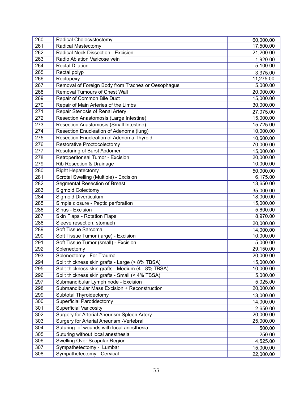| 260 | Radical Cholecystectomy                            | 60,000.00 |
|-----|----------------------------------------------------|-----------|
| 261 | <b>Radical Mastectomy</b>                          | 17,500.00 |
| 262 | Radical Neck Dissection - Excision                 | 21,200.00 |
| 263 | Radio Ablation Varicose vein                       | 1,920.00  |
| 264 | <b>Rectal Dilation</b>                             | 5,100.00  |
| 265 | Rectal polyp                                       | 3,375.00  |
| 266 | Rectopexy                                          | 11,275.00 |
| 267 | Removal of Foreign Body from Trachea or Oesophagus | 5,000.00  |
| 268 | <b>Removal Tumours of Chest Wall</b>               | 20,000.00 |
| 269 | Repair of Common Bile Duct                         | 15,000.00 |
| 270 | Repair of Main Arteries of the Limbs               | 30,000.00 |
| 271 | Repair Stenosis of Renal Artery                    | 27,075.00 |
| 272 | Resection Anastomosis (Large Intestine)            | 15,000.00 |
| 273 | Resection Anastomosis (Small Intestine)            | 15,725.00 |
| 274 | Resection Enucleation of Adenoma (lung)            | 10,000.00 |
| 275 | Resection Enucleation of Adenoma Thyroid           | 10,600.00 |
| 276 | Restorative Proctocolectomy                        | 70,000.00 |
| 277 | Resuturing of Burst Abdomen                        | 15,000.00 |
| 278 | Retroperitoneal Tumor - Excision                   | 20,000.00 |
| 279 | Rib Resection & Drainage                           | 10,000.00 |
| 280 | <b>Right Hepatectomy</b>                           | 50,000.00 |
| 281 | Scrotal Swelling (Multiple) - Excision             | 6,175.00  |
| 282 | <b>Segmental Resection of Breast</b>               | 13,650.00 |
| 283 | <b>Sigmoid Colectomy</b>                           | 35,000.00 |
| 284 | Sigmoid Diverticulum                               | 18,000.00 |
| 285 | Simple closure - Peptic perforation                | 15,000.00 |
| 286 | Sinus - Excision                                   | 5,600.00  |
| 287 | Skin Flaps - Rotation Flaps                        | 8,970.00  |
| 288 | Sleeve resection, stomach                          | 20,000.00 |
| 289 | Soft Tissue Sarcoma                                | 14,000.00 |
| 290 | Soft Tissue Tumor (large) - Excision               | 10,000.00 |
| 291 | Soft Tissue Tumor (small) - Excision               | 5,000.00  |
| 292 | Splenectomy                                        | 29,150.00 |
| 293 | Splenectomy - For Trauma                           | 20,000.00 |
| 294 | Split thickness skin grafts - Large (> 8% TBSA)    | 15,000.00 |
| 295 | Split thickness skin grafts - Medium (4 - 8% TBSA) | 10,000.00 |
| 296 | Split thickness skin grafts - Small (< 4% TBSA)    | 5,000.00  |
| 297 | Submandibular Lymph node - Excision                | 5,025.00  |
| 298 | Submandibular Mass Excision + Reconstruction       | 20,000.00 |
| 299 | Subtotal Thyroidectomy                             | 13,000.00 |
| 300 | <b>Superficial Parotidectomy</b>                   | 14,000.00 |
| 301 | <b>Superficial Varicosity</b>                      | 2,650.00  |
| 302 | Surgery for Arterial Aneurism Spleen Artery        | 20,000.00 |
| 303 | Surgery for Arterial Aneurism - Vertebral          | 25,000.00 |
| 304 | Suturing of wounds with local anesthesia           | 500.00    |
| 305 | Suturing without local anesthesia                  | 250.00    |
| 306 | Swelling Over Scapular Region                      | 4,525.00  |
| 307 | Sympathetectomy - Lumbar                           | 15,000.00 |
| 308 | Sympathetectomy - Cervical                         | 22,000.00 |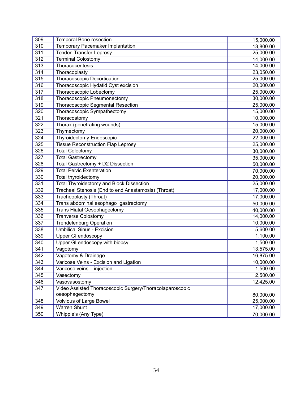| 309 | Temporal Bone resection                                  | 15,000.00 |
|-----|----------------------------------------------------------|-----------|
| 310 | Temporary Pacemaker Implantation                         | 13,800.00 |
| 311 | Tendon Transfer-Leprosy                                  | 25,000.00 |
| 312 | <b>Terminal Colostomy</b>                                | 14,000.00 |
| 313 | Thoracocentesis                                          | 14,000.00 |
| 314 | Thoracoplasty                                            | 23,050.00 |
| 315 | <b>Thoracoscopic Decortication</b>                       | 25,000.00 |
| 316 | Thoracoscopic Hydatid Cyst excision                      | 20,000.00 |
| 317 | Thoracoscopic Lobectomy                                  | 25,000.00 |
| 318 | Thoracoscopic Pneumonectomy                              | 30,000.00 |
| 319 | <b>Thoracoscopic Segmental Resection</b>                 | 25,000.00 |
| 320 | Thoracoscopic Sympathectomy                              | 15,000.00 |
| 321 | Thoracostomy                                             | 10,000.00 |
| 322 | Thorax (penetrating wounds)                              | 15,000.00 |
| 323 | Thymectomy                                               | 20,000.00 |
| 324 | Thyroidectomy-Endoscopic                                 | 22,000.00 |
| 325 | <b>Tissue Reconstruction Flap Leprosy</b>                | 25,000.00 |
| 326 | <b>Total Colectomy</b>                                   | 30,000.00 |
| 327 | <b>Total Gastrectomy</b>                                 | 35,000.00 |
| 328 | Total Gastrectomy + D2 Dissection                        | 50,000.00 |
| 329 | <b>Total Pelvic Exenteration</b>                         | 70,000.00 |
| 330 | Total thyroidectomy                                      | 20,000.00 |
| 331 | <b>Total Thyroidectomy and Block Dissection</b>          | 25,000.00 |
| 332 | Tracheal Stenosis (End to end Anastamosis) (Throat)      | 17,000.00 |
| 333 | Tracheoplasty (Throat)                                   | 17,000.00 |
| 334 | Trans abdominal esophago gastrectomy                     | 50,000.00 |
| 335 | <b>Trans Hiatal Oesophagectomy</b>                       | 40,000.00 |
| 336 | <b>Tranverse Colostomy</b>                               | 14,000.00 |
| 337 | <b>Trendelenburg Operation</b>                           | 10,000.00 |
| 338 | <b>Umbilical Sinus - Excision</b>                        | 5,600.00  |
| 339 | Upper GI endoscopy                                       | 1,100.00  |
| 340 | Upper GI endoscopy with biopsy                           | 1,500.00  |
| 341 | Vagotomy                                                 | 13,575.00 |
| 342 | Vagotomy & Drainage                                      | 16,875.00 |
| 343 | Varicose Veins - Excision and Ligation                   | 10,000.00 |
| 344 | Varicose veins - injection                               | 1,500.00  |
| 345 | Vasectomy                                                | 2,500.00  |
| 346 | Vasovasostomy                                            | 12,425.00 |
| 347 | Video Assisted Thoracoscopic Surgery/Thoracolaparoscopic |           |
|     | oesophagectomy                                           | 80,000.00 |
| 348 | <b>Volvlous of Large Bowel</b>                           | 25,000.00 |
| 349 | Warren Shunt                                             | 17,000.00 |
| 350 | Whipple's (Any Type)                                     | 70,000.00 |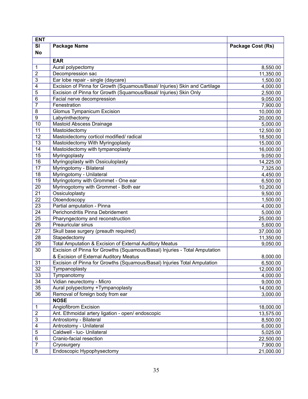| <b>ENT</b>                            |                                                                            |                   |
|---------------------------------------|----------------------------------------------------------------------------|-------------------|
| $\overline{\mathsf{SI}}$<br><b>No</b> | <b>Package Name</b>                                                        | Package Cost (Rs) |
|                                       | <b>EAR</b>                                                                 |                   |
| 1                                     | Aural polypectomy                                                          | 8,550.00          |
| $\overline{2}$                        | Decompression sac                                                          | 11,350.00         |
| 3                                     | Ear lobe repair - single (daycare)                                         | 1,500.00          |
| 4                                     | Excision of Pinna for Growth (Squamous/Basal/ Injuries) Skin and Cartilage | 4,000.00          |
| 5                                     | Excision of Pinna for Growth (Squamous/Basal/ Injuries) Skin Only          | 2,500.00          |
| $6\phantom{1}6$                       | Facial nerve decompression                                                 | 9,050.00          |
| $\overline{7}$                        | Fenestration                                                               | 7,900.00          |
| 8                                     | <b>Glomus Tympanicum Excision</b>                                          | 10,000.00         |
| $\boldsymbol{9}$                      | Labyrinthectomy                                                            | 20,000.00         |
| 10                                    | <b>Mastoid Abscess Drainage</b>                                            | 5,000.00          |
| 11                                    | Mastoidectomy                                                              | 12,500.00         |
| 12                                    | Mastoidectomy corticol modified/ radical                                   | 18,500.00         |
| 13                                    | Mastoidectomy With Myringoplasty                                           | 15,000.00         |
| 14                                    | Mastoidectomy with tympanoplasty                                           | 16,000.00         |
| $\overline{15}$                       | Myringoplasty                                                              | 9,050.00          |
| 16                                    | Myringoplasty with Ossiculoplasty                                          | 14,225.00         |
| 17                                    | Myringotomy - Bilateral                                                    | 7,325.00          |
| 18                                    | Myringotomy - Unilateral                                                   | 4,450.00          |
| 19                                    | Myringotomy with Grommet - One ear                                         | 6,500.00          |
| 20                                    | Myrinogotomy with Grommet - Both ear                                       | 10,200.00         |
| 21                                    | Ossiculoplasty                                                             | 9,500.00          |
| 22                                    | Otoendoscopy                                                               | 1,500.00          |
| $\overline{23}$                       | Partial amputation - Pinna                                                 | 4,000.00          |
| 24                                    | Perichondritis Pinna Debridement                                           | 5,000.00          |
| 25                                    | Pharyngectomy and reconstruction                                           | 25,000.00         |
| $\overline{26}$                       | Preauricular sinus                                                         | 5,600.00          |
| $\overline{27}$                       | Skull base surgery (preauth required)                                      | 37,000.00         |
| 28                                    | Stapedectomy                                                               | 11,350.00         |
| 29                                    | Total Amputation & Excision of External Auditory Meatus                    | 9,050.00          |
| 30                                    | Excision of Pinna for Growths (Squamous/Basal) Injuries - Total Amputation |                   |
|                                       | & Excision of External Auditory Meatus                                     | 8,000.00          |
| 31                                    | Excision of Pinna for Growths (Squamous/Basal) Injuries Total Amputation   | 6,500.00          |
| 32                                    | Tympanoplasty                                                              | 12,000.00         |
| 33                                    | Tympanotomy                                                                | 4,000.00          |
| 34                                    | Vidian neurectomy - Micro                                                  | 9,000.00          |
| 35                                    | Aural polypectomy +Tympanoplasty                                           | 14,000.00         |
| 36                                    | Removal of foreign body from ear                                           | 3,000.00          |
|                                       | <b>NOSE</b>                                                                |                   |
| $\mathbf{1}$                          | Angiofibrom Excision                                                       | 18,000.00         |
| $\boldsymbol{2}$                      | Ant. Ethmoidal artery ligation - open/ endoscopic                          | 13,575.00         |
| 3                                     | Antrostomy - Bilateral                                                     | 8,500.00          |
| 4                                     | Antrostomy - Unilateral                                                    | 6,000.00          |
| 5                                     | Caldwell - luc- Unilateral                                                 | 5,025.00          |
| 6                                     | Cranio-facial resection                                                    | 22,500.00         |
| $\overline{7}$                        | Cryosurgery                                                                | 7,900.00          |
| 8                                     | Endoscopic Hypophysectomy                                                  | 21,000.00         |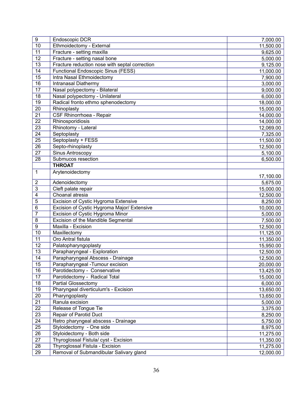| 9                | Endoscopic DCR                                 | 7,000.00  |
|------------------|------------------------------------------------|-----------|
| 10               | Ethmoidectomy - External                       | 11,500.00 |
| 11               | Fracture - setting maxilla                     | 9,625.00  |
| $\overline{12}$  | Fracture - setting nasal bone                  | 5,000.00  |
| 13               | Fracture reduction nose with septal correction | 9,125.00  |
| 14               | <b>Functional Endoscopic Sinus (FESS)</b>      | 11,000.00 |
| 15               | Intra Nasal Ethmoidectomy                      | 7,900.00  |
| 16               | Intranasal Diathermy                           | 3,000.00  |
| 17               | Nasal polypectomy - Bilateral                  | 9,000.00  |
| $\overline{18}$  | Nasal polypectomy - Unilateral                 | 6,000.00  |
| 19               | Radical fronto ethmo sphenodectomy             | 18,000.00 |
| $\overline{20}$  | Rhinoplasty                                    | 15,000.00 |
| $\overline{21}$  | CSF Rhinorrhoea - Repair                       | 14,000.00 |
| 22               | Rhinosporidiosis                               | 14,000.00 |
| 23               | Rhinotomy - Lateral                            | 12,069.00 |
| $\overline{24}$  | Septoplasty                                    | 7,325.00  |
| 25               | Septoplasty + FESS                             | 11,500.00 |
| $\overline{26}$  | Septo-rhinoplasty                              | 12,500.00 |
| $\overline{27}$  | Sinus Antroscopy                               | 5,100.00  |
| 28               | Submucos resection                             | 6,500.00  |
|                  | <b>THROAT</b>                                  |           |
| 1                | Arytenoidectomy                                |           |
|                  |                                                | 17,100.00 |
| $\boldsymbol{2}$ | Adenoidectomy                                  | 5,675.00  |
| 3                | Cleft palate repair                            | 15,000.00 |
| 4                | Choanal atresia                                | 12,500.00 |
| 5                | Excision of Cystic Hygroma Extensive           | 8,250.00  |
| 6                | Excision of Cystic Hygroma Major/ Extensive    | 10,000.00 |
| $\overline{7}$   | Excision of Cystic Hygroma Minor               | 5,000.00  |
| 8                | Excision of the Mandible Segmental             | 7,500.00  |
| $\boldsymbol{9}$ | Maxilla - Excision                             | 12,500.00 |
| 10               | Maxillectomy                                   | 11,125.00 |
| $\overline{11}$  | Oro Antral fistula                             | 11,350.00 |
| $\overline{12}$  | Palatopharyngoplasty                           | 15,950.00 |
| 13               | Parapharyngeal - Exploration                   | 12,500.00 |
| 14               | Parapharyngeal Abscess - Drainage              | 12,500.00 |
| 15               | Parapharyngeal - Tumour excision               | 20,000.00 |
| 16               | Parotidectomy - Conservative                   | 13,425.00 |
| 17               | Parotidectomy - Radical Total                  | 15,000.00 |
| 18               | <b>Partial Glossectomy</b>                     | 6,000.00  |
| 19               | Pharyngeal diverticulum's - Excision           | 13,650.00 |
| 20               | Pharyngoplasty                                 | 13,650.00 |
| $\overline{21}$  | Ranula excision                                | 5,000.00  |
| 22               | Release of Tongue Tie                          | 3,375.00  |
| $\overline{23}$  | Repair of Parotid Duct                         | 8,250.00  |
| $\overline{24}$  | Retro pharyngeal abscess - Drainage            | 5,750.00  |
| 25               | Styloidectomy - One side                       | 8,975.00  |
| 26               | Styloidectomy - Both side                      | 11,275.00 |
| 27               | Thyroglossal Fistula/ cyst - Excision          | 11,350.00 |
| 28               | Thyroglossal Fistula - Excision                | 11,275.00 |
| 29               | Removal of Submandibular Salivary gland        | 12,000.00 |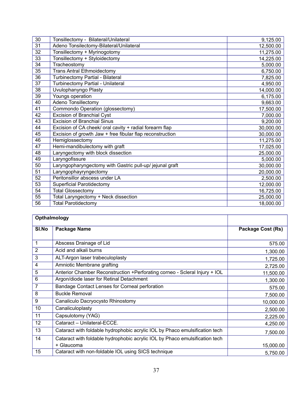| 30 | Tonsillectomy - Bilateral/Unilateral                      | 9,125.00  |
|----|-----------------------------------------------------------|-----------|
| 31 | Adeno Tonsilectomy-Bilateral/Unilateral                   | 12,500.00 |
| 32 | Tonsillectomy + Myrinogotomy                              | 11,275.00 |
| 33 | Tonsillectomy + Styloidectomy                             | 14,225.00 |
| 34 | Tracheostomy                                              | 5,000.00  |
| 35 | <b>Trans Antral Ethmoidectomy</b>                         | 6,750.00  |
| 36 | Turbinectomy Partial - Bilateral                          | 7,825.00  |
| 37 | Turbinectomy Partial - Unilateral                         | 4,950.00  |
| 38 | Uvulophanyngo Plasty                                      | 14,000.00 |
| 39 | Youngs operation                                          | 6,175.00  |
| 40 | Adeno Tonsillectomy                                       | 9,663.00  |
| 41 | Commondo Operation (glossectomy)                          | 17,500.00 |
| 42 | <b>Excision of Branchial Cyst</b>                         | 7,000.00  |
| 43 | <b>Excision of Branchial Sinus</b>                        | 9,200.00  |
| 44 | Excision of CA cheek/ oral cavity + radial forearm flap   | 30,000.00 |
| 45 | Excision of growth Jaw + free fibular flap reconstruction | 30,000.00 |
| 46 | Hemiglossectomy                                           | 11,275.00 |
| 47 | Hemi-mandibulectomy with graft                            | 17,025.00 |
| 48 | Laryngectomy with block dissection                        | 25,000.00 |
| 49 | Laryngofissure                                            | 5,000.00  |
| 50 | Laryngopharyngectomy with Gastric pull-up/ jejunal graft  | 30,000.00 |
| 51 | Laryngophayryngectomy                                     | 20,000.00 |
| 52 | Peritonsillor abscess under LA                            | 2,500.00  |
| 53 | <b>Superficial Parotidectomy</b>                          | 12,000.00 |
| 54 | <b>Total Glossectomy</b>                                  | 16,725.00 |
| 55 | Total Laryngectomy + Neck dissection                      | 25,000.00 |
| 56 | <b>Total Parotidectomy</b>                                | 18,000.00 |

|                | Opthalmology                                                                |                   |
|----------------|-----------------------------------------------------------------------------|-------------------|
| SI.No          | <b>Package Name</b>                                                         | Package Cost (Rs) |
|                |                                                                             |                   |
| 1              | Abscess Drainage of Lid                                                     | 575.00            |
| $\overline{2}$ | Acid and alkali burns                                                       | 1,300.00          |
| 3              | ALT-Argon laser trabeculoplasty                                             | 1,725.00          |
| 4              | Amniotic Membrane grafting                                                  | 2,725.00          |
| 5              | Anterior Chamber Reconstruction +Perforating corneo - Scleral Injury + IOL  | 11,500.00         |
| 6              | Argon/diode laser for Retinal Detachment                                    | 1,300.00          |
| $\overline{7}$ | Bandage Contact Lenses for Corneal perforation                              | 575.00            |
| 8              | <b>Buckle Removal</b>                                                       | 7,500.00          |
| 9              | Canaliculo Dacryocysto Rhinostomy                                           | 10,000.00         |
| 10             | Canaliculoplasty                                                            | 2,500.00          |
| 11             | Capsulotomy (YAG)                                                           | 2,225.00          |
| 12             | Cataract - Unilateral-ECCE.                                                 | 4,250.00          |
| 13             | Cataract with foldable hydrophobic acrylic IOL by Phaco emulsification tech | 7,500.00          |
| 14             | Cataract with foldable hydrophobic acrylic IOL by Phaco emulsification tech |                   |
|                | + Glaucoma                                                                  | 15,000.00         |
| 15             | Cataract with non-foldable IOL using SICS technique                         | 5,750.00          |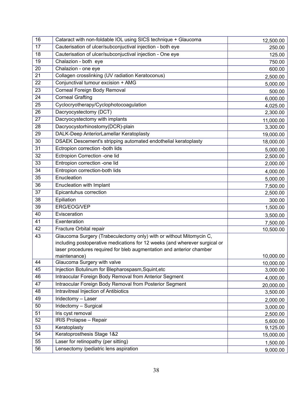| 16              | Cataract with non-foldable IOL using SICS technique + Glaucoma                                                                                                                                                                            | 12,500.00 |
|-----------------|-------------------------------------------------------------------------------------------------------------------------------------------------------------------------------------------------------------------------------------------|-----------|
| 17              | Cauterisation of ulcer/subconjuctival injection - both eye                                                                                                                                                                                | 250.00    |
| 18              | Cauterisation of ulcer/subconjuctival injection - One eye                                                                                                                                                                                 | 125.00    |
| 19              | Chalazion - both eye                                                                                                                                                                                                                      | 750.00    |
| 20              | Chalazion - one eye                                                                                                                                                                                                                       | 600.00    |
| 21              | Collagen crosslinking (UV radiation Keratoconus)                                                                                                                                                                                          | 2,500.00  |
| 22              | Conjunctival tumour excision + AMG                                                                                                                                                                                                        | 5,000.00  |
| $\overline{23}$ | Corneal Foreign Body Removal                                                                                                                                                                                                              | 500.00    |
| 24              | <b>Corneal Grafting</b>                                                                                                                                                                                                                   | 6,000.00  |
| 25              | Cyclocryotherapy/Cyclophotocoagulation                                                                                                                                                                                                    | 4,025.00  |
| 26              | Dacryocystectomy (DCT)                                                                                                                                                                                                                    | 2,300.00  |
| 27              | Dacryocystectomy with implants                                                                                                                                                                                                            | 11,000.00 |
| 28              | Dacryocystorhinostomy(DCR)-plain                                                                                                                                                                                                          | 3,300.00  |
| 29              | DALK-Deep AnteriorLamellar Keratoplasty                                                                                                                                                                                                   | 19,000.00 |
| 30              | DSAEK Descement's stripping automated endothelial keratoplasty                                                                                                                                                                            | 18,000.00 |
| 31              | Ectropion correction -both lids                                                                                                                                                                                                           | 5,000.00  |
| 32              | Ectropion Correction -one lid                                                                                                                                                                                                             | 2,500.00  |
| 33              | Entropion correction -one lid                                                                                                                                                                                                             | 2,000.00  |
| 34              | Entropion correction-both lids                                                                                                                                                                                                            | 4,000.00  |
| 35              | Enucleation                                                                                                                                                                                                                               | 5,000.00  |
| 36              | Enucleation with Implant                                                                                                                                                                                                                  | 7,500.00  |
| 37              | Epicantuhus correction                                                                                                                                                                                                                    | 2,500.00  |
| 38              | Epiliation                                                                                                                                                                                                                                | 300.00    |
| 39              | ERG/EOG/VEP                                                                                                                                                                                                                               | 1,500.00  |
| 40              | Evisceration                                                                                                                                                                                                                              | 3,500.00  |
| 41              | Exenteration                                                                                                                                                                                                                              | 7,500.00  |
| 42              | Fracture Orbital repair                                                                                                                                                                                                                   | 10,500.00 |
| 43              | Glaucoma Surgery (Trabeculectomy only) with or without Mitomycin C,<br>including postoperative medications for 12 weeks (and wherever surgical or<br>laser procedures required for bleb augmentation and anterior chamber<br>maintenance) | 10,000.00 |
| 44              | Glaucoma Surgery with valve                                                                                                                                                                                                               | 10,000.00 |
| 45              | Injection Botulinum for Blepharospasm, Squint, etc                                                                                                                                                                                        | 3,000.00  |
| 46              | Intraocular Foreign Body Removal from Anterior Segment                                                                                                                                                                                    | 4,000.00  |
| 47              | Intraocular Foreign Body Removal from Posterior Segment                                                                                                                                                                                   | 20,000.00 |
| 48              | <b>Intravitreal Injection of Antibiotics</b>                                                                                                                                                                                              | 3,500.00  |
| 49              | Iridectomy - Laser                                                                                                                                                                                                                        | 2,000.00  |
| 50              | Iridectomy - Surgical                                                                                                                                                                                                                     | 3,000.00  |
| 51              | Iris cyst removal                                                                                                                                                                                                                         | 2,500.00  |
| 52              | <b>IRIS Prolapse - Repair</b>                                                                                                                                                                                                             | 5,600.00  |
| 53              | Keratoplasty                                                                                                                                                                                                                              | 9,125.00  |
| 54              | Keratoprosthesis Stage 1&2                                                                                                                                                                                                                | 15,000.00 |
| 55              | Laser for retinopathy (per sitting)                                                                                                                                                                                                       | 1,500.00  |
| 56              | Lensectomy /pediatric lens aspiration                                                                                                                                                                                                     | 9,000.00  |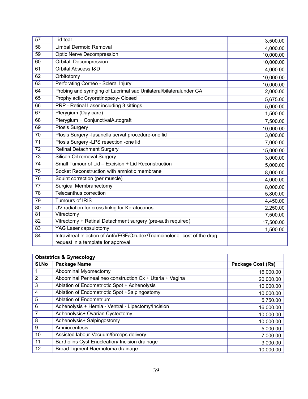| $\overline{57}$ | Lid tear                                                                  | 3,500.00  |
|-----------------|---------------------------------------------------------------------------|-----------|
| 58              | <b>Limbal Dermoid Removal</b>                                             | 4,000.00  |
| 59              | <b>Optic Nerve Decompression</b>                                          | 10,000.00 |
| 60              | Orbital Decompression                                                     | 10,000.00 |
| 61              | <b>Orbital Abscess I&amp;D</b>                                            | 4,000.00  |
| 62              | Orbitotomy                                                                | 10,000.00 |
| 63              | Perforating Corneo - Scleral Injury                                       | 10,000.00 |
| 64              | Probing and syringing of Lacrimal sac Unilateral/bilateralunder GA        | 2,000.00  |
| 65              | Prophylactic Cryoretinopexy- Closed                                       | 5,675.00  |
| 66              | PRP - Retinal Laser including 3 sittings                                  | 5,000.00  |
| 67              | Pterygium (Day care)                                                      | 1,500.00  |
| 68              | Pterygium + ConjunctivalAutograft                                         | 7,500.00  |
| 69              | Ptosis Surgery                                                            | 10,000.00 |
| $\overline{70}$ | Ptosis Surgery -fasanella servat procedure-one lid                        | 3,000.00  |
| $\overline{71}$ | Ptosis Surgery -LPS resection -one lid                                    | 7,000.00  |
| 72              | <b>Retinal Detachment Surgery</b>                                         | 15,000.00 |
| $\overline{73}$ | Silicon Oil removal Surgery                                               | 3,000.00  |
| 74              | Small Tumour of Lid - Excision + Lid Reconstruction                       | 5,000.00  |
| $\overline{75}$ | Socket Reconstruction with amniotic membrane                              | 8,000.00  |
| $\overline{76}$ | Squint correction (per muscle)                                            | 4,000.00  |
| 77              | <b>Surgical Membranectomy</b>                                             | 8,000.00  |
| 78              | Telecanthus correction                                                    | 5,800.00  |
| 79              | <b>Tumours of IRIS</b>                                                    | 4,450.00  |
| 80              | UV radiation for cross linkig for Keratoconus                             | 2,250.00  |
| 81              | Vitrectomy                                                                | 7,500.00  |
| 82              | Vitrectomy + Retinal Detachment surgery (pre-auth required)               | 17,500.00 |
| 83              | YAG Laser capsulotomy                                                     | 1,500.00  |
| 84              | Intravitreal Injection of AntiVEGF/Ozudex/Triamcinolone- cost of the drug |           |
|                 | request in a template for approval                                        |           |

|       | <b>Obstetrics &amp; Gynecology</b>                       |                          |
|-------|----------------------------------------------------------|--------------------------|
| SI.No | Package Name                                             | <b>Package Cost (Rs)</b> |
|       | Abdominal Myomectomy                                     | 16,000.00                |
| 2     | Abdominal Perineal neo construction Cx + Uteria + Vagina | 20,000.00                |
| 3     | Ablation of Endometriotic Spot + Adhenolysis             | 10,000.00                |
| 4     | Ablation of Endometriotic Spot +Salpingostomy            | 10,000.00                |
| 5     | Ablation of Endometrium                                  | 5,750.00                 |
| 6     | Adhenolysis + Hernia - Ventral - Lipectomy/Incision      | 16,000.00                |
| 7     | Adhenolysis+ Ovarian Cystectomy                          | 10,000.00                |
| 8     | Adhenolysis+ Salpingostomy                               | 10,000.00                |
| 9     | Amniocentesis                                            | 5,000.00                 |
| 10    | Assisted labour-Vacuum/forceps delivery                  | 7,000.00                 |
| 11    | Bartholins Cyst Enucleation/ Incision drainage           | 3,000.00                 |
| 12    | Broad Ligment Haemotoma drainage                         | 10,000.00                |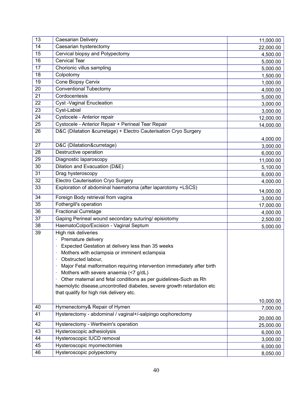| 13 | Caesarian Delivery                                                                                                                                                                                                                                                                                                                                                                                                                                                                                 | 11,000.00 |
|----|----------------------------------------------------------------------------------------------------------------------------------------------------------------------------------------------------------------------------------------------------------------------------------------------------------------------------------------------------------------------------------------------------------------------------------------------------------------------------------------------------|-----------|
| 14 | Caesarian hysterectomy                                                                                                                                                                                                                                                                                                                                                                                                                                                                             | 22,000.00 |
| 15 | Cervical biopsy and Polypectomy                                                                                                                                                                                                                                                                                                                                                                                                                                                                    | 4,500.00  |
| 16 | <b>Cervical Tear</b>                                                                                                                                                                                                                                                                                                                                                                                                                                                                               | 5,000.00  |
| 17 | Chorionic villus sampling                                                                                                                                                                                                                                                                                                                                                                                                                                                                          | 5,000.00  |
| 18 | Colpotomy                                                                                                                                                                                                                                                                                                                                                                                                                                                                                          | 1,500.00  |
| 19 | <b>Cone Biopsy Cervix</b>                                                                                                                                                                                                                                                                                                                                                                                                                                                                          | 1,000.00  |
| 20 | <b>Conventional Tubectomy</b>                                                                                                                                                                                                                                                                                                                                                                                                                                                                      | 4,000.00  |
| 21 | Cordocentesis                                                                                                                                                                                                                                                                                                                                                                                                                                                                                      | 5,000.00  |
| 22 | <b>Cyst-Vaginal Enucleation</b>                                                                                                                                                                                                                                                                                                                                                                                                                                                                    | 3,000.00  |
| 23 | Cyst-Labial                                                                                                                                                                                                                                                                                                                                                                                                                                                                                        | 3,000.00  |
| 24 | Cystocele - Anterior repair                                                                                                                                                                                                                                                                                                                                                                                                                                                                        | 12,000.00 |
| 25 | Cystocele - Anterior Repair + Perineal Tear Repair                                                                                                                                                                                                                                                                                                                                                                                                                                                 | 14,000.00 |
| 26 | D&C (Dilatation &curretage) + Electro Cauterisation Cryo Surgery                                                                                                                                                                                                                                                                                                                                                                                                                                   |           |
|    |                                                                                                                                                                                                                                                                                                                                                                                                                                                                                                    | 4,000.00  |
| 27 | D&C (Dilatation&curretage)                                                                                                                                                                                                                                                                                                                                                                                                                                                                         | 3,000.00  |
| 28 | Destructive operation                                                                                                                                                                                                                                                                                                                                                                                                                                                                              | 6,000.00  |
| 29 | Diagnostic laparoscopy                                                                                                                                                                                                                                                                                                                                                                                                                                                                             | 11,000.00 |
| 30 | Dilation and Evacuation (D&E)                                                                                                                                                                                                                                                                                                                                                                                                                                                                      | 5,100.00  |
| 31 | Drag hysteroscopy                                                                                                                                                                                                                                                                                                                                                                                                                                                                                  | 6,000.00  |
| 32 | Electro Cauterisation Cryo Surgery                                                                                                                                                                                                                                                                                                                                                                                                                                                                 | 4,000.00  |
| 33 | Exploration of abdominal haematoma (after laparotomy +LSCS)                                                                                                                                                                                                                                                                                                                                                                                                                                        | 14,000.00 |
| 34 | Foreign Body retrieval from vagina                                                                                                                                                                                                                                                                                                                                                                                                                                                                 | 3,000.00  |
| 35 | Fothergill's operation                                                                                                                                                                                                                                                                                                                                                                                                                                                                             | 17,000.00 |
| 36 | <b>Fractional Curretage</b>                                                                                                                                                                                                                                                                                                                                                                                                                                                                        | 4,000.00  |
| 37 | Gaping Perineal wound secondary suturing/episiotomy                                                                                                                                                                                                                                                                                                                                                                                                                                                | 2,500.00  |
| 38 | HaematoColpo/Excision - Vaginal Septum                                                                                                                                                                                                                                                                                                                                                                                                                                                             | 5,000.00  |
| 39 | High risk deliveries<br>Premature delivery<br>Expected Gestation at delivery less than 35 weeks<br>Mothers with eclampsia or imminent eclampsia<br>Obstructed labour,<br>Major Fetal malformation requiring intervention immediately after birth<br>Mothers with severe anaemia (<7 g/dL)<br>Other maternal and fetal conditions as per guidelines-Such as Rh<br>$\bullet$<br>haemolytic disease, uncontrolled diabetes, severe growth retardation etc<br>that qualify for high risk delivery etc. |           |
| 40 | Hymenectomy& Repair of Hymen                                                                                                                                                                                                                                                                                                                                                                                                                                                                       | 10,000.00 |
| 41 | Hysterectomy - abdominal / vaginal+/-salpingo oophorectomy                                                                                                                                                                                                                                                                                                                                                                                                                                         | 7,000.00  |
|    |                                                                                                                                                                                                                                                                                                                                                                                                                                                                                                    | 20,000.00 |
| 42 | Hysterectomy - Wertheim's operation                                                                                                                                                                                                                                                                                                                                                                                                                                                                | 25,000.00 |
| 43 | Hysteroscopic adhesiolysis                                                                                                                                                                                                                                                                                                                                                                                                                                                                         | 6,000.00  |
| 44 | Hysteroscopic IUCD removal                                                                                                                                                                                                                                                                                                                                                                                                                                                                         | 3,000.00  |
| 45 | Hysteroscopic myomectomies                                                                                                                                                                                                                                                                                                                                                                                                                                                                         | 6,000.00  |
| 46 | Hysteroscopic polypectomy                                                                                                                                                                                                                                                                                                                                                                                                                                                                          | 8,050.00  |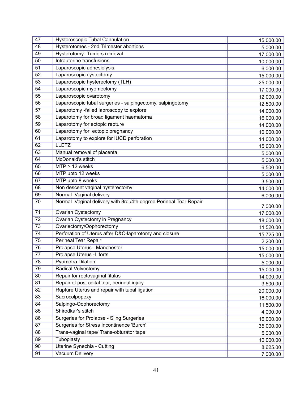| 47 | <b>Hysteroscopic Tubal Cannulation</b>                            | 15,000.00 |
|----|-------------------------------------------------------------------|-----------|
| 48 | Hysterotomes - 2nd Trimester abortions                            | 5,000.00  |
| 49 | Hysterotomy - Tumors removal                                      | 17,000.00 |
| 50 | Intrauterine transfusions                                         | 10,000.00 |
| 51 | Laparoscopic adhesiolysis                                         | 6,000.00  |
| 52 | Laparoscopic cystectomy                                           | 15,000.00 |
| 53 | Laparoscopic hysterectomy (TLH)                                   | 25,000.00 |
| 54 | Laparoscopic myomectomy                                           | 17,000.00 |
| 55 | Laparoscopic ovarotomy                                            | 12,000.00 |
| 56 | Laparoscopic tubal surgeries - salpingectomy, salpingotomy        | 12,500.00 |
| 57 | Laparotomy -failed laproscopy to explore                          | 14,000.00 |
| 58 | Laparotomy for broad ligament haematoma                           | 16,000.00 |
| 59 | Laparotomy for ectopic repture                                    | 14,000.00 |
| 60 | Laparotomy for ectopic pregnancy                                  | 10,000.00 |
| 61 | Laparotomy to explore for IUCD perforation                        | 14,000.00 |
| 62 | <b>LLETZ</b>                                                      | 15,000.00 |
| 63 | Manual removal of placenta                                        | 5,000.00  |
| 64 | McDonald's stitch                                                 | 5,000.00  |
| 65 | $MTP > 12$ weeks                                                  | 6,500.00  |
| 66 | MTP upto 12 weeks                                                 | 5,000.00  |
| 67 | MTP upto 8 weeks                                                  | 3,500.00  |
| 68 | Non descent vaginal hysterectomy                                  | 14,000.00 |
| 69 | Normal Vaginal delivery                                           | 6,000.00  |
| 70 | Normal Vaginal delivery with 3rd /4th degree Perineal Tear Repair | 7,000.00  |
| 71 | Ovarian Cystectomy                                                | 17,000.00 |
| 72 | Ovarian Cystectomy in Pregnancy                                   | 18,000.00 |
| 73 | Ovariectomy/Oophorectomy                                          | 11,520.00 |
| 74 | Perforation of Uterus after D&C-laparotomy and closure            | 15,725.00 |
| 75 | Perineal Tear Repair                                              | 2,200.00  |
| 76 | Prolapse Uterus - Manchester                                      | 15,000.00 |
| 77 | Prolapse Uterus -L forts                                          | 15,000.00 |
| 78 | Pyometra Dilation                                                 | 5,000.00  |
| 79 | <b>Radical Vulvectomy</b>                                         | 15,000.00 |
| 80 | Repair for rectovaginal fitulas                                   | 14,000.00 |
| 81 | Repair of post coital tear, perineal injury                       | 3,500.00  |
| 82 | Rupture Uterus and repair with tubal ligation                     | 20,000.00 |
| 83 | Sacrocolpopexy                                                    | 16,000.00 |
| 84 | Salpingo-Oophorectomy                                             | 11,500.00 |
| 85 | Shirodkar's stitch                                                | 4,000.00  |
| 86 | Surgeries for Prolapse - Sling Surgeries                          | 16,000.00 |
| 87 | Surgeries for Stress Incontinence 'Burch'                         | 35,000.00 |
| 88 | Trans-vaginal tape/ Trans-obturator tape                          | 5,000.00  |
| 89 | Tuboplasty                                                        | 10,000.00 |
| 90 | Uterine Synechia - Cutting                                        | 8,625.00  |
| 91 | Vacuum Delivery                                                   | 7,000.00  |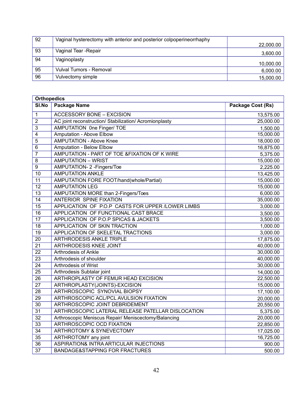| 92 | Vaginal hysterectomy with anterior and posterior colpoperine orrhaphy |           |
|----|-----------------------------------------------------------------------|-----------|
|    |                                                                       | 22,000.00 |
| 93 | Vaginal Tear - Repair                                                 | 3,600.00  |
| 94 | Vaginoplasty                                                          | 10,000.00 |
| 95 | Vulval Tumors - Removal                                               | 6,000.00  |
| 96 | Vulvectomy simple                                                     | 15,000.00 |

|                 | <b>Orthopedics</b>                                     |                   |  |  |
|-----------------|--------------------------------------------------------|-------------------|--|--|
| SI.No           | <b>Package Name</b>                                    | Package Cost (Rs) |  |  |
| 1               | <b>ACCESSORY BONE - EXCISION</b>                       | 13,575.00         |  |  |
| $\overline{2}$  | AC joint reconstruction/ Stabilization/ Acromionplasty | 25,000.00         |  |  |
| 3               | <b>AMPUTATION One Finger/ TOE</b>                      | 1,500.00          |  |  |
| $\overline{4}$  | <b>Amputation - Above Elbow</b>                        | 15,000.00         |  |  |
| 5               | <b>AMPUTATION - Above Knee</b>                         | 18,000.00         |  |  |
| 6               | Amputation - Below Elbow                               | 16,875.00         |  |  |
| 7               | AMPUTATION - PART OF TOE &FIXATION OF K WIRE           | 5,375.00          |  |  |
| 8               | <b>AMPUTATION - WRIST</b>                              | 15,000.00         |  |  |
| 9               | AMPUTATION- 2 - Fingers/Toe                            | 2,225.00          |  |  |
| 10              | <b>AMPUTATION ANKLE</b>                                | 13,425.00         |  |  |
| 11              | AMPUTATION FORE FOOT/hand(whole/Partial)               | 15,000.00         |  |  |
| $\overline{12}$ | <b>AMPUTATION LEG</b>                                  | 15,000.00         |  |  |
| 13              | AMPUTATION MORE than 2-Fingers/Toes                    | 6,000.00          |  |  |
| 14              | <b>ANTERIOR SPINE FIXATION</b>                         | 35,000.00         |  |  |
| $\overline{15}$ | APPLICATION OF P.O.P CASTS FOR UPPER /LOWER LIMBS      | 3,000.00          |  |  |
| $\overline{16}$ | APPLICATION OF FUNCTIONAL CAST BRACE                   | 3,500.00          |  |  |
| 17              | APPLICATION OF P.O.P SPICAS & JACKETS                  | 3,500.00          |  |  |
| 18              | APPLICATION OF SKIN TRACTION                           | 1,000.00          |  |  |
| 19              | APPLICATION OF SKELETAL TRACTIONS                      | 3,000.00          |  |  |
| $\overline{20}$ | <b>ARTHRODESIS ANKLE TRIPLE</b>                        | 17,875.00         |  |  |
| 21              | ARTHRODESIS KNEE JOINT                                 | 40,000.00         |  |  |
| 22              | <b>Arthrodesis of Ankle</b>                            | 30,000.00         |  |  |
| $\overline{23}$ | Arthrodesis of shoulder                                | 40,000.00         |  |  |
| $\overline{24}$ | Arthrodesis of Wrist                                   | 30,000.00         |  |  |
| $\overline{25}$ | Arthrodesis Subtalar joint                             | 14,000.00         |  |  |
| $\overline{26}$ | ARTHROPLASTY OF FEMUR HEAD EXCISION                    | 22,500.00         |  |  |
| 27              | ARTHROPLASTY(JOINTS)-EXCISION                          | 15,000.00         |  |  |
| 28              | ARTHROSCOPIC SYNOVIAL BIOPSY                           | 17,100.00         |  |  |
| 29              | ARTHROSCOPIC ACL/PCL AVULSION FIXATION                 | 20,000.00         |  |  |
| 30              | ARTHROSCOPIC JOINT DEBRIDEMENT                         | 20,550.00         |  |  |
| 31              | ARTHROSCOPIC LATERAL RELEASE PATELLAR DISLOCATION      | 5,375.00          |  |  |
| $\overline{32}$ | Arthroscopic Meniscus Repair/ Meniscectomy/Balancing   | 20,000.00         |  |  |
| $\overline{33}$ | ARTHROSCOPIC OCD FIXATION                              | 22,850.00         |  |  |
| 34              | <b>ARTHROTOMY &amp; SYNEVECTOMY</b>                    | 17,025.00         |  |  |
| 35              | ARTHROTOMY any joint                                   | 16,725.00         |  |  |
| 36              | ASPIRATION& INTRA ARTICULAR INJECTIONS                 | 900.00            |  |  |
| $\overline{37}$ | <b>BANDAGE&amp;STAPPING FOR FRACTURES</b>              | 500.00            |  |  |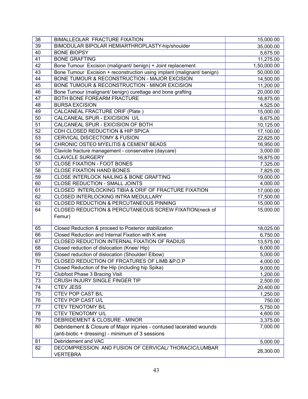| 38              | <b>BIMALLEOLAR FRACTURE FIXATION</b>                                    | 15,000.00   |
|-----------------|-------------------------------------------------------------------------|-------------|
| 39              | BIMODULAR BIPOLAR HEMIARTHROPLASTY-hip/shoulder                         | 35,000.00   |
| 40              | <b>BONE BIOPSY</b>                                                      | 5,675.00    |
| 41              | <b>BONE GRAFTING</b>                                                    | 11,275.00   |
| 42              | Bone Tumour Excision (malignant/ benign) + Joint replacement            | 1,50,000.00 |
| 43              | Bone Tumour Excision + reconstruction using implant (malignant/ benign) | 50,000.00   |
| 44              | BONE TUMOUR & RECONSTRUCTION - MAJOR EXCISION                           | 14,500.00   |
| 45              | BONE TUMOUR & RECONSTRUCTION - MINOR EXCISION                           | 11,200.00   |
| 46              | Bone Tumour (malignant/ benign) curettage and bone grafting             | 20,000.00   |
| 47              | <b>BOTH BONE FOREARM FRACTURE</b>                                       | 16,875.00   |
| 48              | <b>BURSA EXCISION</b>                                                   | 4,525.00    |
| 49              | <b>CALCANEAL FRACTURE ORIF (Plate)</b>                                  | 15,000.00   |
| 50              | CALCANEAL SPUR - EXICISION U/L                                          | 6,675.00    |
| 51              | CALCANEAL SPUR - EXICISION OF BOTH                                      | 10,125.00   |
| 52              | CDH CLOSED REDUCTION & HIP SPICA                                        | 17,100.00   |
| 53              | <b>CERVICAL DISCECTOMY &amp; FUSION</b>                                 | 22,625.00   |
| 54              | <b>CHRONIC OSTEO MYELITIS &amp; CEMENT BEADS</b>                        | 16,950.00   |
| 55              | Clavicle fracture management - conservative (daycare)                   | 3,000.00    |
| $\overline{56}$ | <b>CLAVICLE SURGERY</b>                                                 | 16,875.00   |
| 57              | <b>CLOSE FIXATION - FOOT BONES</b>                                      | 7,325.00    |
| 58              | <b>CLOSE FIXATION HAND BONES</b>                                        | 7,825.00    |
| 59              | CLOSE INTERLOCK NAILING & BONE GRAFTING                                 | 19,000.00   |
| 60              | <b>CLOSE REDUCTION - SMALL JOINTS</b>                                   | 4,000.00    |
| 61              | CLOSED INTERLOCKING TIBIA & ORIF OF FRACTURE FIXATION                   | 17,000.00   |
| 62              | CLOSED INTERLOCKING INTRA MEDULLARY                                     | 17,500.00   |
| 63              | <b>CLOSED REDUCTION &amp; PERCUTANEOUS PINNING</b>                      | 15,000.00   |
| 64              | CLOSED REDUCTION & PERCUTANEOUS SCREW FIXATION(neck of                  | 15,000.00   |
|                 | Femur)                                                                  |             |
|                 |                                                                         |             |
| 65              | Closed Reduction & proceed to Posterior stabilization                   | 18,025.00   |
| 66              | Closed Reduction and Internal Fixation with K wire                      | 6,750.00    |
| 67              | CLOSED REDUCTION INTERNAL FIXATION OF RADIUS                            | 13,575.00   |
| 68              | Closed reduction of dislocation (Knee/ Hip)                             | 6,000.00    |
| 69              | Closed reduction of dislocation (Shoulder/ Elbow)                       | 5,000.00    |
| 70              | CLOSED REDUCTION OF FRCATURES OF LIMB & P.O.P                           | 4,000.00    |
| 71              | Closed Reduction of the Hip (including hip Spika)                       | 9,000.00    |
| 72              | Clubfoot Phase 3 Bracing Visit                                          | 1,200.00    |
| 73              | <b>CRUSH INJURY SINGLE FINGER TIP</b>                                   | 2,500.00    |
| 74              | <b>CTEV JESS</b>                                                        | 20,400.00   |
| $\overline{75}$ | CTEV POP CAST B/L                                                       | 1,250.00    |
| 76              | CTEV POP CAST U/L                                                       | 750.00      |
| 77              | CTEV TENOTOMY B/L                                                       | 5,750.00    |
| 78              | CTEV TENOTOMY U/L                                                       | 4,600.00    |
| 79              | DEBRIDEMENT & CLOSURE - MINOR                                           | 3,375.00    |
| 80              | Debridement & Closure of Major injuries - contused lacerated wounds     | 7,000.00    |
|                 | (anti-biotic + dressing) - minimum of 3 sessions                        |             |
| 81              | Debridement and VAC                                                     | 5,000.00    |
| 82              | DECOMPRESSION AND FUSION OF CERVICAL/ THORACIC/LUMBAR                   |             |
|                 | <b>VERTEBRA</b>                                                         | 28,300.00   |
|                 |                                                                         |             |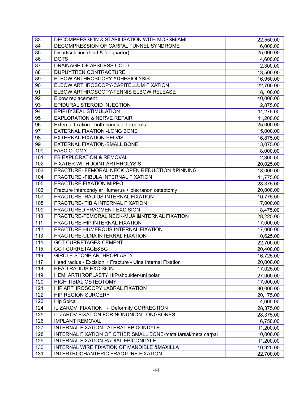| 83  | DECOMPRESSION & STABILISATION WITH MOSSMIAMI                  | 22,550.00 |
|-----|---------------------------------------------------------------|-----------|
| 84  | DECOMPRESSION OF CARPAL TUNNEL SYNDROME                       | 6,000.00  |
| 85  | Disarticulation (hind & for quarter)                          | 25,000.00 |
| 86  | <b>DQTS</b>                                                   | 4,600.00  |
| 87  | <b>DRAINAGE OF ABSCESS COLD</b>                               | 2,300.00  |
| 88  | DUPUYTREN CONTRACTURE                                         | 13,500.00 |
| 89  | ELBOW ARTHROSCOPY-ADHESIOLYSIS                                | 16,950.00 |
| 90  | ELBOW ARTHROSCOPY-CAPITELLUM FIXATION                         | 22,700.00 |
| 91  | ELBOW ARTHROSCOPY-TENNIS ELBOW RELEASE                        | 18,100.00 |
| 92  | Elbow replacement                                             | 40,000.00 |
| 93  | EPIDURAL STEROID INJECTION                                    | 2,875.00  |
| 94  | EPIPHYSEAL STIMULATION                                        | 11,275.00 |
| 95  | <b>EXPLORATION &amp; NERVE REPAIR</b>                         | 11,200.00 |
| 96  | External fixation - both bones of forearms                    | 25,000.00 |
| 97  | <b>EXTERNAL FIXATION -LONG BONE</b>                           | 15,000.00 |
| 98  | <b>EXTERNAL FIXATION-PELVIS</b>                               | 16,875.00 |
| 99  | EXTERNAL FIXATION-SMALL BONE                                  | 13,075.00 |
| 100 | <b>FASCIOTOMY</b>                                             | 8,000.00  |
| 101 | FB EXPLORATION & REMOVAL                                      | 2,300.00  |
| 102 | FIXATER WITH JOINT ARTHROLYSIS                                | 20,025.00 |
| 103 | FRACTURE- FEMORAL NECK OPEN REDUCTION &PINNING                | 18,000.00 |
| 104 | FRACTURE - FIBULA INTERNAL FIXATION                           | 11,775.00 |
| 105 | <b>FRACTURE FIXATION MIPPO</b>                                | 28,375.00 |
| 106 | Fracture intercondylar Humerus + olecranon osteotomy          | 20,000.00 |
| 107 | FRACTURE- RADIUS INTERNAL FIXATION                            | 10,775.00 |
| 108 | FRACTURE- TIBIA INTERNAL FIXATION                             | 17,000.00 |
| 109 | FRACTURED FRAGMENT EXCISION                                   | 8,475.00  |
| 110 | FRACTURE-FEMORAL NECK-MUA &INTERNAL FIXATION                  | 28,225.00 |
| 111 | FRACTURE-HIP INTERNAL FIXATION                                | 17,000.00 |
| 112 | FRACTURE-HUMEROUS INTERNAL FIXATION                           | 17,000.00 |
| 113 | FRACTURE-ULNA INTERNAL FIXATION                               | 10,625.00 |
| 114 | <b>GCT CURRETAGE&amp; CEMENT</b>                              | 22,700.00 |
| 115 | <b>GCT CURRETAGE&amp;BG</b>                                   | 20,400.00 |
| 116 | <b>GIRDLE STONE ARTHROPLASTY</b>                              | 16,725.00 |
| 117 | Head radius - Excision + Fracture - Ulna Internal Fixation    | 20,000.00 |
| 118 | <b>HEAD RADIUS EXCISION</b>                                   | 17,025.00 |
| 119 | HEMI ARTHROPLASTY HIP/shoulder-uni polar                      | 27,000.00 |
| 120 | <b>HIGH TIBIAL OSTEOTOMY</b>                                  | 17,000.00 |
| 121 | HIP ARTHROSCOPY LABRAL FIXATION                               | 30,000.00 |
| 122 | <b>HIP REGION SURGERY</b>                                     | 20,175.00 |
| 123 | <b>Hip Spica</b>                                              | 4,600.00  |
| 124 | ILIZAROV FIXATION - Deformity CORRECTION                      | 28,375.00 |
| 125 | ILIZAROV FIXATION FOR NONUNION LONGBONES                      | 28,375.00 |
| 126 | <b>IMPLANT REMOVAL</b>                                        | 6,750.00  |
| 127 | INTERNAL FIXATION LATERAL EPICONDYLE                          | 11,200.00 |
| 128 | INTERNAL FIXATION OF OTHER SMALL BONE-meta tarsal/meta carpal | 10,000.00 |
| 129 | INTERNAL FIXATION RADIAL EPICONDYLE                           | 11,200.00 |
| 130 | INTERNAL WIRE FIXATION OF MANDIBLE & MAXILLA                  | 10,925.00 |
| 131 | INTERTROCHANTERIC FRACTURE FIXATION                           | 22,700.00 |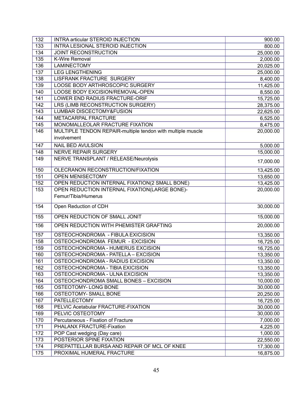| 132              | <b>INTRA articular STEROID INJECTION</b>                    | 900.00    |
|------------------|-------------------------------------------------------------|-----------|
| 133              | INTRA LESIONAL STEROID INJECTION                            | 800.00    |
| 134              | <b>JOINT RECONSTRUCTION</b>                                 | 25,000.00 |
| $\overline{135}$ | <b>K-Wire Removal</b>                                       | 2,000.00  |
| 136              | <b>LAMINECTOMY</b>                                          | 20,025.00 |
| 137              | <b>LEG LENGTHENING</b>                                      | 25,000.00 |
| 138              | <b>LISFRANK FRACTURE SURGERY</b>                            | 8,400.00  |
| 139              | LOOSE BODY ARTHROSCOPIC SURGERY                             | 11,425.00 |
| 140              | LOOSE BODY EXCISION/REMOVAL-OPEN                            | 8,550.00  |
| 141              | LOWER END RADIUS FRACTURE-ORIF                              | 15,725.00 |
| 142              | LRS (LIMB RECONSTRUCTION SURGERY)                           | 28,375.00 |
| 143              | <b>LUMBAR DISCECTOMY&amp;FUSION</b>                         | 22,625.00 |
| 144              | <b>METACARPAL FRACTURE</b>                                  | 6,525.00  |
| 145              | MONOMALLEOLAR FRACTURE FIXATION                             | 8,475.00  |
| 146              | MULTIPLE TENDON REPAIR-multiple tendon with multiple muscle | 20,000.00 |
|                  | involvement                                                 |           |
| 147              | NAIL BED AVULSION                                           | 5,000.00  |
| 148              | <b>NERVE REPAIR SURGERY</b>                                 | 15,000.00 |
| 149              | NERVE TRANSPLANT / RELEASE/Neurolysis                       |           |
|                  |                                                             | 17,000.00 |
| 150              | OLECRANON RECONSTRUCTION/FIXATION                           | 13,425.00 |
| 151              | <b>OPEN MENISECTOMY</b>                                     | 13,650.00 |
| 152              | OPEN REDUCTION INTERNAL FIXATION(2 SMALL BONE)              | 13,425.00 |
| 153              | OPEN REDUCTION INTERNAL FIXATION(LARGE BONE)-               | 20,000.00 |
|                  | Femur/Tibia/Humerus                                         |           |
| 154              | Open Reduction of CDH                                       | 30,000.00 |
| 155              | OPEN REDUCTION OF SMALL JONIT                               | 15,000.00 |
| 156              | OPEN REDUCTION WITH PHEMISTER GRAFTING                      | 20,000.00 |
| 157              | OSTEOCHONDROMA - FIBULA EXICISION                           | 13,350.00 |
| 158              | OSTEOCHONDROMA FEMUR - EXCISION                             | 16,725.00 |
| 159              | OSTEOCHONDROMA - HUMERUS EXCISION                           | 16,725.00 |
| 160              | OSTEOCHONDROMA - PATELLA - EXCISION                         | 13,350.00 |
| 161              | OSTEOCHONDROMA - RADIUS EXCISION                            | 13,350.00 |
| 162              | OSTEOCHONDROMA - TIBIA EXICISION                            | 13,350.00 |
| 163              | OSTEOCHONDROMA - ULNA EXCISION                              | 13,350.00 |
| 164              | OSTEOCHONDROMA SMALL BONES - EXCISION                       | 10,000.00 |
| 165              | <b>OSTEOTOMY-LONG BONE</b>                                  | 30,000.00 |
| 166              | OSTEOTOMY- SMALL BONE                                       | 20,250.00 |
| 167              | <b>PATELLECTOMY</b>                                         | 16,725.00 |
| 168              | PELVIC Acetabular FRACTURE-FIXATION                         | 30,000.00 |
| 169              | PELVIC OSTEOTOMY                                            | 30,000.00 |
| 170              | Percutaneous - Fixation of Fracture                         | 7,000.00  |
| 171              | PHALANX FRACTURE-Fixation                                   | 4,225.00  |
| 172              | POP Cast wedging (Day care)                                 | 1,000.00  |
| 173              | POSTERIOR SPINE FIXATION                                    | 22,550.00 |
| 174              | PREPATTELLAR BURSA AND REPAIR OF MCL OF KNEE                | 17,300.00 |
| 175              | PROXIMAL HUMERAL FRACTURE                                   | 16,875.00 |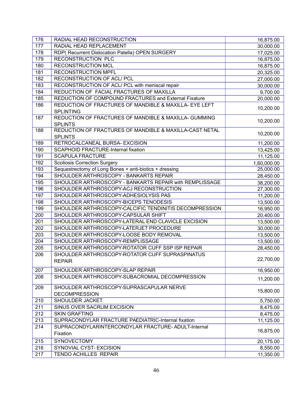| 177<br>RADIAL HEAD REPLACEMENT<br>30,000.00<br>178<br>RDP( Recurrent Dislocation Patella) OPEN SURGERY<br>17,025.00<br>179<br><b>RECONSTRUCTION PLC</b><br>16,875.00<br>180<br><b>RECONSTRUCTION MCL</b><br>16,875.00<br>181<br><b>RECONSTRUCTION MPFL</b><br>20,325.00<br>182<br>RECONSTRUCTION OF ACL/ PCL<br>27,000.00<br>183<br>RECONSTRUCTION OF ACL/ PCL with meniscal repair<br>30,000.00<br>REDUCTION OF FACIAL FRACTURES OF MAXILLA<br>184<br>9,700.00<br>185<br>REDUCTION OF COMPOUND FRACTURES and External Fixature<br>20,000.00<br>186<br>REDUCTION OF FRACTURES OF MANDIBLE & MAXILLA- EYE LEFT<br>10,200.00<br><b>SPLINTING</b><br>187<br>REDUCTION OF FRACTURES OF MANDIBLE & MAXILLA- GUMMING<br>10,200.00<br><b>SPLINTS</b><br>REDUCTION OF FRACTURES OF MANDIBLE & MAXILLA-CAST NETAL<br>188<br>10,200.00<br><b>SPLINTS</b><br>RETROCALCANEAL BURSA- EXCISION<br>189<br>11,200.00<br>190<br><b>SCAPHOID FRACTURE-Internal fixation</b><br>13,425.00<br>191<br><b>SCAPULA FRACTURE</b><br>11,125.00<br>192<br><b>Scoliosis Correction Surgery</b><br>1,60,000.00<br>193<br>Sequestrectomy of Long Bones + anti-biotics + dressing<br>25,000.00<br>SHOULDER ARTHROSCOPY - BANKARTS REPAIR<br>194<br>28,450.00<br>195<br>SHOULDER ARTHROSCOPY - BANKARTS REPAIR with REMPLISSAGE<br>38,200.00<br>196<br>SHOULDER ARTHROSCOPY-ACJ RECONSTRUCTION<br>27,300.00<br>SHOULDER ARTHROSCOPY-ADHESIOLYSIS PAS<br>197<br>11,200.00<br>198<br>SHOULDER ARTHROSCOPY-BICEPS TENODESIS<br>13,500.00<br>199<br>SHOULDER ARTHROSCOPY-CALCIFIC TENDINITIS DECOMPRESSION<br>16,950.00<br>200<br>SHOULDER ARTHROSCOPY-CAPSULAR SHIFT<br>20,400.00<br>201<br>SHOULDER ARTHROSCOPY-LATERAL END CLAVICLE EXCISION<br>13,500.00<br>202<br>SHOULDER ARTHROSCOPY-LATERJET PROCEDURE<br>30,000.00<br>203<br>SHOULDER ARTHROSCOPY-LOOSE BODY REMOVAL<br>13,500.00<br>204<br>SHOULDER ARTHROSCOPY-REMPLISSAGE<br>13,500.00<br>205<br>SHOULDER ARTHROSCOPY-ROTATOR CUFF SSP ISP REPAIR<br>28,450.00<br>SHOULDER ARTHROSCOPY-ROTATOR CUFF SUPRASPINATUS<br>206<br>22,700.00<br><b>REPAIR</b><br>207<br>SHOULDER ARTHROSCOPY-SLAP REPAIR<br>16,950.00<br>SHOULDER ARTHROSCOPY-SUBACROMIAL DECOMPRESSION<br>208<br>11,200.00<br>209<br>SHOULDER ARTHROSCOPY-SUPRASCAPULAR NERVE<br>15,800.00<br><b>DECOMPRESSION</b><br>210<br>SHOULDER JACKET<br>5,750.00<br>211<br>SINUS OVER SACRUM EXCISION<br>8,475.00<br>212<br><b>SKIN GRAFTING</b><br>8,475.00<br>213<br>SUPRACONDYLAR FRACTURE PAEDIATRIC-Internal fixation<br>11,125.00<br>214<br>SUPRACONDYLARINTERCONDYLAR FRACTURE-ADULT-Internal<br>16,875.00<br>Fixation<br>215<br><b>SYNOVECTOMY</b><br>20,175.00<br>216<br>SYNOVIAL CYST- EXCISION<br>8,550.00<br>217<br>TENDO ACHILLES REPAIR<br>11,350.00 | 176 | RADIAL HEAD RECONSTRUCTION | 16,875.00 |
|-----------------------------------------------------------------------------------------------------------------------------------------------------------------------------------------------------------------------------------------------------------------------------------------------------------------------------------------------------------------------------------------------------------------------------------------------------------------------------------------------------------------------------------------------------------------------------------------------------------------------------------------------------------------------------------------------------------------------------------------------------------------------------------------------------------------------------------------------------------------------------------------------------------------------------------------------------------------------------------------------------------------------------------------------------------------------------------------------------------------------------------------------------------------------------------------------------------------------------------------------------------------------------------------------------------------------------------------------------------------------------------------------------------------------------------------------------------------------------------------------------------------------------------------------------------------------------------------------------------------------------------------------------------------------------------------------------------------------------------------------------------------------------------------------------------------------------------------------------------------------------------------------------------------------------------------------------------------------------------------------------------------------------------------------------------------------------------------------------------------------------------------------------------------------------------------------------------------------------------------------------------------------------------------------------------------------------------------------------------------------------------------------------------------------------------------------------------------------------------------------------------------------------------------------------------------------------------------------------------------------------------------------------------------------------------------------------------------------------------------------|-----|----------------------------|-----------|
|                                                                                                                                                                                                                                                                                                                                                                                                                                                                                                                                                                                                                                                                                                                                                                                                                                                                                                                                                                                                                                                                                                                                                                                                                                                                                                                                                                                                                                                                                                                                                                                                                                                                                                                                                                                                                                                                                                                                                                                                                                                                                                                                                                                                                                                                                                                                                                                                                                                                                                                                                                                                                                                                                                                                               |     |                            |           |
|                                                                                                                                                                                                                                                                                                                                                                                                                                                                                                                                                                                                                                                                                                                                                                                                                                                                                                                                                                                                                                                                                                                                                                                                                                                                                                                                                                                                                                                                                                                                                                                                                                                                                                                                                                                                                                                                                                                                                                                                                                                                                                                                                                                                                                                                                                                                                                                                                                                                                                                                                                                                                                                                                                                                               |     |                            |           |
|                                                                                                                                                                                                                                                                                                                                                                                                                                                                                                                                                                                                                                                                                                                                                                                                                                                                                                                                                                                                                                                                                                                                                                                                                                                                                                                                                                                                                                                                                                                                                                                                                                                                                                                                                                                                                                                                                                                                                                                                                                                                                                                                                                                                                                                                                                                                                                                                                                                                                                                                                                                                                                                                                                                                               |     |                            |           |
|                                                                                                                                                                                                                                                                                                                                                                                                                                                                                                                                                                                                                                                                                                                                                                                                                                                                                                                                                                                                                                                                                                                                                                                                                                                                                                                                                                                                                                                                                                                                                                                                                                                                                                                                                                                                                                                                                                                                                                                                                                                                                                                                                                                                                                                                                                                                                                                                                                                                                                                                                                                                                                                                                                                                               |     |                            |           |
|                                                                                                                                                                                                                                                                                                                                                                                                                                                                                                                                                                                                                                                                                                                                                                                                                                                                                                                                                                                                                                                                                                                                                                                                                                                                                                                                                                                                                                                                                                                                                                                                                                                                                                                                                                                                                                                                                                                                                                                                                                                                                                                                                                                                                                                                                                                                                                                                                                                                                                                                                                                                                                                                                                                                               |     |                            |           |
|                                                                                                                                                                                                                                                                                                                                                                                                                                                                                                                                                                                                                                                                                                                                                                                                                                                                                                                                                                                                                                                                                                                                                                                                                                                                                                                                                                                                                                                                                                                                                                                                                                                                                                                                                                                                                                                                                                                                                                                                                                                                                                                                                                                                                                                                                                                                                                                                                                                                                                                                                                                                                                                                                                                                               |     |                            |           |
|                                                                                                                                                                                                                                                                                                                                                                                                                                                                                                                                                                                                                                                                                                                                                                                                                                                                                                                                                                                                                                                                                                                                                                                                                                                                                                                                                                                                                                                                                                                                                                                                                                                                                                                                                                                                                                                                                                                                                                                                                                                                                                                                                                                                                                                                                                                                                                                                                                                                                                                                                                                                                                                                                                                                               |     |                            |           |
|                                                                                                                                                                                                                                                                                                                                                                                                                                                                                                                                                                                                                                                                                                                                                                                                                                                                                                                                                                                                                                                                                                                                                                                                                                                                                                                                                                                                                                                                                                                                                                                                                                                                                                                                                                                                                                                                                                                                                                                                                                                                                                                                                                                                                                                                                                                                                                                                                                                                                                                                                                                                                                                                                                                                               |     |                            |           |
|                                                                                                                                                                                                                                                                                                                                                                                                                                                                                                                                                                                                                                                                                                                                                                                                                                                                                                                                                                                                                                                                                                                                                                                                                                                                                                                                                                                                                                                                                                                                                                                                                                                                                                                                                                                                                                                                                                                                                                                                                                                                                                                                                                                                                                                                                                                                                                                                                                                                                                                                                                                                                                                                                                                                               |     |                            |           |
|                                                                                                                                                                                                                                                                                                                                                                                                                                                                                                                                                                                                                                                                                                                                                                                                                                                                                                                                                                                                                                                                                                                                                                                                                                                                                                                                                                                                                                                                                                                                                                                                                                                                                                                                                                                                                                                                                                                                                                                                                                                                                                                                                                                                                                                                                                                                                                                                                                                                                                                                                                                                                                                                                                                                               |     |                            |           |
|                                                                                                                                                                                                                                                                                                                                                                                                                                                                                                                                                                                                                                                                                                                                                                                                                                                                                                                                                                                                                                                                                                                                                                                                                                                                                                                                                                                                                                                                                                                                                                                                                                                                                                                                                                                                                                                                                                                                                                                                                                                                                                                                                                                                                                                                                                                                                                                                                                                                                                                                                                                                                                                                                                                                               |     |                            |           |
|                                                                                                                                                                                                                                                                                                                                                                                                                                                                                                                                                                                                                                                                                                                                                                                                                                                                                                                                                                                                                                                                                                                                                                                                                                                                                                                                                                                                                                                                                                                                                                                                                                                                                                                                                                                                                                                                                                                                                                                                                                                                                                                                                                                                                                                                                                                                                                                                                                                                                                                                                                                                                                                                                                                                               |     |                            |           |
|                                                                                                                                                                                                                                                                                                                                                                                                                                                                                                                                                                                                                                                                                                                                                                                                                                                                                                                                                                                                                                                                                                                                                                                                                                                                                                                                                                                                                                                                                                                                                                                                                                                                                                                                                                                                                                                                                                                                                                                                                                                                                                                                                                                                                                                                                                                                                                                                                                                                                                                                                                                                                                                                                                                                               |     |                            |           |
|                                                                                                                                                                                                                                                                                                                                                                                                                                                                                                                                                                                                                                                                                                                                                                                                                                                                                                                                                                                                                                                                                                                                                                                                                                                                                                                                                                                                                                                                                                                                                                                                                                                                                                                                                                                                                                                                                                                                                                                                                                                                                                                                                                                                                                                                                                                                                                                                                                                                                                                                                                                                                                                                                                                                               |     |                            |           |
|                                                                                                                                                                                                                                                                                                                                                                                                                                                                                                                                                                                                                                                                                                                                                                                                                                                                                                                                                                                                                                                                                                                                                                                                                                                                                                                                                                                                                                                                                                                                                                                                                                                                                                                                                                                                                                                                                                                                                                                                                                                                                                                                                                                                                                                                                                                                                                                                                                                                                                                                                                                                                                                                                                                                               |     |                            |           |
|                                                                                                                                                                                                                                                                                                                                                                                                                                                                                                                                                                                                                                                                                                                                                                                                                                                                                                                                                                                                                                                                                                                                                                                                                                                                                                                                                                                                                                                                                                                                                                                                                                                                                                                                                                                                                                                                                                                                                                                                                                                                                                                                                                                                                                                                                                                                                                                                                                                                                                                                                                                                                                                                                                                                               |     |                            |           |
|                                                                                                                                                                                                                                                                                                                                                                                                                                                                                                                                                                                                                                                                                                                                                                                                                                                                                                                                                                                                                                                                                                                                                                                                                                                                                                                                                                                                                                                                                                                                                                                                                                                                                                                                                                                                                                                                                                                                                                                                                                                                                                                                                                                                                                                                                                                                                                                                                                                                                                                                                                                                                                                                                                                                               |     |                            |           |
|                                                                                                                                                                                                                                                                                                                                                                                                                                                                                                                                                                                                                                                                                                                                                                                                                                                                                                                                                                                                                                                                                                                                                                                                                                                                                                                                                                                                                                                                                                                                                                                                                                                                                                                                                                                                                                                                                                                                                                                                                                                                                                                                                                                                                                                                                                                                                                                                                                                                                                                                                                                                                                                                                                                                               |     |                            |           |
|                                                                                                                                                                                                                                                                                                                                                                                                                                                                                                                                                                                                                                                                                                                                                                                                                                                                                                                                                                                                                                                                                                                                                                                                                                                                                                                                                                                                                                                                                                                                                                                                                                                                                                                                                                                                                                                                                                                                                                                                                                                                                                                                                                                                                                                                                                                                                                                                                                                                                                                                                                                                                                                                                                                                               |     |                            |           |
|                                                                                                                                                                                                                                                                                                                                                                                                                                                                                                                                                                                                                                                                                                                                                                                                                                                                                                                                                                                                                                                                                                                                                                                                                                                                                                                                                                                                                                                                                                                                                                                                                                                                                                                                                                                                                                                                                                                                                                                                                                                                                                                                                                                                                                                                                                                                                                                                                                                                                                                                                                                                                                                                                                                                               |     |                            |           |
|                                                                                                                                                                                                                                                                                                                                                                                                                                                                                                                                                                                                                                                                                                                                                                                                                                                                                                                                                                                                                                                                                                                                                                                                                                                                                                                                                                                                                                                                                                                                                                                                                                                                                                                                                                                                                                                                                                                                                                                                                                                                                                                                                                                                                                                                                                                                                                                                                                                                                                                                                                                                                                                                                                                                               |     |                            |           |
|                                                                                                                                                                                                                                                                                                                                                                                                                                                                                                                                                                                                                                                                                                                                                                                                                                                                                                                                                                                                                                                                                                                                                                                                                                                                                                                                                                                                                                                                                                                                                                                                                                                                                                                                                                                                                                                                                                                                                                                                                                                                                                                                                                                                                                                                                                                                                                                                                                                                                                                                                                                                                                                                                                                                               |     |                            |           |
|                                                                                                                                                                                                                                                                                                                                                                                                                                                                                                                                                                                                                                                                                                                                                                                                                                                                                                                                                                                                                                                                                                                                                                                                                                                                                                                                                                                                                                                                                                                                                                                                                                                                                                                                                                                                                                                                                                                                                                                                                                                                                                                                                                                                                                                                                                                                                                                                                                                                                                                                                                                                                                                                                                                                               |     |                            |           |
|                                                                                                                                                                                                                                                                                                                                                                                                                                                                                                                                                                                                                                                                                                                                                                                                                                                                                                                                                                                                                                                                                                                                                                                                                                                                                                                                                                                                                                                                                                                                                                                                                                                                                                                                                                                                                                                                                                                                                                                                                                                                                                                                                                                                                                                                                                                                                                                                                                                                                                                                                                                                                                                                                                                                               |     |                            |           |
|                                                                                                                                                                                                                                                                                                                                                                                                                                                                                                                                                                                                                                                                                                                                                                                                                                                                                                                                                                                                                                                                                                                                                                                                                                                                                                                                                                                                                                                                                                                                                                                                                                                                                                                                                                                                                                                                                                                                                                                                                                                                                                                                                                                                                                                                                                                                                                                                                                                                                                                                                                                                                                                                                                                                               |     |                            |           |
|                                                                                                                                                                                                                                                                                                                                                                                                                                                                                                                                                                                                                                                                                                                                                                                                                                                                                                                                                                                                                                                                                                                                                                                                                                                                                                                                                                                                                                                                                                                                                                                                                                                                                                                                                                                                                                                                                                                                                                                                                                                                                                                                                                                                                                                                                                                                                                                                                                                                                                                                                                                                                                                                                                                                               |     |                            |           |
|                                                                                                                                                                                                                                                                                                                                                                                                                                                                                                                                                                                                                                                                                                                                                                                                                                                                                                                                                                                                                                                                                                                                                                                                                                                                                                                                                                                                                                                                                                                                                                                                                                                                                                                                                                                                                                                                                                                                                                                                                                                                                                                                                                                                                                                                                                                                                                                                                                                                                                                                                                                                                                                                                                                                               |     |                            |           |
|                                                                                                                                                                                                                                                                                                                                                                                                                                                                                                                                                                                                                                                                                                                                                                                                                                                                                                                                                                                                                                                                                                                                                                                                                                                                                                                                                                                                                                                                                                                                                                                                                                                                                                                                                                                                                                                                                                                                                                                                                                                                                                                                                                                                                                                                                                                                                                                                                                                                                                                                                                                                                                                                                                                                               |     |                            |           |
|                                                                                                                                                                                                                                                                                                                                                                                                                                                                                                                                                                                                                                                                                                                                                                                                                                                                                                                                                                                                                                                                                                                                                                                                                                                                                                                                                                                                                                                                                                                                                                                                                                                                                                                                                                                                                                                                                                                                                                                                                                                                                                                                                                                                                                                                                                                                                                                                                                                                                                                                                                                                                                                                                                                                               |     |                            |           |
|                                                                                                                                                                                                                                                                                                                                                                                                                                                                                                                                                                                                                                                                                                                                                                                                                                                                                                                                                                                                                                                                                                                                                                                                                                                                                                                                                                                                                                                                                                                                                                                                                                                                                                                                                                                                                                                                                                                                                                                                                                                                                                                                                                                                                                                                                                                                                                                                                                                                                                                                                                                                                                                                                                                                               |     |                            |           |
|                                                                                                                                                                                                                                                                                                                                                                                                                                                                                                                                                                                                                                                                                                                                                                                                                                                                                                                                                                                                                                                                                                                                                                                                                                                                                                                                                                                                                                                                                                                                                                                                                                                                                                                                                                                                                                                                                                                                                                                                                                                                                                                                                                                                                                                                                                                                                                                                                                                                                                                                                                                                                                                                                                                                               |     |                            |           |
|                                                                                                                                                                                                                                                                                                                                                                                                                                                                                                                                                                                                                                                                                                                                                                                                                                                                                                                                                                                                                                                                                                                                                                                                                                                                                                                                                                                                                                                                                                                                                                                                                                                                                                                                                                                                                                                                                                                                                                                                                                                                                                                                                                                                                                                                                                                                                                                                                                                                                                                                                                                                                                                                                                                                               |     |                            |           |
|                                                                                                                                                                                                                                                                                                                                                                                                                                                                                                                                                                                                                                                                                                                                                                                                                                                                                                                                                                                                                                                                                                                                                                                                                                                                                                                                                                                                                                                                                                                                                                                                                                                                                                                                                                                                                                                                                                                                                                                                                                                                                                                                                                                                                                                                                                                                                                                                                                                                                                                                                                                                                                                                                                                                               |     |                            |           |
|                                                                                                                                                                                                                                                                                                                                                                                                                                                                                                                                                                                                                                                                                                                                                                                                                                                                                                                                                                                                                                                                                                                                                                                                                                                                                                                                                                                                                                                                                                                                                                                                                                                                                                                                                                                                                                                                                                                                                                                                                                                                                                                                                                                                                                                                                                                                                                                                                                                                                                                                                                                                                                                                                                                                               |     |                            |           |
|                                                                                                                                                                                                                                                                                                                                                                                                                                                                                                                                                                                                                                                                                                                                                                                                                                                                                                                                                                                                                                                                                                                                                                                                                                                                                                                                                                                                                                                                                                                                                                                                                                                                                                                                                                                                                                                                                                                                                                                                                                                                                                                                                                                                                                                                                                                                                                                                                                                                                                                                                                                                                                                                                                                                               |     |                            |           |
|                                                                                                                                                                                                                                                                                                                                                                                                                                                                                                                                                                                                                                                                                                                                                                                                                                                                                                                                                                                                                                                                                                                                                                                                                                                                                                                                                                                                                                                                                                                                                                                                                                                                                                                                                                                                                                                                                                                                                                                                                                                                                                                                                                                                                                                                                                                                                                                                                                                                                                                                                                                                                                                                                                                                               |     |                            |           |
|                                                                                                                                                                                                                                                                                                                                                                                                                                                                                                                                                                                                                                                                                                                                                                                                                                                                                                                                                                                                                                                                                                                                                                                                                                                                                                                                                                                                                                                                                                                                                                                                                                                                                                                                                                                                                                                                                                                                                                                                                                                                                                                                                                                                                                                                                                                                                                                                                                                                                                                                                                                                                                                                                                                                               |     |                            |           |
|                                                                                                                                                                                                                                                                                                                                                                                                                                                                                                                                                                                                                                                                                                                                                                                                                                                                                                                                                                                                                                                                                                                                                                                                                                                                                                                                                                                                                                                                                                                                                                                                                                                                                                                                                                                                                                                                                                                                                                                                                                                                                                                                                                                                                                                                                                                                                                                                                                                                                                                                                                                                                                                                                                                                               |     |                            |           |
|                                                                                                                                                                                                                                                                                                                                                                                                                                                                                                                                                                                                                                                                                                                                                                                                                                                                                                                                                                                                                                                                                                                                                                                                                                                                                                                                                                                                                                                                                                                                                                                                                                                                                                                                                                                                                                                                                                                                                                                                                                                                                                                                                                                                                                                                                                                                                                                                                                                                                                                                                                                                                                                                                                                                               |     |                            |           |
|                                                                                                                                                                                                                                                                                                                                                                                                                                                                                                                                                                                                                                                                                                                                                                                                                                                                                                                                                                                                                                                                                                                                                                                                                                                                                                                                                                                                                                                                                                                                                                                                                                                                                                                                                                                                                                                                                                                                                                                                                                                                                                                                                                                                                                                                                                                                                                                                                                                                                                                                                                                                                                                                                                                                               |     |                            |           |
|                                                                                                                                                                                                                                                                                                                                                                                                                                                                                                                                                                                                                                                                                                                                                                                                                                                                                                                                                                                                                                                                                                                                                                                                                                                                                                                                                                                                                                                                                                                                                                                                                                                                                                                                                                                                                                                                                                                                                                                                                                                                                                                                                                                                                                                                                                                                                                                                                                                                                                                                                                                                                                                                                                                                               |     |                            |           |
|                                                                                                                                                                                                                                                                                                                                                                                                                                                                                                                                                                                                                                                                                                                                                                                                                                                                                                                                                                                                                                                                                                                                                                                                                                                                                                                                                                                                                                                                                                                                                                                                                                                                                                                                                                                                                                                                                                                                                                                                                                                                                                                                                                                                                                                                                                                                                                                                                                                                                                                                                                                                                                                                                                                                               |     |                            |           |
|                                                                                                                                                                                                                                                                                                                                                                                                                                                                                                                                                                                                                                                                                                                                                                                                                                                                                                                                                                                                                                                                                                                                                                                                                                                                                                                                                                                                                                                                                                                                                                                                                                                                                                                                                                                                                                                                                                                                                                                                                                                                                                                                                                                                                                                                                                                                                                                                                                                                                                                                                                                                                                                                                                                                               |     |                            |           |
|                                                                                                                                                                                                                                                                                                                                                                                                                                                                                                                                                                                                                                                                                                                                                                                                                                                                                                                                                                                                                                                                                                                                                                                                                                                                                                                                                                                                                                                                                                                                                                                                                                                                                                                                                                                                                                                                                                                                                                                                                                                                                                                                                                                                                                                                                                                                                                                                                                                                                                                                                                                                                                                                                                                                               |     |                            |           |
|                                                                                                                                                                                                                                                                                                                                                                                                                                                                                                                                                                                                                                                                                                                                                                                                                                                                                                                                                                                                                                                                                                                                                                                                                                                                                                                                                                                                                                                                                                                                                                                                                                                                                                                                                                                                                                                                                                                                                                                                                                                                                                                                                                                                                                                                                                                                                                                                                                                                                                                                                                                                                                                                                                                                               |     |                            |           |
|                                                                                                                                                                                                                                                                                                                                                                                                                                                                                                                                                                                                                                                                                                                                                                                                                                                                                                                                                                                                                                                                                                                                                                                                                                                                                                                                                                                                                                                                                                                                                                                                                                                                                                                                                                                                                                                                                                                                                                                                                                                                                                                                                                                                                                                                                                                                                                                                                                                                                                                                                                                                                                                                                                                                               |     |                            |           |
|                                                                                                                                                                                                                                                                                                                                                                                                                                                                                                                                                                                                                                                                                                                                                                                                                                                                                                                                                                                                                                                                                                                                                                                                                                                                                                                                                                                                                                                                                                                                                                                                                                                                                                                                                                                                                                                                                                                                                                                                                                                                                                                                                                                                                                                                                                                                                                                                                                                                                                                                                                                                                                                                                                                                               |     |                            |           |
|                                                                                                                                                                                                                                                                                                                                                                                                                                                                                                                                                                                                                                                                                                                                                                                                                                                                                                                                                                                                                                                                                                                                                                                                                                                                                                                                                                                                                                                                                                                                                                                                                                                                                                                                                                                                                                                                                                                                                                                                                                                                                                                                                                                                                                                                                                                                                                                                                                                                                                                                                                                                                                                                                                                                               |     |                            |           |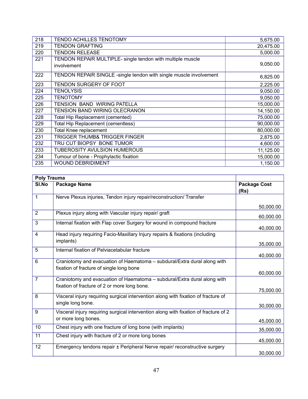| 218 | TENDO ACHILLES TENOTOMY                                                   | 5,675.00  |
|-----|---------------------------------------------------------------------------|-----------|
| 219 | <b>TENDON GRAFTING</b>                                                    | 20,475.00 |
| 220 | <b>TENDON RELEASE</b>                                                     | 5,000.00  |
| 221 | TENDON REPAIR MULTIPLE- single tendon with multiple muscle<br>involvement | 9,050.00  |
| 222 | TENDON REPAIR SINGLE - single tendon with single muscle involvement       | 6,825.00  |
| 223 | TENDON SURGERY OF FOOT                                                    | 2,225.00  |
| 224 | <b>TENOLYSIS</b>                                                          | 9,050.00  |
| 225 | <b>TENOTOMY</b>                                                           | 9,050.00  |
| 226 | TENSION BAND WIRING PATELLA                                               | 15,000.00 |
| 227 | <b>TENSION BAND WIRING OLECRANON</b>                                      | 14,150.00 |
| 228 | Total Hip Replacement (cemented)                                          | 75,000.00 |
| 229 | <b>Total Hip Replacement (cementless)</b>                                 | 90,000.00 |
| 230 | <b>Total Knee replacement</b>                                             | 80,000.00 |
| 231 | <b>TRIGGER THUMB&amp; TRIGGER FINGER</b>                                  | 2,875.00  |
| 232 | TRU CUT BIOPSY BONE TUMOR                                                 | 4,600.00  |
| 233 | <b>TUBEROSITY AVULSION HUMEROUS</b>                                       | 11,125.00 |
| 234 | Tumour of bone - Prophylactic fixation                                    | 15,000.00 |
| 235 | <b>WOUND DEBRIDIMENT</b>                                                  | 1,150.00  |

| <b>Poly Trauma</b> |                                                                                      |                             |
|--------------------|--------------------------------------------------------------------------------------|-----------------------------|
| SI.No              | <b>Package Name</b>                                                                  | <b>Package Cost</b><br>(Rs) |
| $\mathbf{1}$       | Nerve Plexus injuries, Tendon injury repair/reconstruction/ Transfer                 |                             |
|                    |                                                                                      | 50,000.00                   |
| $\overline{2}$     | Plexus injury along with Vascular injury repair/ graft                               | 60,000.00                   |
| 3                  | Internal fixation with Flap cover Surgery for wound in compound fracture             | 40,000.00                   |
| 4                  | Head injury requiring Facio-Maxillary Injury repairs & fixations (including          |                             |
|                    | implants)                                                                            | 35,000.00                   |
| 5                  | Internal fixation of Pelviacetabular fracture                                        | 40,000.00                   |
| 6                  | Craniotomy and evacuation of Haematoma - subdural/Extra dural along with             |                             |
|                    | fixation of fracture of single long bone                                             | 60,000.00                   |
| 7                  | Craniotomy and evacuation of Haematoma - subdural/Extra dural along with             |                             |
|                    | fixation of fracture of 2 or more long bone.                                         | 75,000.00                   |
| 8                  | Visceral injury requiring surgical intervention along with fixation of fracture of   |                             |
|                    | single long bone.                                                                    | 30,000.00                   |
| 9                  | Visceral injury requiring surgical intervention along with fixation of fracture of 2 |                             |
|                    | or more long bones.                                                                  | 45,000.00                   |
| 10                 | Chest injury with one fracture of long bone (with implants)                          | 35,000.00                   |
| 11                 | Chest injury with fracture of 2 or more long bones                                   | 45,000.00                   |
| 12                 | Emergency tendons repair ± Peripheral Nerve repair/ reconstructive surgery           |                             |
|                    |                                                                                      | 30,000.00                   |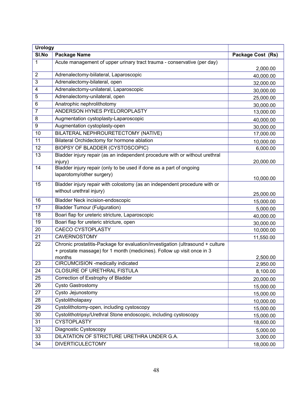| <b>Urology</b>  |                                                                                |                        |
|-----------------|--------------------------------------------------------------------------------|------------------------|
| SI.No           | <b>Package Name</b>                                                            | Package Cost (Rs)      |
| $\mathbf{1}$    | Acute management of upper urinary tract trauma - conservative (per day)        |                        |
|                 |                                                                                | 2,000.00               |
| $\overline{2}$  | Adrenalectomy-biilateral, Laparoscopic                                         | 40,000.00              |
| 3               | Adrenalectomy-bilateral, open                                                  | 32,000.00              |
| $\overline{4}$  | Adrenalectomy-unilateral, Laparoscopic                                         | 30,000.00              |
| 5               | Adrenalectomy-unilateral, open                                                 | 25,000.00              |
| $6\phantom{1}6$ | Anatrophic nephrolithotomy                                                     | 30,000.00              |
| $\overline{7}$  | ANDERSON HYNES PYELOROPLASTY                                                   | 13,000.00              |
| 8               | Augmentation cystoplasty-Laparoscopic                                          | 40,000.00              |
| $\overline{9}$  | Augmentation cystoplasty-open                                                  | 30,000.00              |
| 10              | BILATERAL NEPHROURETECTOMY (NATIVE)                                            | 17,000.00              |
| 11              | Bilateral Orchidectomy for hormone ablation                                    | 10,000.00              |
| 12              | <b>BIOPSY OF BLADDER (CYSTOSCOPIC)</b>                                         | 6,000.00               |
| 13              | Bladder injury repair (as an independent procedure with or without urethral    |                        |
|                 | injury)                                                                        | 20,000.00              |
| 14              | Bladder injury repair (only to be used if done as a part of ongoing            |                        |
|                 | laparotomy/other surgery)                                                      | 10,000.00              |
| 15              | Bladder injury repair with colostomy (as an independent procedure with or      |                        |
|                 | without urethral injury)                                                       |                        |
| 16              | <b>Bladder Neck incision-endoscopic</b>                                        | 25,000.00<br>15,000.00 |
| 17              | <b>Bladder Tumour (Fulguration)</b>                                            | 5,000.00               |
| 18              | Boari flap for ureteric stricture, Laparoscopic                                | 40,000.00              |
| 19              | Boari flap for ureteric stricture, open                                        | 30,000.00              |
| 20              | <b>CAECO CYSTOPLASTY</b>                                                       | 10,000.00              |
| 21              | <b>CAVERNOSTOMY</b>                                                            | 11,550.00              |
| 22              | Chronic prostatitis-Package for evaluation/investigation (ultrasound + culture |                        |
|                 | + prostate massage) for 1 month (medicines). Follow up visit once in 3         |                        |
|                 | months                                                                         | 2,500.00               |
| 23              | CIRCUMCISION -medically indicated                                              | 2,950.00               |
| $\overline{24}$ | <b>CLOSURE OF URETHRAL FISTULA</b>                                             | 8,100.00               |
| 25              | Correction of Exstrophy of Bladder                                             | 20,000.00              |
| 26              | <b>Cysto Gastrostomy</b>                                                       | 15,000.00              |
| 27              | Cysto Jejunostomy                                                              | 15,000.00              |
| 28              | Cystolitholapaxy                                                               | 10,000.00              |
| 29              | Cystolithotomy-open, including cystoscopy                                      | 15,000.00              |
| 30              | Cystolithotripsy/Urethral Stone endoscopic, including cystoscopy               | 15,000.00              |
| 31              | <b>CYSTOPLASTY</b>                                                             | 18,600.00              |
| 32              | Diagnostic Cystoscopy                                                          | 5,000.00               |
| 33              | DILATATION OF STRICTURE URETHRA UNDER G.A.                                     | 3,000.00               |
| 34              | <b>DIVERTICULECTOMY</b>                                                        | 18,000.00              |
|                 |                                                                                |                        |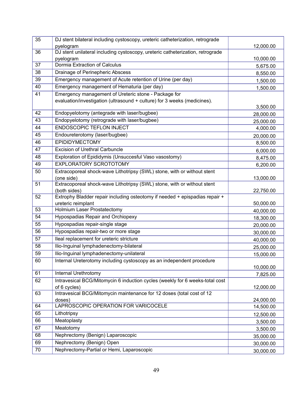| 35 | DJ stent bilateral including cystoscopy, ureteric catheterization, retrograde  |                        |
|----|--------------------------------------------------------------------------------|------------------------|
|    | pyelogram                                                                      | 12,000.00              |
| 36 | DJ stent unilateral including cystoscopy, ureteric catheterization, retrograde |                        |
|    | pyelogram                                                                      | 10,000.00              |
| 37 | Dormia Extraction of Calculus                                                  | 5,675.00               |
| 38 | Drainage of Perinepheric Abscess                                               | 8,550.00               |
| 39 | Emergency management of Acute retention of Urine (per day)                     | 1,500.00               |
| 40 | Emergency management of Hematuria (per day)                                    | 1,500.00               |
| 41 | Emergency management of Ureteric stone - Package for                           |                        |
|    | evaluation/investigation (ultrasound + culture) for 3 weeks (medicines).       |                        |
| 42 | Endopyelotomy (antegrade with laser/bugbee)                                    | 3,500.00               |
|    |                                                                                | 28,000.00              |
| 43 | Endopyelotomy (retrograde with laser/bugbee)                                   | 25,000.00              |
| 44 | ENDOSCOPIC TEFLON INJECT                                                       | 4,000.00               |
| 45 | Endoureterotomy (laser/bugbee)                                                 | 20,000.00              |
| 46 | <b>EPIDIDYMECTOMY</b>                                                          | 8,500.00               |
| 47 | <b>Excision of Urethral Carbuncle</b>                                          | 6,000.00               |
| 48 | Exploration of Epididymis (Unsuccesful Vaso vasostomy)                         | 8,475.00               |
| 49 | <b>EXPLORATORY SCROTOTOMY</b>                                                  | 6,200.00               |
| 50 | Extracoporeal shock-wave Lithotripsy (SWL) stone, with or without stent        |                        |
|    | (one side)                                                                     | 13,000.00              |
| 51 | Extracoporeal shock-wave Lithotripsy (SWL) stone, with or without stent        |                        |
|    | (both sides)                                                                   | 22,750.00              |
| 52 | Extrophy Bladder repair including osteotomy if needed + epispadias repair +    |                        |
| 53 | ureteric reimplant<br><b>Holmium Laser Prostatectomy</b>                       | 50,000.00              |
| 54 |                                                                                | 40,000.00              |
|    | Hypospadias Repair and Orchiopexy                                              | 18,300.00              |
| 55 | Hypospadias repair-single stage                                                | 20,000.00              |
| 56 | Hypospadias repair-two or more stage                                           | 30,000.00              |
| 57 | Ileal replacement for ureteric stricture                                       | 40,000.00              |
| 58 | Ilio-Inguinal lymphadenectomy-bilateral                                        | 25,000.00              |
| 59 | Ilio-Inguinal lymphadenectomy-unilateral                                       | 15,000.00              |
| 60 | Internal Ureterotomy including cystoscopy as an independent procedure          |                        |
|    |                                                                                | 10,000.00              |
| 61 | Internal Urethrotomy                                                           | 7,825.00               |
| 62 | Intravesical BCG/Mitomycin 6 induction cycles (weekly for 6 weeks-total cost   |                        |
|    | of 6 cycles)                                                                   | 12,000.00              |
| 63 | Intravesical BCG/Mitomycin maintenance for 12 doses (total cost of 12          |                        |
| 64 | doses)<br>LAPROSCOPIC OPERATION FOR VARICOCELE                                 | 24,000.00<br>14,500.00 |
| 65 | Lithotripsy                                                                    |                        |
| 66 | Meatoplasty                                                                    | 12,500.00              |
|    |                                                                                | 3,500.00               |
| 67 | Meatotomy                                                                      | 3,500.00               |
| 68 | Nephrectomy (Benign) Laparoscopic                                              | 35,000.00              |
| 69 | Nephrectomy (Benign) Open                                                      | 30,000.00              |
| 70 | Nephrectomy-Partial or Hemi, Laparoscopic                                      | 30,000.00              |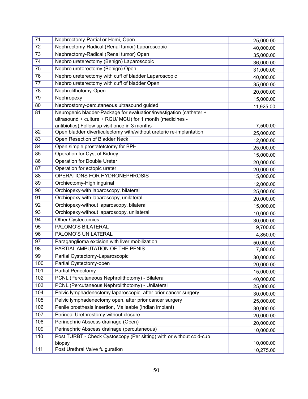| 71  | Nephrectomy-Partial or Hemi, Open                                    | 25,000.00 |
|-----|----------------------------------------------------------------------|-----------|
| 72  | Nephrectomy-Radical (Renal tumor) Laparoscopic                       | 40,000.00 |
| 73  | Nephrectomy-Radical (Renal tumor) Open                               | 35,000.00 |
| 74  | Nephro ureterectomy (Benign) Laparoscopic                            | 36,000.00 |
| 75  | Nephro ureterectomy (Benign) Open                                    | 31,000.00 |
| 76  | Nephro ureterectomy with cuff of bladder Laparoscopic                | 40,000.00 |
| 77  | Nephro ureterectomy with cuff of bladder Open                        | 35,000.00 |
| 78  | Nephrolithotomy-Open                                                 | 20,000.00 |
| 79  | Nephropexy                                                           | 15,000.00 |
| 80  | Nephrostomy-percutaneous ultrasound guided                           | 11,925.00 |
| 81  | Neurogenic bladder-Package for evaluation/investigation (catheter +  |           |
|     | ultrasound + culture + RGU/ MCU) for 1 month (medicines -            |           |
|     | antibiotics). Follow up visit once in 3 months                       | 7,500.00  |
| 82  | Open bladder diverticulectomy with/without ureteric re-implantation  | 25,000.00 |
| 83  | Open Resection of Bladder Neck                                       | 12,000.00 |
| 84  | Open simple prostatetctomy for BPH                                   | 25,000.00 |
| 85  | Operation for Cyst of Kidney                                         | 15,000.00 |
| 86  | Operation for Double Ureter                                          | 20,000.00 |
| 87  | Operation for ectopic ureter                                         | 20,000.00 |
| 88  | OPERATIONS FOR HYDRONEPHROSIS                                        | 15,000.00 |
| 89  | Orchiectomy-High inguinal                                            | 12,000.00 |
| 90  | Orchiopexy-with laparoscopy, bilateral                               | 25,000.00 |
| 91  | Orchiopexy-with laparoscopy, unilateral                              | 20,000.00 |
| 92  | Orchiopexy-without laparoscopy, bilateral                            | 15,000.00 |
| 93  | Orchiopexy-without laparoscopy, unilateral                           | 10,000.00 |
| 94  | <b>Other Cystectomies</b>                                            | 30,000.00 |
| 95  | PALOMO'S BILATERAL                                                   | 9,700.00  |
| 96  | PALOMO'S UNILATERAL                                                  | 4,850.00  |
| 97  | Paraganglioma excision with liver mobilization                       | 50,000.00 |
| 98  | PARTIAL AMPUTATION OF THE PENIS                                      | 7,800.00  |
| 99  | Partial Cystectomy-Laparoscopic                                      | 30,000.00 |
| 100 | Partial Cystectomy-open                                              | 20,000.00 |
| 101 | <b>Partial Penectomy</b>                                             | 15,000.00 |
| 102 | PCNL (Percutaneous Nephrolithotomy) - Bilateral                      | 40,000.00 |
| 103 | PCNL (Percutaneous Nephrolithotomy) - Unilateral                     | 25,000.00 |
| 104 | Pelvic lymphadenectomy laparoscopic, after prior cancer surgery      | 30,000.00 |
| 105 | Pelvic lymphadenectomy open, after prior cancer surgery              | 25,000.00 |
| 106 | Penile prosthesis insertion, Malleable (Indian implant)              | 30,000.00 |
| 107 | Perineal Urethrostomy without closure                                | 20,000.00 |
| 108 | Perinephric Abscess drainage (Open)                                  | 20,000.00 |
| 109 | Perinephric Abscess drainage (percutaneous)                          | 10,000.00 |
| 110 | Post TURBT - Check Cystoscopy (Per sitting) with or without cold-cup |           |
|     | biopsy                                                               | 10,000.00 |
| 111 | Post Urethral Valve fulguration                                      | 10,275.00 |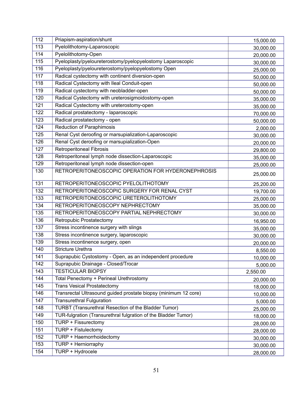| 112 | Priapism-aspiration/shunt                                       | 15,000.00 |
|-----|-----------------------------------------------------------------|-----------|
| 113 | Pyelolithotomy-Laparoscopic                                     | 30,000.00 |
| 114 | Pyelolithotomy-Open                                             | 20,000.00 |
| 115 | Pyeloplasty/pyeloureterostomy/pyelopyelostomy Laparoscopic      | 30,000.00 |
| 116 | Pyeloplasty/pyeloureterostomy/pyelopyelostomy Open              | 25,000.00 |
| 117 | Radical cystectomy with continent diversion-open                | 50,000.00 |
| 118 | Radical Cystectomy with Ileal Conduit-open                      | 50,000.00 |
| 119 | Radical cystectomy with neobladder-open                         | 50,000.00 |
| 120 | Radical Cystectomy with ureterosigmoidostomy-open               | 35,000.00 |
| 121 | Radical Cystectomy with ureterostomy-open                       | 35,000.00 |
| 122 | Radical prostatectomy - laparoscopic                            | 70,000.00 |
| 123 | Radical prostatectomy - open                                    | 50,000.00 |
| 124 | <b>Reduction of Paraphimosis</b>                                | 2,000.00  |
| 125 | Renal Cyst deroofing or marsupialization-Laparoscopic           | 30,000.00 |
| 126 | Renal Cyst deroofing or marsupialization-Open                   | 20,000.00 |
| 127 | <b>Retroperitoneal Fibrosis</b>                                 | 29,800.00 |
| 128 | Retroperitoneal lymph node dissection-Laparoscopic              | 35,000.00 |
| 129 | Retroperitoneal lymph node dissection-open                      | 25,000.00 |
| 130 | RETROPERITONEOSCOPIC OPERATION FOR HYDERONEPHROSIS              | 25,000.00 |
| 131 | RETROPERITONEOSCOPIC PYELOLITHOTOMY                             | 25,200.00 |
| 132 | RETROPERITONEOSCOPIC SURGERY FOR RENAL CYST                     | 19,700.00 |
| 133 | RETROPERITONEOSCOPIC URETEROLITHOTOMY                           | 25,000.00 |
| 134 | RETROPERITONEOSCOPY NEPHRECTOMY                                 | 35,000.00 |
| 135 | RETROPERITONEOSCOPY PARTIAL NEPHRECTOMY                         | 30,000.00 |
| 136 | Retropubic Prostatectomy                                        | 16,950.00 |
| 137 | Stress incontinence surgery with slings                         | 35,000.00 |
| 138 | Stress incontinence surgery, laparoscopic                       | 30,000.00 |
| 139 | Stress incontinence surgery, open                               | 20,000.00 |
| 140 | <b>Stricture Urethra</b>                                        | 8,550.00  |
| 141 | Suprapubic Cystostomy - Open, as an independent procedure       | 10,000.00 |
| 142 | Suprapubic Drainage - Closed/Trocar                             | 5,000.00  |
| 143 | <b>TESTICULAR BIOPSY</b>                                        | 2,550.00  |
| 144 | Total Penectomy + Perineal Urethrostomy                         | 20,000.00 |
| 145 | <b>Trans Vesical Prostatectomy</b>                              | 18,000.00 |
| 146 | Transrectal Ultrasound guided prostate biopsy (minimum 12 core) | 10,000.00 |
| 147 | <b>Transurethral Fulguration</b>                                | 5,000.00  |
| 148 | <b>TURBT (Transurethral Resection of the Bladder Tumor)</b>     | 25,000.00 |
| 149 | TUR-fulgration (Transurethral fulgration of the Bladder Tumor)  | 18,000.00 |
| 150 | TURP + Fissurectomy                                             | 28,000.00 |
| 151 | TURP + Fistulectomy                                             | 28,000.00 |
| 152 | TURP + Haemorrhoidectomy                                        | 30,000.00 |
| 153 | TURP + Herniorraphy                                             | 30,000.00 |
| 154 | TURP + Hydrocele                                                | 28,000.00 |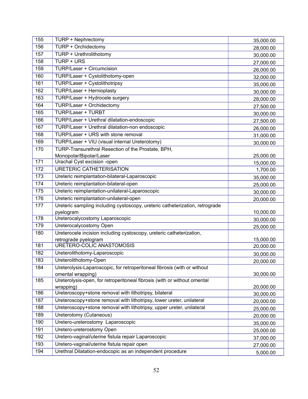| 155 | TURP + Nephrectomy                                                           | 35,000.00 |
|-----|------------------------------------------------------------------------------|-----------|
| 156 | TURP + Orchidectomy                                                          | 28,000.00 |
| 157 | TURP + Urethrolithotomy                                                      | 30,000.00 |
| 158 | TURP + URS                                                                   | 27,000.00 |
| 159 | <b>TURP/Laser + Circumcision</b>                                             | 26,000.00 |
| 160 | TURP/Laser + Cystolithotomy-open                                             | 32,000.00 |
| 161 | TURP/Laser + Cystolithotripsy                                                | 35,000.00 |
| 162 | <b>TURP/Laser + Hernioplasty</b>                                             | 30,000.00 |
| 163 | TURP/Laser + Hydrocele surgery                                               | 28,000.00 |
| 164 | <b>TURP/Laser + Orchidectomy</b>                                             | 27,500.00 |
| 165 | <b>TURP/Laser + TURBT</b>                                                    | 30,000.00 |
| 166 | TURP/Laser + Urethral dilatation-endoscopic                                  | 27,500.00 |
| 167 | TURP/Laser + Urethral dilatation-non endoscopic                              | 26,000.00 |
| 168 | TURP/Laser + URS with stone removal                                          | 31,000.00 |
| 169 | TURP/Laser + VIU (visual internal Ureterotomy)                               | 30,000.00 |
| 170 | TURP-Transurethral Resection of the Prostate, BPH,                           |           |
|     | Monopolar/Bipolar/Laser                                                      | 25,000.00 |
| 171 | Urachal Cyst excision -open                                                  | 15,000.00 |
| 172 | <b>URETERIC CATHETERISATION</b>                                              | 1,700.00  |
| 173 | Ureteric reimplantation-bilateral-Laparoscopic                               | 35,000.00 |
| 174 | Ureteric reimplantation-bilateral-open                                       | 25,000.00 |
| 175 | Ureteric reimplantation-unilateral-Laparoscopic                              | 30,000.00 |
| 176 | Ureteric reimplantation-unilateral-open                                      | 20,000.00 |
| 177 | Ureteric sampling including cystoscopy, ureteric catheterization, retrograde |           |
|     | pyelogram                                                                    | 10,000.00 |
| 178 | Ureterocalycostomy Laparoscopic                                              | 30,000.00 |
| 179 | Ureterocalycostomy Open                                                      | 25,000.00 |
| 180 | Ureterocele incision including cystoscopy, ureteric catheterization,         |           |
| 181 | retrograde pyelogram<br>URETERO-COLIC ANASTOMOSIS                            | 15,000.00 |
| 182 | Ureterolithotomy-Laparoscopic                                                | 20,000.00 |
| 183 | Ureterolithotomy-Open                                                        | 30,000.00 |
| 184 | Ureterolysis-Laparoscopic, for retroperitoneal fibrosis (with or without     | 20,000.00 |
|     | omental wrapping)                                                            | 30,000.00 |
| 185 | Ureterolysis-open, for retroperitoneal fibrosis (with or without omental     |           |
|     | wrapping)                                                                    | 20,000.00 |
| 186 | Ureteroscopy+stone removal with lithotripsy, bilateral                       | 30,000.00 |
| 187 | Ureteroscopy+stone removal with lithotripsy, lower ureter, unilateral        | 20,000.00 |
| 188 | Ureteroscopy+stone removal with lithotripsy, upper ureter, unilateral        | 25,000.00 |
| 189 | Ureterotomy (Cutaneous)                                                      | 20,000.00 |
| 190 | Uretero-ureterostomy Laparoscopic                                            | 35,000.00 |
| 191 | Uretero-ureterostomy Open                                                    | 25,000.00 |
| 192 | Uretero-vaginal/uterine fistula repair Laparoscopic                          | 37,000.00 |
| 193 | Uretero-vaginal/uterine fistula repair open                                  | 27,000.00 |
| 194 | Urethral Dilatation-endocopic as an independent procedure                    | 5,000.00  |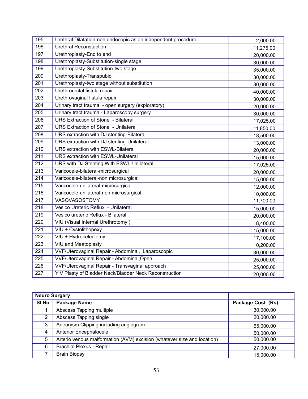| 195              | Urethral Dilatation-non endocopic as an independent procedure | 2,000.00  |
|------------------|---------------------------------------------------------------|-----------|
| 196              | <b>Urethral Reconstuction</b>                                 | 11,275.00 |
| 197              | Urethroplasty-End to end                                      | 20,000.00 |
| 198              | Urethroplasty-Substitution-single stage                       | 30,000.00 |
| 199              | Urethroplasty-Substitution-two stage                          | 35,000.00 |
| 200              | Urethroplasty-Transpubic                                      | 30,000.00 |
| 201              | Urethroplasty-two stage without substitution                  | 30,000.00 |
| 202              | Urethrorectal fistula repair                                  | 40,000.00 |
| 203              | Urethrovaginal fistula repair                                 | 30,000.00 |
| 204              | Urinary tract trauma - open surgery (exploratory)             | 20,000.00 |
| 205              | Urinary tract trauma - Laparoscopy surgery                    | 30,000.00 |
| 206              | <b>URS Extraction of Stone - Bilateral</b>                    | 17,025.00 |
| 207              | <b>URS Extraction of Stone - Unilateral</b>                   | 11,850.00 |
| 208              | URS extraction with DJ stenting-Bilateral                     | 18,500.00 |
| 209              | URS extraction with DJ stenting-Unilateral                    | 13,000.00 |
| 210              | <b>URS extraction with ESWL-Bilateral</b>                     | 20,000.00 |
| 211              | URS extraction with ESWL-Unilateral                           | 15,000.00 |
| $\overline{212}$ | URS with DJ Stenting With ESWL-Unilateral                     | 17,025.00 |
| 213              | Varicocele-bilateral-microsurgical                            | 20,000.00 |
| 214              | Varicocele-bilateral-non microsurgical                        | 15,000.00 |
| 215              | Varicocele-unilateral-microsurgical                           | 12,000.00 |
| 216              | Varicocele-unilateral-non microsurgical                       | 10,000.00 |
| $\overline{217}$ | VASOVASOSTOMY                                                 | 11,700.00 |
| 218              | Vesico Ureteric Reflux - Unilateral                           | 15,000.00 |
| 219              | Vesico ureteric Reflux - Bilateral                            | 20,000.00 |
| 220              | VIU (Visual Internal Urethrotomy)                             | 8,400.00  |
| 221              | VIU + Cystolithopexy                                          | 15,000.00 |
| 222              | VIU + Hydrocelectomy                                          | 17,100.00 |
| 223              | <b>VIU and Meatoplasty</b>                                    | 10,200.00 |
| 224              | VVF/Uterovaginal Repair - Abdominal, Laparoscopic             | 30,000.00 |
| 225              | VVF/Uterovaginal Repair - Abdominal, Open                     | 25,000.00 |
| 226              | VVF/Uterovaginal Repair - Transvaginal approach               | 25,000.00 |
| 227              | Y V Plasty of Bladder Neck/Bladder Neck Reconstruction        | 20,000.00 |

|                       | <b>Neuro Surgery</b>                                                    |                   |
|-----------------------|-------------------------------------------------------------------------|-------------------|
| SI.No                 | Package Name                                                            | Package Cost (Rs) |
|                       | Abscess Tapping multiple                                                | 30,000.00         |
| $\mathbf{2}^{\prime}$ | Abscess Tapping single                                                  | 20,000.00         |
| 3                     | Aneurysm Clipping including angiogram                                   | 65,000.00         |
| 4                     | Anterior Encephalocele                                                  | 50,000.00         |
| 5                     | Arterio venous malformation (AVM) excision (whatever size and location) | 50,000.00         |
| 6                     | <b>Brachial Plexus - Repair</b>                                         | 27,000.00         |
|                       | <b>Brain Biopsy</b>                                                     | 15,000.00         |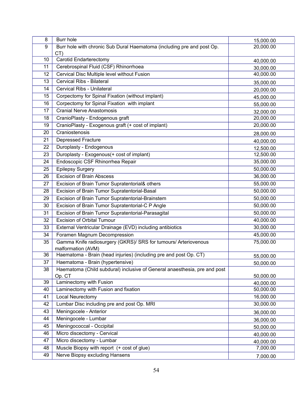| 8               | Burr hole                                                                 | 15,000.00              |
|-----------------|---------------------------------------------------------------------------|------------------------|
| 9               | Burr hole with chronic Sub Dural Haematoma (including pre and post Op.    | 20,000.00              |
|                 | CT)                                                                       |                        |
| 10              | Carotid Endarterectomy                                                    | 40,000.00              |
| 11              | Cerebrospinal Fluid (CSF) Rhinorrhoea                                     | 30,000.00              |
| 12              | Cervical Disc Multiple level without Fusion                               | 40,000.00              |
| 13              | Cervical Ribs - Bilateral                                                 | 35,000.00              |
| 14              | Cervical Ribs - Unilateral                                                | 20,000.00              |
| 15              | Corpectomy for Spinal Fixation (without implant)                          | 45,000.00              |
| 16              | Corpectomy for Spinal Fixation with implant                               | 55,000.00              |
| 17              | <b>Cranial Nerve Anastomosis</b>                                          | 32,000.00              |
| 18              | CranioPlasty - Endogenous graft                                           | 20,000.00              |
| 19              | CranioPlasty - Exogenous graft (+ cost of implant)                        | 20,000.00              |
| 20              | Craniostenosis                                                            | 28,000.00              |
| 21              | <b>Depressed Fracture</b>                                                 | 40,000.00              |
| 22              | Duroplasty - Endogenous                                                   | 12,500.00              |
| 23              | Duroplasty - Exogenous(+ cost of implant)                                 | 12,500.00              |
| 24              | Endoscopic CSF Rhinorrhea Repair                                          | 35,000.00              |
| 25              | <b>Epilepsy Surgery</b>                                                   | 50,000.00              |
| 26              | <b>Excision of Brain Abscess</b>                                          | 36,000.00              |
| 27              | Excision of Brain Tumor Supratentorial& others                            | 55,000.00              |
| 28              | Excision of Brain Tumor Supratentorial-Basal                              | 50,000.00              |
| 29              | Excision of Brain Tumor Supratentorial-Brainstem                          | 50,000.00              |
| 30              | Excision of Brain Tumor Supratentorial-C P Angle                          | 50,000.00              |
| 31              | Excision of Brain Tumor Supratentorial-Parasagital                        | 50,000.00              |
| 32              | <b>Excision of Orbital Tumour</b>                                         | 40,000.00              |
| 33              | External Ventricular Drainage (EVD) including antibiotics                 | 30,000.00              |
| $\overline{34}$ | Foramen Magnum Decompression                                              | 45,000.00              |
| 35              | Gamma Knife radiosurgery (GKRS)/ SRS for tumours/ Arteriovenous           | 75,000.00              |
|                 | malformation (AVM)                                                        |                        |
| 36              | Haematoma - Brain (head injuries) (including pre and post Op. CT)         | 55,000.00              |
| 37              | Haematoma - Brain (hypertensive)                                          | 50,000.00              |
| 38              | Haematoma (Child subdural) inclusive of General anaesthesia, pre and post |                        |
| 39              | Op. CT<br>Laminectomy with Fusion                                         | 50,000.00              |
| 40              | Laminectomy with Fusion and fixation                                      | 40,000.00<br>50,000.00 |
| 41              | Local Neurectomy                                                          | 16,000.00              |
| 42              | Lumbar Disc including pre and post Op. MRI                                | 30,000.00              |
| 43              |                                                                           |                        |
|                 | Meningocele - Anterior                                                    | 36,000.00              |
| 44              | Meningocele - Lumbar                                                      | 36,000.00              |
| 45              | Meningococcal - Occipital                                                 | 50,000.00              |
| 46              | Micro discectomy - Cervical                                               | 40,000.00              |
| 47              | Micro discectomy - Lumbar                                                 | 40,000.00              |
| 48              | Muscle Biopsy with report (+ cost of glue)                                | 7,000.00               |
| 49              | Nerve Biopsy excluding Hansens                                            | 7,000.00               |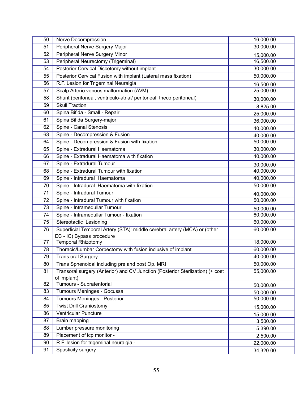| 50 | Nerve Decompression                                                           | 16,000.00 |
|----|-------------------------------------------------------------------------------|-----------|
| 51 | Peripheral Nerve Surgery Major                                                | 30,000.00 |
| 52 | Peripheral Nerve Surgery Minor                                                | 15,000.00 |
| 53 | Peripheral Neurectomy (Trigeminal)                                            | 16,500.00 |
| 54 | Posterior Cervical Discetomy without implant                                  | 30,000.00 |
| 55 | Posterior Cervical Fusion with implant (Lateral mass fixation)                | 50,000.00 |
| 56 | R.F. Lesion for Trigeminal Neuralgia                                          | 16,500.00 |
| 57 | Scalp Arterio venous malformation (AVM)                                       | 25,000.00 |
| 58 | Shunt (peritoneal, ventriculo-atrial/ peritoneal, theco peritoneal)           | 30,000.00 |
| 59 | <b>Skull Traction</b>                                                         | 8,825.00  |
| 60 | Spina Bifida - Small - Repair                                                 | 25,000.00 |
| 61 | Spina Bifida Surgery-major                                                    | 36,000.00 |
| 62 | Spine - Canal Stenosis                                                        | 40,000.00 |
| 63 | Spine - Decompression & Fusion                                                | 40,000.00 |
| 64 | Spine - Decompression & Fusion with fixation                                  | 50,000.00 |
| 65 | Spine - Extradural Haematoma                                                  | 30,000.00 |
| 66 | Spine - Extradural Haematoma with fixation                                    | 40,000.00 |
| 67 | Spine - Extradural Tumour                                                     | 30,000.00 |
| 68 | Spine - Extradural Tumour with fixation                                       | 40,000.00 |
| 69 | Spine - Intradural Haematoma                                                  | 40,000.00 |
| 70 | Spine - Intradural Haematoma with fixation                                    | 50,000.00 |
| 71 | Spine - Intradural Tumour                                                     | 40,000.00 |
| 72 | Spine - Intradural Tumour with fixation                                       | 50,000.00 |
| 73 | Spine - Intramedullar Tumour                                                  | 50,000.00 |
| 74 | Spine - Intramedullar Tumour - fixation                                       | 60,000.00 |
| 75 | Stereotactic Lesioning                                                        | 60,000.00 |
| 76 | Superficial Temporal Artery (STA): middle cerebral artery (MCA) or (other     | 60,000.00 |
| 77 | EC - IC) Bypass procedure<br><b>Temporal Rhizotomy</b>                        | 18,000.00 |
| 78 | Thoracic/Lumbar Corpectomy with fusion inclusive of implant                   | 60,000.00 |
| 79 | <b>Trans oral Surgery</b>                                                     | 40,000.00 |
| 80 | Trans Sphenoidal including pre and post Op. MRI                               | 50,000.00 |
| 81 | Transoral surgery (Anterior) and CV Junction (Posterior Sterlization) (+ cost | 55,000.00 |
|    | of implant)                                                                   |           |
| 82 | Tumours - Supratentorial                                                      | 50,000.00 |
| 83 | Tumours Meninges - Gocussa                                                    | 50,000.00 |
| 84 | <b>Tumours Meninges - Posterior</b>                                           | 50,000.00 |
| 85 | <b>Twist Drill Craniostomy</b>                                                | 15,000.00 |
| 86 | <b>Ventricular Puncture</b>                                                   | 15,000.00 |
| 87 | Brain mapping                                                                 | 3,500.00  |
| 88 | Lumber pressure monitoring                                                    | 5,390.00  |
| 89 | Placement of icp monitor -                                                    | 2,500.00  |
| 90 | R.F. lesion for trigeminal neuralgia -                                        | 22,000.00 |
| 91 | Spasticity surgery -                                                          | 34,320.00 |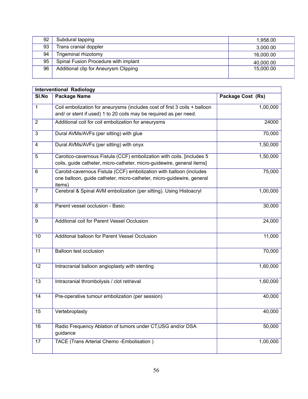| 92 | Subdural tapping                      | 1.958.00  |
|----|---------------------------------------|-----------|
| 93 | <b>Trans cranial doppler</b>          | 3.000.00  |
| 94 | Trigeminal rhizotomy                  | 16,000,00 |
| 95 | Spinal Fusion Procedure with implant  | 40,000.00 |
| 96 | Additional clip for Aneurysm Clipping | 15,000.00 |
|    |                                       |           |

|                | <b>Interventional Radiology</b>                                                 |                   |
|----------------|---------------------------------------------------------------------------------|-------------------|
| SI.No          | <b>Package Name</b>                                                             | Package Cost (Rs) |
| $\mathbf{1}$   | Coil embolization for aneurysms (includes cost of first 3 coils + balloon       | 1,00,000          |
|                | and/ or stent if used) 1 to 20 coils may be required as per need.               |                   |
| $\overline{2}$ | Additional coil for coil embolization for aneurysms                             | 24000             |
| 3              | Dural AVMs/AVFs (per sitting) with glue                                         | 70,000            |
| 4              | Dural AVMs/AVFs (per sitting) with onyx                                         | 1,50,000          |
| 5              | Carotico-cavernous Fistula (CCF) embolization with coils. [includes 5           | 1,50,000          |
|                | coils, guide catheter, micro-catheter, micro-guidewire, general items]          |                   |
| 6              | Carotid-cavernous Fistula (CCF) embolization with balloon (includes             | 75,000            |
|                | one balloon, guide catheter, micro-catheter, micro-guidewire, general<br>items) |                   |
| $\overline{7}$ | Cerebral & Spinal AVM embolization (per sitting). Using Histoacryl              | 1,00,000          |
| 8              | Parent vessel occlusion - Basic                                                 | 30,000            |
| 9              | Additonal coil for Parent Vessel Occlusion                                      | 24,000            |
| 10             | Additonal balloon for Parent Vessel Occlusion                                   | 11,000            |
| 11             | <b>Balloon test occlusion</b>                                                   | 70,000            |
| 12             | Intracranial balloon angioplasty with stenting                                  | 1,60,000          |
| 13             | Intracranial thrombolysis / clot retrieval                                      | 1,60,000          |
| 14             | Pre-operative tumour embolization (per session)                                 | 40,000            |
| 15             | Vertebroplasty                                                                  | 40,000            |
| 16             | Radio Frequency Ablation of tumors under CT, USG and/or DSA<br>guidance         | 50,000            |
| 17             | TACE (Trans Arterial Chemo - Embolisation)                                      | 1,00,000          |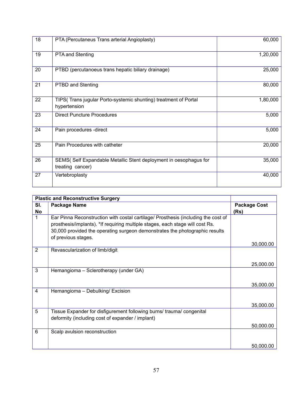| 18 | PTA (Percutaneus Trans arterial Angioplasty)                                         | 60,000   |
|----|--------------------------------------------------------------------------------------|----------|
| 19 | <b>PTA and Stenting</b>                                                              | 1,20,000 |
| 20 | PTBD (percutanoeus trans hepatic biliary drainage)                                   | 25,000   |
| 21 | <b>PTBD and Stenting</b>                                                             | 80,000   |
| 22 | TIPS(Trans jugular Porto-systemic shunting) treatment of Portal<br>hypertension      | 1,80,000 |
| 23 | <b>Direct Puncture Procedures</b>                                                    | 5,000    |
| 24 | Pain procedures -direct                                                              | 5,000    |
| 25 | Pain Procedures with catheter                                                        | 20,000   |
| 26 | SEMS(Self Expandable Metallic Stent deployment in oesophagus for<br>treating cancer) | 35,000   |
| 27 | Vertebroplasty                                                                       | 40,000   |

|     | <b>Plastic and Reconstructive Surgery</b>                                                                                                                                                                                                                                |                     |
|-----|--------------------------------------------------------------------------------------------------------------------------------------------------------------------------------------------------------------------------------------------------------------------------|---------------------|
| SI. | <b>Package Name</b>                                                                                                                                                                                                                                                      | <b>Package Cost</b> |
| No  |                                                                                                                                                                                                                                                                          | (Rs)                |
| 1   | Ear Pinna Reconstruction with costal cartilage/ Prosthesis (including the cost of<br>prosthesis/implants). *If requiring multiple stages, each stage will cost Rs.<br>30,000 provided the operating surgeon demonstrates the photographic results<br>of previous stages. |                     |
|     |                                                                                                                                                                                                                                                                          | 30,000.00           |
| 2   | Revascularization of limb/digit                                                                                                                                                                                                                                          | 25,000.00           |
| 3   | Hemangioma - Sclerotherapy (under GA)                                                                                                                                                                                                                                    | 35,000.00           |
| 4   | Hemangioma - Debulking/ Excision                                                                                                                                                                                                                                         |                     |
|     |                                                                                                                                                                                                                                                                          | 35,000.00           |
| 5   | Tissue Expander for disfigurement following burns/ trauma/ congenital<br>deformity (including cost of expander / implant)                                                                                                                                                |                     |
|     |                                                                                                                                                                                                                                                                          | 50,000.00           |
| 6   | Scalp avulsion reconstruction                                                                                                                                                                                                                                            |                     |
|     |                                                                                                                                                                                                                                                                          | 50,000.00           |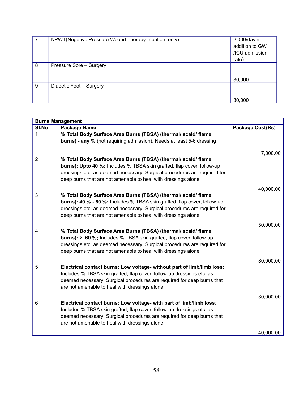|   | NPWT (Negative Pressure Wound Therapy-Inpatient only) | 2,000/dayin    |
|---|-------------------------------------------------------|----------------|
|   |                                                       | addition to GW |
|   |                                                       | /ICU admission |
|   |                                                       | rate)          |
| 8 | Pressure Sore - Surgery                               |                |
|   |                                                       |                |
|   |                                                       | 30,000         |
| 9 | Diabetic Foot - Surgery                               |                |
|   |                                                       |                |
|   |                                                       | 30,000         |

| <b>Burns Management</b> |                                                                               |                  |
|-------------------------|-------------------------------------------------------------------------------|------------------|
| SI.No                   | <b>Package Name</b>                                                           | Package Cost(Rs) |
| 1                       | % Total Body Surface Area Burns (TBSA) (thermal/ scald/ flame                 |                  |
|                         | burns) - any % (not requiring admission). Needs at least 5-6 dressing         |                  |
|                         |                                                                               |                  |
|                         |                                                                               | 7,000.00         |
| $\overline{2}$          | % Total Body Surface Area Burns (TBSA) (thermal/ scald/ flame                 |                  |
|                         | burns): Upto 40 %; Includes % TBSA skin grafted, flap cover, follow-up        |                  |
|                         | dressings etc. as deemed necessary; Surgical procedures are required for      |                  |
|                         | deep burns that are not amenable to heal with dressings alone.                |                  |
|                         |                                                                               | 40,000.00        |
| 3                       | % Total Body Surface Area Burns (TBSA) (thermal/ scald/ flame                 |                  |
|                         | burns): 40 % - 60 %; Includes % TBSA skin grafted, flap cover, follow-up      |                  |
|                         | dressings etc. as deemed necessary; Surgical procedures are required for      |                  |
|                         | deep burns that are not amenable to heal with dressings alone.                |                  |
|                         |                                                                               | 50,000.00        |
| 4                       | % Total Body Surface Area Burns (TBSA) (thermal/ scald/ flame                 |                  |
|                         | <b>burns): &gt; 60 %;</b> Includes % TBSA skin grafted, flap cover, follow-up |                  |
|                         | dressings etc. as deemed necessary; Surgical procedures are required for      |                  |
|                         | deep burns that are not amenable to heal with dressings alone.                |                  |
|                         |                                                                               | 80,000.00        |
| $\overline{5}$          | Electrical contact burns: Low voltage- without part of limb/limb loss;        |                  |
|                         | Includes % TBSA skin grafted, flap cover, follow-up dressings etc. as         |                  |
|                         | deemed necessary; Surgical procedures are required for deep burns that        |                  |
|                         | are not amenable to heal with dressings alone.                                |                  |
|                         |                                                                               | 30,000.00        |
| 6                       | Electrical contact burns: Low voltage- with part of limb/limb loss;           |                  |
|                         | Includes % TBSA skin grafted, flap cover, follow-up dressings etc. as         |                  |
|                         | deemed necessary; Surgical procedures are required for deep burns that        |                  |
|                         | are not amenable to heal with dressings alone.                                |                  |
|                         |                                                                               | 40,000.00        |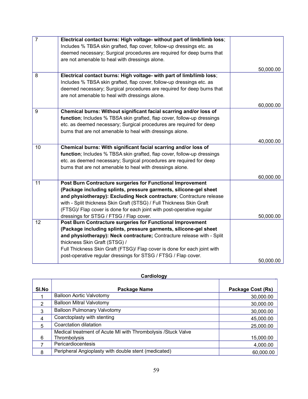| $\overline{7}$ | Electrical contact burns: High voltage- without part of limb/limb loss;  |           |
|----------------|--------------------------------------------------------------------------|-----------|
|                | Includes % TBSA skin grafted, flap cover, follow-up dressings etc. as    |           |
|                | deemed necessary; Surgical procedures are required for deep burns that   |           |
|                | are not amenable to heal with dressings alone.                           |           |
|                |                                                                          | 50,000.00 |
| 8              | Electrical contact burns: High voltage- with part of limb/limb loss;     |           |
|                | Includes % TBSA skin grafted, flap cover, follow-up dressings etc. as    |           |
|                | deemed necessary; Surgical procedures are required for deep burns that   |           |
|                | are not amenable to heal with dressings alone.                           |           |
|                |                                                                          | 60,000.00 |
| 9              | Chemical burns: Without significant facial scarring and/or loss of       |           |
|                | function; Includes % TBSA skin grafted, flap cover, follow-up dressings  |           |
|                | etc. as deemed necessary; Surgical procedures are required for deep      |           |
|                | burns that are not amenable to heal with dressings alone.                |           |
|                |                                                                          | 40,000.00 |
| 10             | Chemical burns: With significant facial scarring and/or loss of          |           |
|                | function; Includes % TBSA skin grafted, flap cover, follow-up dressings  |           |
|                | etc. as deemed necessary; Surgical procedures are required for deep      |           |
|                | burns that are not amenable to heal with dressings alone.                |           |
|                |                                                                          | 60,000.00 |
| 11             | Post Burn Contracture surgeries for Functional Improvement               |           |
|                | (Package including splints, pressure garments, silicone-gel sheet        |           |
|                | and physiotherapy): Excluding Neck contracture; Contracture release      |           |
|                | with - Split thickness Skin Graft (STSG) / Full Thickness Skin Graft     |           |
|                | (FTSG)/ Flap cover is done for each joint with post-operative regular    |           |
|                | dressings for STSG / FTSG / Flap cover.                                  | 50,000.00 |
| 12             | Post Burn Contracture surgeries for Functional Improvement               |           |
|                | (Package including splints, pressure garments, silicone-gel sheet        |           |
|                | and physiotherapy): Neck contracture; Contracture release with - Split   |           |
|                | thickness Skin Graft (STSG) /                                            |           |
|                | Full Thickness Skin Graft (FTSG)/ Flap cover is done for each joint with |           |
|                | post-operative regular dressings for STSG / FTSG / Flap cover.           |           |
|                |                                                                          | 50,000.00 |

## **Cardiology**

| SI.No          | Package Name                                                 | <b>Package Cost (Rs)</b> |
|----------------|--------------------------------------------------------------|--------------------------|
|                | <b>Balloon Aortic Valvotomy</b>                              | 30,000.00                |
| 2              | <b>Balloon Mitral Valvotomy</b>                              | 30,000.00                |
| 3              | <b>Balloon Pulmonary Valvotomy</b>                           | 30,000.00                |
| $\overline{4}$ | Coarctoplasty with stenting                                  | 45,000.00                |
| 5              | Coarctation dilatation                                       | 25,000.00                |
|                | Medical treatment of Acute MI with Thrombolysis /Stuck Valve |                          |
| 6              | Thrombolysis                                                 | 15,000.00                |
|                | Pericardiocentesis                                           | 4,000.00                 |
| 8              | Peripheral Angioplasty with double stent (medicated)         | 60,000.00                |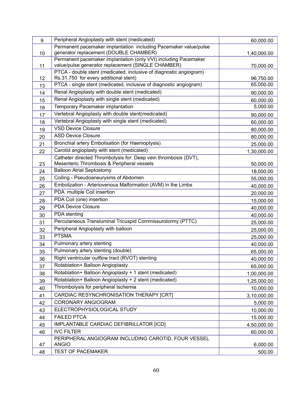| 9  | Peripheral Angioplasty with stent (medicated)                                                                         | 60,000.00   |
|----|-----------------------------------------------------------------------------------------------------------------------|-------------|
|    | Permanent pacemaker implantation including Pacemaker value/pulse                                                      |             |
| 10 | generator replacement (DOUBLE CHAMBER)                                                                                | 1,40,000.00 |
|    | Permanent pacemaker implantation (only VVI) including Pacemaker<br>value/pulse generator replacement (SINGLE CHAMBER) |             |
| 11 | PTCA - double stent (medicated, inclusive of diagnostic angiogram)                                                    | 70,000.00   |
| 12 | Rs.31,750 for every additional stent)                                                                                 | 96,750.00   |
| 13 | PTCA - single stent (medicated, inclusive of diagnostic angiogram)                                                    | 65,000.00   |
| 14 | Renal Angioplasty with double stent (medicated)                                                                       | 90,000.00   |
| 15 | Renal Angioplasty with single stent (medicated)                                                                       | 60,000.00   |
| 16 | Temporary Pacemaker implantation                                                                                      | 5,000.00    |
| 17 | Vertebral Angioplasty with double stent(medicated)                                                                    | 90,000.00   |
| 18 | Vertebral Angioplasty with single stent (medicated)                                                                   | 60,000.00   |
| 19 | <b>VSD Device Closure</b>                                                                                             | 80,000.00   |
| 20 | <b>ASD Device Closure</b>                                                                                             | 80,000.00   |
| 21 | Bronchial artery Embolisation (for Haemoptysis)                                                                       | 25,000.00   |
| 22 | Carotid angioplasty with stent (medicated)                                                                            | 1,30,000.00 |
|    | Catheter directed Thrombolysis for: Deep vein thrombosis (DVT),                                                       |             |
| 23 | Mesenteric Thrombosis & Peripheral vessels                                                                            | 50,000.00   |
| 24 | <b>Balloon Atrial Septostomy</b>                                                                                      | 18,000.00   |
| 25 | Coiling - Pseudoaneurysms of Abdomen                                                                                  | 55,000.00   |
| 26 | Embolization - Arteriovenous Malformation (AVM) in the Limbs                                                          | 40,000.00   |
| 27 | PDA multiple Coil insertion                                                                                           | 20,000.00   |
| 28 | PDA Coil (one) insertion                                                                                              | 15,000.00   |
| 29 | <b>PDA Device Closure</b>                                                                                             | 40,000.00   |
| 30 | PDA stenting                                                                                                          | 40,000.00   |
| 31 | Percutaneous Transluminal Tricuspid Commissurotormy (PTTC)                                                            | 25,000.00   |
| 32 | Peripheral Angioplasty with balloon                                                                                   | 25,000.00   |
| 33 | <b>PTSMA</b>                                                                                                          | 25,000.00   |
| 34 | Pulmonary artery stenting                                                                                             | 40,000.00   |
| 35 | Pulmonary artery stenting (double)                                                                                    | 65,000.00   |
| 36 | Right ventricular outflow tract (RVOT) stenting                                                                       | 40,000.00   |
| 37 | Rotablation+ Balloon Angioplasty                                                                                      | 65,000.00   |
| 38 | Rotablation+ Balloon Angioplasty + 1 stent (medicated)                                                                | 1,00,000.00 |
| 39 | Rotablation+ Balloon Angioplasty + 2 stent (medicated)                                                                | 1,25,000.00 |
| 40 | Thrombolysis for peripheral ischemia                                                                                  | 10,000.00   |
| 41 | CARDIAC RESYNCHRONISATION THERAPY [CRT]                                                                               | 3,10,000.00 |
| 42 | <b>CORONARY ANGIOGRAM</b>                                                                                             | 5,000.00    |
| 43 | ELECTROPHYSIOLOGICAL STUDY                                                                                            | 10,000.00   |
| 44 | <b>FAILED PTCA</b>                                                                                                    | 15,000.00   |
| 45 | IMPLANTABLE CARDIAC DEFIBRILLATOR [ICD]                                                                               | 4,50,000.00 |
| 46 | <b>IVC FILTER</b>                                                                                                     | 60,000.00   |
|    | PERIPHERAL ANGIOGRAM INCLUDING CAROTID, FOUR VESSEL                                                                   |             |
| 47 | <b>ANGIO</b>                                                                                                          | 6,000.00    |
| 48 | <b>TEST OF PACEMAKER</b>                                                                                              | 500.00      |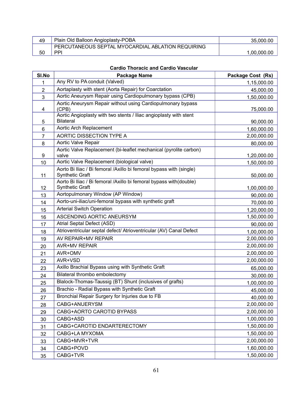| 49 | Plain Old Balloon Angioplasty-POBA                | 35,000,00   |
|----|---------------------------------------------------|-------------|
|    | PERCUTANEOUS SEPTAL MYOCARDIAL ABLATION REQUIRING |             |
| 50 | PPI                                               | 1.00.000.00 |

## **Cardio Thoracic and Cardio Vascular**

| SI.No          | <b>Package Name</b>                                                                          | Package Cost (Rs) |
|----------------|----------------------------------------------------------------------------------------------|-------------------|
| 1              | Any RV to PA conduit (Valved)                                                                | 1,15,000.00       |
| $\overline{2}$ | Aortaplasty with stent (Aorta Repair) for Coarctation                                        | 45,000.00         |
| 3              | Aortic Aneurysm Repair using Cardiopulmonary bypass (CPB)                                    | 1,50,000.00       |
|                | Aortic Aneurysm Repair without using Cardiopulmonary bypass                                  |                   |
| 4              | (CPB)<br>Aortic Angioplasty with two stents / Iliac angioplasty with stent                   | 75,000.00         |
| 5              | <b>Bilateral</b>                                                                             | 90,000.00         |
| 6              | Aortic Arch Replacement                                                                      | 1,60,000.00       |
| 7              | <b>AORTIC DISSECTION TYPE A</b>                                                              | 2,00,000.00       |
| 8              | Aortic Valve Repair                                                                          | 80,000.00         |
|                | Aortic Valve Replacement (bi-leaflet mechanical (pyrolite carbon)                            |                   |
| 9              | valve                                                                                        | 1,20,000.00       |
| 10             | Aortic Valve Replacement (biological valve)                                                  | 1,50,000.00       |
|                | Aorto Bi Iliac / Bi femoral /Axillo bi femoral bypass with (single)                          |                   |
| 11             | <b>Synthetic Graft</b><br>Aorto Bi Iliac / Bi femoral /Axillo bi femoral bypass with(double) | 50,000.00         |
| 12             | <b>Synthetic Graft</b>                                                                       | 1,00,000.00       |
| 13             | Aortopulmonary Window (AP Window)                                                            | 90,000.00         |
| 14             | Aorto-uni-iliac/uni-femoral bypass with synthetic graft                                      | 70,000.00         |
| 15             | <b>Arterial Switch Operation</b>                                                             | 1,20,000.00       |
| 16             | ASCENDING AORTIC ANEURSYM                                                                    | 1,50,000.00       |
| 17             | Atrial Septal Defect (ASD)                                                                   | 90,000.00         |
| 18             | Atrioventricular septal defect/ Atrioventricular (AV) Canal Defect                           | 1,00,000.00       |
| 19             | AV REPAIR+MV REPAIR                                                                          | 2,00,000.00       |
| 20             | <b>AVR+MV REPAIR</b>                                                                         | 2,00,000.00       |
| 21             | AVR+OMV                                                                                      | 2,00,000.00       |
| 22             | AVR+VSD                                                                                      | 2,00,000.00       |
| 23             | Axillo Brachial Bypass using with Synthetic Graft                                            | 65,000.00         |
| 24             | Bilateral thrombo embolectomy                                                                | 30,000.00         |
| 25             | Blalock-Thomas-Taussig (BT) Shunt (inclusives of grafts)                                     | 1,00,000.00       |
| 26             | Brachio - Radial Bypass with Synthetic Graft                                                 | 45,000.00         |
| 27             | Bronchial Repair Surgery for Injuries due to FB                                              | 40,000.00         |
| 28             | CABG+ANUERYSM                                                                                | 2,00,000.00       |
| 29             | CABG+AORTO CAROTID BYPASS                                                                    | 2,00,000.00       |
| 30             | CABG+ASD                                                                                     | 1,00,000.00       |
| 31             | CABG+CAROTID ENDARTERECTOMY                                                                  | 1,50,000.00       |
| 32             | CABG+LA MYXOMA                                                                               | 1,50,000.00       |
| 33             | CABG+MVR+TVR                                                                                 | 2,00,000.00       |
| 34             | CABG+POVD                                                                                    | 1,60,000.00       |
| 35             | CABG+TVR                                                                                     | 1,50,000.00       |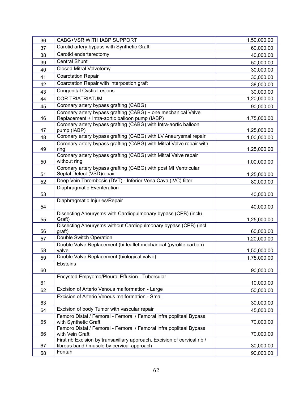| 36 | CABG+VSR WITH IABP SUPPORT                                                                 | 1,50,000.00 |
|----|--------------------------------------------------------------------------------------------|-------------|
| 37 | Carotid artery bypass with Synthetic Graft                                                 | 60,000.00   |
| 38 | Carotid endarterectomy                                                                     | 40,000.00   |
| 39 | <b>Central Shunt</b>                                                                       | 50,000.00   |
| 40 | <b>Closed Mitral Valvotomy</b>                                                             | 30,000.00   |
| 41 | <b>Coarctation Repair</b>                                                                  | 30,000.00   |
| 42 | Coarctation Repair with interpostion graft                                                 | 38,000.00   |
| 43 | <b>Congenital Cystic Lesions</b>                                                           | 30,000.00   |
| 44 | <b>COR TRIATRIATUM</b>                                                                     | 1,20,000.00 |
| 45 | Coronary artery bypass grafting (CABG)                                                     | 90,000.00   |
|    | Coronary artery bypass grafting (CABG) + one mechanical Valve                              |             |
| 46 | Replacement + Intra-aortic balloon pump (IABP)                                             | 1,75,000.00 |
| 47 | Coronary artery bypass grafting (CABG) with Intra-aortic balloon<br>pump (IABP)            | 1,25,000.00 |
| 48 | Coronary artery bypass grafting (CABG) with LV Aneurysmal repair                           | 1,00,000.00 |
| 49 | Coronary artery bypass grafting (CABG) with Mitral Valve repair with<br>ring               | 1,25,000.00 |
|    | Coronary artery bypass grafting (CABG) with Mitral Valve repair                            |             |
| 50 | without ring                                                                               | 1,00,000.00 |
|    | Coronary artery bypass grafting (CABG) with post MI Ventricular                            |             |
| 51 | Septal Defect (VSD)repair                                                                  | 1,25,000.00 |
| 52 | Deep Vein Thrombosis (DVT) - Inferior Vena Cava (IVC) filter                               | 80,000.00   |
| 53 | Diaphragmatic Eventeration                                                                 | 40,000.00   |
|    | Diaphragmatic Injuries/Repair                                                              |             |
| 54 |                                                                                            | 40,000.00   |
| 55 | Dissecting Aneurysms with Cardiopulmonary bypass (CPB) (inclu.<br>Graft)                   | 1,25,000.00 |
|    | Dissecting Aneurysms without Cardiopulmonary bypass (CPB) (incl.                           |             |
| 56 | graft)                                                                                     | 60,000.00   |
| 57 | Double Switch Operation                                                                    | 1,20,000.00 |
| 58 | Double Valve Replacement (bi-leaflet mechanical (pyrolite carbon)<br>valve                 |             |
|    | Double Valve Replacement (biological valve)                                                | 1,50,000.00 |
| 59 | Ebsteins                                                                                   | 1,75,000.00 |
| 60 |                                                                                            | 90,000.00   |
|    | Encysted Empyema/Pleural Effusion - Tubercular                                             |             |
| 61 |                                                                                            | 10,000.00   |
| 62 | Excision of Arterio Venous malformation - Large                                            | 50,000.00   |
| 63 | Excision of Arterio Venous malformation - Small                                            | 30,000.00   |
| 64 | Excision of body Tumor with vascular repair                                                | 45,000.00   |
| 65 | Femoro Distal / Femoral - Femoral / Femoral infra popliteal Bypass<br>with Synthetic Graft | 70,000.00   |
|    | Femoro Distal / Femoral - Femoral / Femoral infra popliteal Bypass                         |             |
| 66 | with Vein Graft                                                                            | 70,000.00   |
|    | First rib Excision by transaxillary approach, Excision of cervical rib /                   |             |
| 67 | fibrous band / muscle by cervical approach<br>Fontan                                       | 30,000.00   |
| 68 |                                                                                            | 90,000.00   |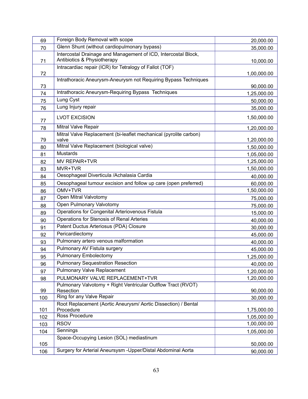| 69  | Foreign Body Removal with scope                                           | 20,000.00   |
|-----|---------------------------------------------------------------------------|-------------|
| 70  | Glenn Shunt (without cardiopulmonary bypass)                              | 35,000.00   |
|     | Intercostal Drainage and Management of ICD, Intercostal Block,            |             |
| 71  | Antibiotics & Physiotherapy                                               | 10,000.00   |
| 72  | Intracardiac repair (ICR) for Tetralogy of Fallot (TOF)                   | 1,00,000.00 |
|     | Intrathoracic Aneurysm-Aneurysm not Requiring Bypass Techniques           |             |
| 73  |                                                                           | 90,000.00   |
| 74  | Intrathoracic Aneurysm-Requiring Bypass Techniques                        | 1,25,000.00 |
| 75  | Lung Cyst                                                                 | 50,000.00   |
| 76  | Lung Injury repair                                                        | 35,000.00   |
| 77  | <b>LVOT EXCISION</b>                                                      | 1,50,000.00 |
| 78  | Mitral Valve Repair                                                       | 1,20,000.00 |
|     | Mitral Valve Replacement (bi-leaflet mechanical (pyrolite carbon)         |             |
| 79  | valve                                                                     | 1,20,000.00 |
| 80  | Mitral Valve Replacement (biological valve)                               | 1,50,000.00 |
| 81  | <b>Mustards</b>                                                           | 1,05,000.00 |
| 82  | <b>MV REPAIR+TVR</b>                                                      | 1,25,000.00 |
| 83  | MVR+TVR                                                                   | 1,50,000.00 |
| 84  | Oesophageal Diverticula /Achalasia Cardia                                 | 40,000.00   |
| 85  | Oesophageal tumour excision and follow up care (open preferred)           | 60,000.00   |
| 86  | OMV+TVR                                                                   | 1,50,000.00 |
| 87  | Open Mitral Valvotomy                                                     | 75,000.00   |
| 88  | Open Pulmonary Valvotomy                                                  | 75,000.00   |
| 89  | Operations for Congenital Arteriovenous Fistula                           | 15,000.00   |
| 90  | Operations for Stenosis of Renal Arteries                                 | 40,000.00   |
| 91  | Patent Ductus Arteriosus (PDA) Closure                                    | 30,000.00   |
| 92  | Pericardiectomy                                                           | 45,000.00   |
| 93  | Pulmonary artero venous malformation                                      | 40,000.00   |
| 94  | Pulmonary AV Fistula surgery                                              | 45,000.00   |
| 95  | <b>Pulmonary Embolectomy</b>                                              | 1,25,000.00 |
| 96  | <b>Pulmonary Sequestration Resection</b>                                  | 40,000.00   |
| 97  | <b>Pulmonary Valve Replacement</b>                                        | 1,20,000.00 |
| 98  | PULMONARY VALVE REPLACEMENT+TVR                                           | 1,20,000.00 |
| 99  | Pulmonary Valvotomy + Right Ventricular Outflow Tract (RVOT)<br>Resection | 90,000.00   |
| 100 | Ring for any Valve Repair                                                 | 30,000.00   |
|     | Root Replacement (Aortic Aneurysm/ Aortic Dissection) / Bental            |             |
| 101 | Procedure                                                                 | 1,75,000.00 |
| 102 | Ross Procedure                                                            | 1,05,000.00 |
| 103 | <b>RSOV</b>                                                               | 1,00,000.00 |
| 104 | Sennings                                                                  | 1,05,000.00 |
|     | Space-Occupying Lesion (SOL) mediastinum                                  |             |
| 105 |                                                                           | 50,000.00   |
| 106 | Surgery for Arterial Aneursysm - Upper/Distal Abdominal Aorta             | 90,000.00   |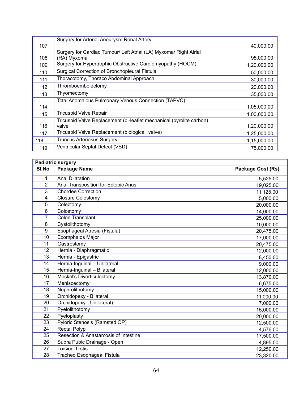|     | Surgery for Arterial Aneurysm Renal Artery                           |             |
|-----|----------------------------------------------------------------------|-------------|
| 107 |                                                                      | 40,000.00   |
|     | Surgery for Cardiac Tumour/ Left Atrial (LA) Myxoma/ Right Atrial    |             |
| 108 | (RA) Myxoma                                                          | 95,000.00   |
| 109 | Surgery for Hypertrophic Obstructive Cardiomyopathy (HOCM)           | 1,20,000.00 |
| 110 | Surgical Correction of Bronchopleural Fistula                        | 50,000.00   |
| 111 | Thoracotomy, Thoraco Abdominal Approach                              | 30,000.00   |
| 112 | Thromboembolectomy                                                   | 20,000.00   |
| 113 | Thyomectomy                                                          | 35,000.00   |
|     | Total Anomalous Pulmonary Venous Connection (TAPVC)                  |             |
| 114 |                                                                      | 1,05,000.00 |
| 115 | <b>Tricuspid Valve Repair</b>                                        | 1,00,000.00 |
|     | Tricuspid Valve Replacement (bi-leaflet mechanical (pyrolite carbon) |             |
| 116 | valve                                                                | 1,20,000.00 |
| 117 | Tricuspid Valve Replacement (biological valve)                       | 1,25,000.00 |
| 118 | <b>Truncus Arteriosus Surgery</b>                                    | 1,15,000.00 |
| 119 | Ventricular Septal Defect (VSD)                                      | 75,000.00   |

| <b>Pediatric surgery</b> |                                      |                          |
|--------------------------|--------------------------------------|--------------------------|
| SI.No                    | <b>Package Name</b>                  | <b>Package Cost (Rs)</b> |
| 1                        | <b>Anal Dilatation</b>               | 5,525.00                 |
| $\overline{2}$           | Anal Transposition for Ectopic Anus  | 19,025.00                |
| 3                        | <b>Chordee Correction</b>            | 11,125.00                |
| 4                        | <b>Closure Colostomy</b>             | 5,000.00                 |
| 5                        | Colectomy                            | 20,000.00                |
| 6                        | Colostomy                            | 14,000.00                |
| 7                        | Colon Transplant                     | 25,000.00                |
| 8                        | Cystolithotomy                       | 10,000.00                |
| 9                        | Esophageal Atresia (Fistula)         | 20,475.00                |
| 10                       | <b>Exomphalos Major</b>              | 17,000.00                |
| 11                       | Gastrostomy                          | 20,475.00                |
| 12                       | Hernia - Diaphragmatic               | 12,000.00                |
| 13                       | Hernia - Epigastric                  | 8,450.00                 |
| 14                       | Hernia-Inguinal - Unilateral         | 9,000.00                 |
| 15                       | Hernia-Inguinal - Bilateral          | 12,000.00                |
| 16                       | <b>Meckel's Diverticulectomy</b>     | 13,870.00                |
| 17                       | Meniscectomy                         | 6,675.00                 |
| 18                       | Nephrolithotomy                      | 15,000.00                |
| 19                       | Orchidopexy - Bilateral              | 11,000.00                |
| 20                       | Orchidopexy - Unilateral)            | 7,000.00                 |
| 21                       | Pyelolithotomy                       | 15,000.00                |
| 22                       | Pyeloplasty                          | 20,000.00                |
| 23                       | Pyloric Stenosis (Ramsted OP)        | 12,500.00                |
| 24                       | Rectal Polyp                         | 4,576.00                 |
| 25                       | Resection & Anastamosis of Intestine | 17,500.00                |
| 26                       | Supra Pubic Drainage - Open          | 4,895.00                 |
| 27                       | <b>Torsion Testis</b>                | 12,250.00                |
| 28                       | Tracheo Esophageal Fistula           | 23,320.00                |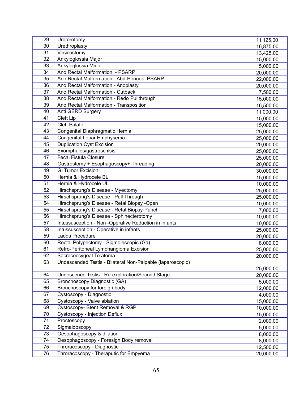| 29 | Ureterotomy                                                | 11,125.00 |
|----|------------------------------------------------------------|-----------|
| 30 | Urethroplasty                                              | 16,875.00 |
| 31 | Vesicostomy                                                | 13,425.00 |
| 32 | Ankyloglossia Major                                        | 15,000.00 |
| 33 | Ankyloglossia Minor                                        | 5,000.00  |
| 34 | Ano Rectal Malformation - PSARP                            | 20,000.00 |
| 35 | Ano Rectal Malformation - Abd-Perineal PSARP               | 22,000.00 |
| 36 | Ano Rectal Malformation - Anoplasty                        | 20,000.00 |
| 37 | Ano Rectal Malformation - Cutback                          | 7,500.00  |
| 38 | Ano Rectal Malformation - Redo Pullthrough                 | 15,000.00 |
| 39 | Ano Rectal Malformation - Transposition                    | 16,500.00 |
| 40 | Anti GERD Surgery                                          | 11,000.00 |
| 41 | Cleft Lip                                                  | 15,000.00 |
| 42 | <b>Cleft Palate</b>                                        | 15,000.00 |
| 43 | Congenital Diaphragmatic Hernia                            | 25,000.00 |
| 44 | Congenital Lobar Emphysema                                 | 25,000.00 |
| 45 | <b>Duplication Cyst Excision</b>                           | 20,000.00 |
| 46 | Exomphalos/gastroschisis                                   | 25,000.00 |
| 47 | <b>Fecal Fistula Closure</b>                               | 25,000.00 |
| 48 | Gastrostomy + Esophagoscopy+ Threading                     | 20,000.00 |
| 49 | <b>GI Tumor Excision</b>                                   | 30,000.00 |
| 50 | Hernia & Hydrocele BL                                      | 15,000.00 |
| 51 | Hernia & Hydrocele UL                                      | 10,000.00 |
| 52 | Hirschsprung's Disease - Myectomy                          | 25,000.00 |
| 53 | Hirschsprung's Disease - Pull Through                      | 25,000.00 |
| 54 | Hirschsprung's Disease - Retal Biopsy -Open                | 10,000.00 |
| 55 | Hirschsprung's Disease - Retal Biopsy-Punch                | 7,000.00  |
| 56 | Hirschsprung's Disease - Sphinecterotomy                   | 10,000.00 |
| 57 | Intussusception - Non -Operative Reduction in infants      | 10,000.00 |
| 58 | Intussusception - Operative in infants                     | 25,000.00 |
| 59 | Ladds Procedure                                            | 20,000.00 |
| 60 | Rectal Polypectomy - Sigmoiescopic (Ga)                    | 8,000.00  |
| 61 | Retro-Peritoneal Lymphangioma Excision                     | 25,000.00 |
| 62 | Sacrococcygeal Teratoma                                    | 20,000.00 |
| 63 | Undescended Testis - Bilateral Non-Palpable (Iaparoscopic) |           |
|    |                                                            | 25,000.00 |
| 64 | Undescened Testis - Re-exploration/Second Stage            | 20,000.00 |
| 65 | Bronchoscopy Diagnostic (GA)                               | 5,000.00  |
| 66 | Bronchoscopy for foreign body                              | 12,000.00 |
| 67 | Cystoscopy - Diagnostic                                    | 4,000.00  |
| 68 | Cystoscopy - Valve ablation                                | 15,000.00 |
| 69 | Cystoscopy- Stent Removal & RGP                            | 10,000.00 |
| 70 | Cystoscopy - Injection Deflux                              | 15,000.00 |
| 71 | Proctoscopy                                                | 2,000.00  |
| 72 | Sigmaidoscopy                                              | 5,000.00  |
| 73 | Oesophagoscopy & dilation                                  | 8,000.00  |
| 74 | Oesophagoscopy - Foresign Body removal                     | 8,000.00  |
| 75 | Throracoscopy - Diagnostic                                 | 12,500.00 |
| 76 | Throracoscopy - Theraputic for Empyema                     | 20,000.00 |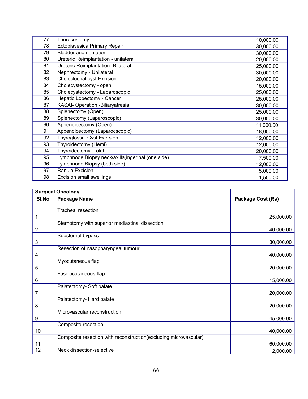| 77 | Thorocostomy                                       | 10,000.00 |
|----|----------------------------------------------------|-----------|
| 78 | Ectopiavesica Primary Repair                       | 30,000.00 |
| 79 | <b>Bladder augmentation</b>                        | 30,000.00 |
| 80 | Ureteric Reimplantation - unilateral               | 20,000.00 |
| 81 | Ureteric Reimplantation - Bilateral                | 25,000.00 |
| 82 | Nephrectomy - Unilateral                           | 30,000.00 |
| 83 | <b>Choleclochal cyst Excision</b>                  | 20,000.00 |
| 84 | Cholecystectomy - open                             | 15,000.00 |
| 85 | Cholecystectomy - Laparoscopic                     | 25,000.00 |
| 86 | Hepatic Lobectomy - Cancer                         | 25,000.00 |
| 87 | KASAI- Operation -Biliaryatresia                   | 30,000.00 |
| 88 | Splenectomy (Open)                                 | 25,000.00 |
| 89 | Splenectomy (Laparoscopic)                         | 30,000.00 |
| 90 | Appendicectomy (Open)                              | 11,000.00 |
| 91 | Appendicectomy (Laparocscopic)                     | 18,000.00 |
| 92 | <b>Thyroglossal Cyst Exersion</b>                  | 12,000.00 |
| 93 | Thyroidectomy (Hemi)                               | 12,000.00 |
| 94 | Thyroidectomy - Total                              | 20,000.00 |
| 95 | Lymphnode Biopsy neck/axilla, ingerinal (one side) | 7,500.00  |
| 96 | Lymphnode Biopsy (both side)                       | 12,000.00 |
| 97 | Ranula Excision                                    | 5,000.00  |
| 98 | <b>Excision small swellings</b>                    | 1,500.00  |

| <b>Surgical Oncology</b> |                                                                  |                   |
|--------------------------|------------------------------------------------------------------|-------------------|
| SI.No                    | <b>Package Name</b>                                              | Package Cost (Rs) |
|                          | <b>Tracheal resection</b>                                        |                   |
|                          |                                                                  | 25,000.00         |
| 1                        | Sternotomy with superior mediastinal dissection                  |                   |
| $\overline{2}$           |                                                                  | 40,000.00         |
|                          | Substernal bypass                                                |                   |
| $\sqrt{3}$               |                                                                  | 30,000.00         |
|                          | Resection of nasopharyngeal tumour                               |                   |
| 4                        |                                                                  | 40,000.00         |
|                          | Myocutaneous flap                                                |                   |
| 5                        |                                                                  | 20,000.00         |
|                          | Fasciocutaneous flap                                             |                   |
| 6                        |                                                                  | 15,000.00         |
|                          | Palatectomy- Soft palate                                         |                   |
| 7                        | Palatectomy- Hard palate                                         | 20,000.00         |
| 8                        |                                                                  | 20,000.00         |
|                          | Microvascular reconstruction                                     |                   |
| 9                        |                                                                  | 45,000.00         |
|                          | Composite resection                                              |                   |
| 10                       |                                                                  | 40,000.00         |
|                          | Composite resection with reconstruction(excluding microvascular) |                   |
| 11                       |                                                                  | 60,000.00         |
| 12                       | Neck dissection-selective                                        | 12,000.00         |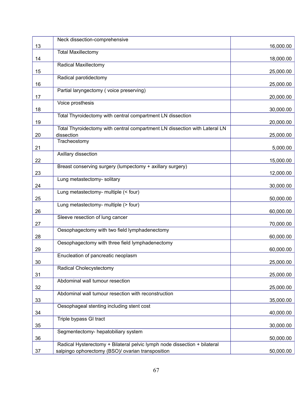|    | Neck dissection-comprehensive                                              |           |
|----|----------------------------------------------------------------------------|-----------|
| 13 |                                                                            | 16,000.00 |
|    | <b>Total Maxillectomy</b>                                                  |           |
| 14 |                                                                            | 18,000.00 |
|    | <b>Radical Maxillectomy</b>                                                |           |
| 15 |                                                                            | 25,000.00 |
|    | Radical parotidectomy                                                      |           |
| 16 |                                                                            | 25,000.00 |
|    | Partial laryngectomy (voice preserving)                                    |           |
| 17 |                                                                            | 20,000.00 |
|    | Voice prosthesis                                                           |           |
| 18 |                                                                            | 30,000.00 |
|    | Total Thyroidectomy with central compartment LN dissection                 |           |
|    |                                                                            |           |
| 19 | Total Thyroidectomy with central compartment LN dissection with Lateral LN | 20,000.00 |
|    |                                                                            |           |
| 20 | dissection                                                                 | 25,000.00 |
|    | Tracheostomy                                                               |           |
| 21 |                                                                            | 5,000.00  |
|    | Axillary dissection                                                        |           |
| 22 |                                                                            | 15,000.00 |
|    | Breast conserving surgery (lumpectomy + axillary surgery)                  |           |
| 23 |                                                                            | 12,000.00 |
|    | Lung metastectomy- solitary                                                |           |
| 24 |                                                                            | 30,000.00 |
|    | Lung metastectomy- multiple (< four)                                       |           |
| 25 |                                                                            | 50,000.00 |
|    | Lung metastectomy- multiple (> four)                                       |           |
| 26 |                                                                            | 60,000.00 |
|    | Sleeve resection of lung cancer                                            |           |
| 27 |                                                                            | 70,000.00 |
|    | Oesophagectomy with two field lymphadenectomy                              |           |
| 28 |                                                                            | 60,000.00 |
|    | Oesophagectomy with three field lymphadenectomy                            |           |
| 29 |                                                                            | 60,000.00 |
|    | Enucleation of pancreatic neoplasm                                         |           |
| 30 |                                                                            | 25,000.00 |
|    | Radical Cholecystectomy                                                    |           |
| 31 |                                                                            | 25,000.00 |
|    | Abdominal wall tumour resection                                            |           |
|    |                                                                            |           |
| 32 |                                                                            | 25,000.00 |
|    | Abdominal wall tumour resection with reconstruction                        |           |
| 33 |                                                                            | 35,000.00 |
|    | Oesophageal stenting including stent cost                                  |           |
| 34 |                                                                            | 40,000.00 |
|    | Triple bypass GI tract                                                     |           |
| 35 |                                                                            | 30,000.00 |
|    | Segmentectomy- hepatobiliary system                                        |           |
| 36 |                                                                            | 50,000.00 |
|    | Radical Hysterectomy + Bilateral pelvic lymph node dissection + bilateral  |           |
| 37 | salpingo ophorectomy (BSO)/ ovarian transposition                          | 50,000.00 |
|    |                                                                            |           |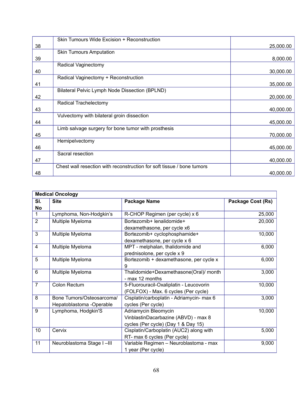|    | Skin Tumours Wide Excision + Reconstruction                            |           |
|----|------------------------------------------------------------------------|-----------|
| 38 |                                                                        | 25,000.00 |
|    | <b>Skin Tumours Amputation</b>                                         |           |
| 39 |                                                                        | 8,000.00  |
|    | Radical Vaginectomy                                                    |           |
| 40 |                                                                        | 30,000.00 |
|    | Radical Vaginectomy + Reconstruction                                   |           |
| 41 |                                                                        | 35,000.00 |
|    | Bilateral Pelvic Lymph Node Dissection (BPLND)                         |           |
| 42 |                                                                        | 20,000.00 |
|    | Radical Trachelectomy                                                  |           |
| 43 |                                                                        | 40,000.00 |
|    | Vulvectomy with bilateral groin dissection                             |           |
| 44 |                                                                        | 45,000.00 |
|    | Limb salvage surgery for bone tumor with prosthesis                    |           |
| 45 |                                                                        | 70,000.00 |
|    | Hemipelvectomy                                                         |           |
| 46 |                                                                        | 45,000.00 |
|    | Sacral resection                                                       |           |
| 47 |                                                                        | 40,000.00 |
|    | Chest wall resection with reconstruction for soft tissue / bone tumors |           |
| 48 |                                                                        | 40,000.00 |

| <b>Medical Oncology</b> |                           |                                           |                   |
|-------------------------|---------------------------|-------------------------------------------|-------------------|
| SI.                     | <b>Site</b>               | <b>Package Name</b>                       | Package Cost (Rs) |
| <b>No</b>               |                           |                                           |                   |
| $\mathbf{1}$            | Lymphoma, Non-Hodgkin's   | R-CHOP Regimen (per cycle) x 6            | 25,000            |
| $\overline{2}$          | Multiple Myeloma          | Bortezomib+ lenalidomide+                 | 20,000            |
|                         |                           | dexamethasone, per cycle x6               |                   |
| 3                       | Multiple Myeloma          | Bortezomib+ cyclophosphamide+             | 10,000            |
|                         |                           | dexamethasone, per cycle x 6              |                   |
| 4                       | Multiple Myeloma          | MPT - melphalan, thalidomide and          | 6,000             |
|                         |                           | prednisolone, per cycle x 9               |                   |
| 5                       | Multiple Myeloma          | Bortezomib + dexamethasone, per cycle x   | 6,000             |
|                         |                           | 9                                         |                   |
| 6                       | Multiple Myeloma          | Thalidomide+Dexamethasone(Oral)/ month    | 3,000             |
|                         |                           | - max 12 months                           |                   |
| $\overline{7}$          | Colon Rectum              | 5-Fluorouracil-Oxaliplatin - Leucovorin   | 10,000            |
|                         |                           | (FOLFOX) - Max. 6 cycles (Per cycle)      |                   |
| 8                       | Bone Tumors/Osteosarcoma/ | Cisplatin/carboplatin - Adriamycin- max 6 | 3,000             |
|                         | Hepatoblastoma -Operable  | cycles (Per cycle)                        |                   |
| 9                       | Lymphoma, Hodgkin'S       | Adriamycin Bleomycin                      | 10,000            |
|                         |                           | VinblastinDacarbazine (ABVD) - max 8      |                   |
|                         |                           | cycles (Per cycle) (Day 1 & Day 15)       |                   |
| 10                      | Cervix                    | Cisplatin/Carboplatin (AUC2) along with   | 5,000             |
|                         |                           | RT- max 6 cycles (Per cycle)              |                   |
| 11                      | Neuroblastoma Stage I-III | Variable Regimen - Neuroblastoma - max    | 9,000             |
|                         |                           | 1 year (Per cycle)                        |                   |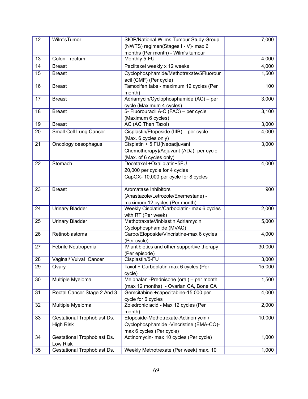| 12 | Wilm'sTumor                 | SIOP/National Wilms Tumour Study Group      |                |  |
|----|-----------------------------|---------------------------------------------|----------------|--|
|    |                             | (NWTS) regimen(Stages I - V)- max 6         | 7,000          |  |
|    |                             | months (Per month) - Wilm's tumour          |                |  |
| 13 | Colon - rectum              | Monthly 5-FU                                | 4,000          |  |
| 14 | <b>Breast</b>               | Paclitaxel weekly x 12 weeks                |                |  |
| 15 | <b>Breast</b>               | Cyclophosphamide/Methotrexate/5Fluorour     | 4,000<br>1,500 |  |
|    |                             | acil (CMF) (Per cycle)                      |                |  |
| 16 | <b>Breast</b>               | Tamoxifen tabs - maximum 12 cycles (Per     | 100            |  |
|    |                             | month)                                      |                |  |
| 17 | <b>Breast</b>               | Adriamycin/Cyclophosphamide (AC) - per      | 3,000          |  |
|    |                             | cycle (Maximum 4 cycles)                    |                |  |
| 18 | <b>Breast</b>               | 5- Fluorouracil A-C (FAC) - per cycle       | 3,100          |  |
|    |                             | (Maximum 6 cycles)                          |                |  |
| 19 | <b>Breast</b>               | AC (AC Then Taxol)                          | 3,000          |  |
| 20 | Small Cell Lung Cancer      | Cisplastin/Etoposide (IIIB) - per cycle     | 4,000          |  |
|    |                             | (Max. 6 cycles only)                        |                |  |
| 21 | Oncology oesophagus         | Cisplatin + 5 FU(Neoadjuvant                | 3,000          |  |
|    |                             | Chemotherapy)/Adjuvant (ADJ)- per cycle     |                |  |
|    |                             | (Max. of 6 cycles only)                     |                |  |
| 22 | Stomach                     | Docetaxel +Oxaliplatin+5FU                  | 4,000          |  |
|    |                             | 20,000 per cycle for 4 cycles               |                |  |
|    |                             | CapOX-10,000 per cycle for 8 cycles         |                |  |
|    |                             |                                             |                |  |
| 23 | <b>Breast</b>               | Aromatase Inhibitors                        | 900            |  |
|    |                             | (Anastazole/Letrozole/Exemestane) -         |                |  |
|    |                             | maximum 12 cycles (Per month)               |                |  |
| 24 | <b>Urinary Bladder</b>      | Weekly Cisplatin/Carboplatin- max 6 cycles  | 2,000          |  |
|    |                             | with RT (Per week)                          |                |  |
| 25 | <b>Urinary Bladder</b>      | MethotraxateVinblastin Adriamycin           | 5,000          |  |
|    |                             | Cyclophosphamide (MVAC)                     |                |  |
| 26 | Retinoblastoma              | Carbo/Etoposide/Vincristine-max 6 cycles    | 4,000          |  |
|    |                             | (Per cycle)                                 |                |  |
| 27 | Febrile Neutropenia         | IV antibiotics and other supportive therapy | 30,000         |  |
|    |                             | (Per episode)                               |                |  |
| 28 | Vaginal/ Vulval Cancer      | Cisplastin/5-FU                             | 3,000          |  |
| 29 | Ovary                       | Taxol + Carboplatin-max 6 cycles (Per       | 15,000         |  |
|    |                             | cycle)                                      |                |  |
| 30 | Multiple Myeloma            | Melphalan -Prednisone (oral) - per month    | 1,500          |  |
|    |                             | (max 12 months) - Ovarian CA, Bone CA       |                |  |
| 31 | Rectal Cancer Stage 2 And 3 | Gemcitabine +capecitabine-15,000 per        | 4,000          |  |
|    |                             | cycle for 6 cycles                          |                |  |
| 32 | Multiple Myeloma            | Zoledronic acid - Max 12 cycles (Per        | 2,000          |  |
|    |                             | month)                                      |                |  |
| 33 | Gestational Trophoblast Ds. | Etoposide-Methotrexate-Actinomycin /        | 10,000         |  |
|    | <b>High Risk</b>            | Cyclophosphamide - Vincristine (EMA-CO)-    |                |  |
|    |                             | max 6 cycles (Per cycle)                    |                |  |
| 34 | Gestational Trophoblast Ds. | Actinomycin- max 10 cycles (Per cycle)      | 1,000          |  |
|    | Low Risk                    |                                             |                |  |
| 35 | Gestational Trophoblast Ds. | Weekly Methotrexate (Per week) max. 10      | 1,000          |  |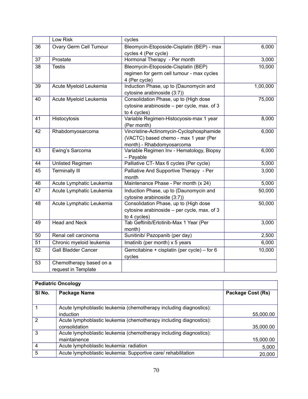|                 | Low Risk                                       | cycles                                                                                                         |          |
|-----------------|------------------------------------------------|----------------------------------------------------------------------------------------------------------------|----------|
| 36              | Ovary Germ Cell Tumour                         | Bleomycin-Etoposide-Cisplatin (BEP) - max<br>6,000<br>cycles 4 (Per cycle)                                     |          |
| 37              | Prostate                                       | Hormonal Therapy - Per month                                                                                   |          |
| 38              | <b>Testis</b>                                  | Bleomycin-Etoposide-Cisplatin (BEP)<br>regimen for germ cell tumour - max cycles<br>4 (Per cycle)              |          |
| $\overline{39}$ | Acute Myeloid Leukemia                         | Induction Phase, up to (Daunomycin and<br>cytosine arabinoside (3:7))                                          | 1,00,000 |
| 40              | Acute Myeloid Leukemia                         | Consolidation Phase, up to (High dose<br>cytosine arabinoside - per cycle, max. of 3<br>to 4 cycles)           | 75,000   |
| 41              | Histocytosis                                   | Variable Regimen-Histocyosis-max 1 year<br>(Per month)                                                         | 8,000    |
| 42              | Rhabdomyosarcoma                               | Vincristine-Actinomycin-Cyclophosphamide<br>(VACTC) based chemo - max 1 year (Per<br>month) - Rhabdomyosarcoma | 6,000    |
| 43              | Ewing's Sarcoma                                | Variable Regimen Inv - Hematology, Biopsy<br>- Payable                                                         | 6,000    |
| 44              | Unlisted Regimen                               | Palliative CT- Max 6 cycles (Per cycle)                                                                        |          |
| 45              | <b>Terminally III</b>                          | Palliative And Supportive Therapy - Per<br>month                                                               | 3,000    |
| 46              | Acute Lymphatic Leukemia                       | Maintenance Phase - Per month (x 24)                                                                           | 5,000    |
| 47              | Acute Lymphatic Leukemia                       | Induction Phase, up to (Daunomycin and<br>cytosine arabinoside (3:7))                                          | 50,000   |
| 48              | Acute Lymphatic Leukemia                       | Consolidation Phase, up to (High dose<br>cytosine arabinoside - per cycle, max. of 3<br>to 4 cycles)           | 50,000   |
| 49              | Head and Neck                                  | Tab Geftinib/Erlotinib-Max 1 Year (Per<br>month)                                                               | 3,000    |
| 50              | Renal cell carcinoma                           | Sunitinib/ Pazopanib (per day)                                                                                 | 2,500    |
| 51              | Chronic myeloid leukemia                       | Imatinib (per month) x 5 years                                                                                 | 6,000    |
| 52              | Gall Bladder Cancer                            | Gemcitabine + cisplatin (per cycle) – for 6<br>cycles                                                          | 10,000   |
| 53              | Chemotherapy based on a<br>request in Template |                                                                                                                |          |

| <b>Pediatric Oncology</b> |                                                                    |                   |
|---------------------------|--------------------------------------------------------------------|-------------------|
| SI No.                    | Package Name                                                       | Package Cost (Rs) |
|                           |                                                                    |                   |
|                           | Acute lymphoblastic leukemia (chemotherapy including diagnostics): |                   |
|                           | induction                                                          | 55,000.00         |
| $\mathcal{P}$             | Acute lymphoblastic leukemia (chemotherapy including diagnostics): |                   |
|                           | consolidation                                                      | 35,000.00         |
| 3                         | Acute lymphoblastic leukemia (chemotherapy including diagnostics): |                   |
|                           | maintainence                                                       | 15,000.00         |
| 4                         | Acute lymphoblastic leukemia: radiation                            | 5,000             |
| 5                         | Acute lymphoblastic leukemia: Supportive care/ rehabilitation      | 20,000            |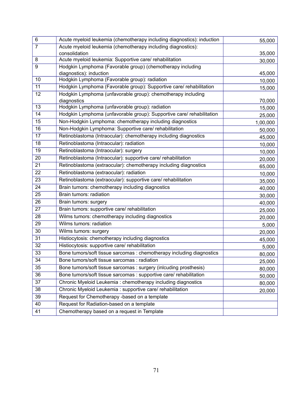| 6              | Acute myeloid leukemia (chemotherapy including diagnostics): induction | 55,000   |
|----------------|------------------------------------------------------------------------|----------|
| $\overline{7}$ | Acute myeloid leukemia (chemotherapy including diagnostics):           |          |
|                | consolidation                                                          | 35,000   |
| 8              | Acute myeloid leukemia: Supportive care/ rehabilitation                | 30,000   |
| 9              | Hodgkin Lymphoma (Favorable group) (chemotherapy including             |          |
|                | diagnostics): induction                                                | 45,000   |
| 10             | Hodgkin Lymphoma (Favorable group): radiation                          | 10,000   |
| 11             | Hodgkin Lymphoma (Favorable group): Supportive care/ rehabilitation    | 15,000   |
| 12             | Hodgkin Lymphoma (unfavorable group): chemotherapy including           |          |
|                | diagnostics                                                            | 70,000   |
| 13             | Hodgkin Lymphoma (unfavorable group): radiation                        | 15,000   |
| 14             | Hodgkin Lymphoma (unfavorable group): Supportive care/ rehabilitation  | 25,000   |
| 15             | Non-Hodgkin Lymphoma: chemotherapy including diagnostics               | 1,00,000 |
| 16             | Non-Hodgkin Lymphoma: Supportive care/ rehabilitation                  | 50,000   |
| 17             | Retinoblastoma (Intraocular): chemotherapy including diagnostics       | 45,000   |
| 18             | Retinoblastoma (Intraocular): radiation                                | 10,000   |
| 19             | Retinoblastoma (Intraocular): surgery                                  | 10,000   |
| 20             | Retinoblastoma (Intraocular): supportive care/ rehabilitation          | 20,000   |
| 21             | Retinoblastoma (extraocular): chemotherapy including diagnostics       | 65,000   |
| 22             | Retinoblastoma (extraocular): radiation                                | 10,000   |
| 23             | Retinoblastoma (extraocular): supportive care/ rehabilitation          | 35,000   |
| 24             | Brain tumors: chemotherapy including diagnostics                       | 40,000   |
| 25             | Brain tumors: radiation                                                | 30,000   |
| 26             | Brain tumors: surgery                                                  | 40,000   |
| 27             | Brain tumors: supportive care/ rehabilitation                          | 25,000   |
| 28             | Wilms tumors: chemotherapy including diagnostics                       | 20,000   |
| 29             | Wilms tumors: radiation                                                | 5,000    |
| 30             | Wilms tumors: surgery                                                  | 20,000   |
| 31             | Histiocytosis: chemotherapy including diagnostics                      | 45,000   |
| 32             | Histiocytosis: supportive care/ rehabilitation                         | 5,000    |
| 33             | Bone tumors/soft tissue sarcomas : chemotherapy including diagnostics  | 80,000   |
| 34             | Bone tumors/soft tissue sarcomas : radiation                           | 25,000   |
| 35             | Bone tumors/soft tissue sarcomas : surgery (inlcuding prosthesis)      | 80,000   |
| 36             | Bone tumors/soft tissue sarcomas : supportive care/ rehabilitation     | 50,000   |
| 37             | Chronic Myeloid Leukemia: chemotherapy including diagnostics           | 80,000   |
| 38             | Chronic Myeloid Leukemia : supportive care/ rehabilitation             | 20,000   |
| 39             | Request for Chemotherapy -based on a template                          |          |
| 40             | Request for Radiation-based on a template                              |          |
| 41             | Chemotherapy based on a request in Template                            |          |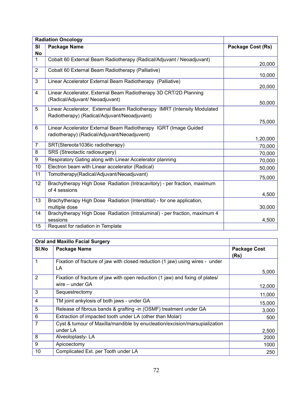|                | <b>Radiation Oncology</b>                                                  |                          |
|----------------|----------------------------------------------------------------------------|--------------------------|
| <b>SI</b>      | <b>Package Name</b>                                                        | <b>Package Cost (Rs)</b> |
| <b>No</b>      |                                                                            |                          |
| $\mathbf{1}$   | Cobalt 60 External Beam Radiotherapy (Radical/Adjuvant / Neoadjuvant)      | 20,000                   |
| $\overline{2}$ | Cobalt 60 External Beam Radiotherapy (Palliative)                          |                          |
|                |                                                                            | 10,000                   |
| 3              | Linear Accelerator External Beam Radiotherapy (Palliative)                 |                          |
|                |                                                                            | 20,000                   |
| 4              | Linear Accelerator, External Beam Radiotherapy 3D CRT/2D Planning          |                          |
|                | (Radical/Adjuvant/ Neoadjuvant)                                            | 50,000                   |
| 5              | Linear Accelerator, External Beam Radiotherapy IMRT (Intensity Modulated   |                          |
|                | Radiotherapy) (Radical/Adjuvant/Neoadjuvant)                               |                          |
|                |                                                                            | 75,000                   |
| 6              | Linear Accelerator External Beam Radiotherapy IGRT (Image Guided           |                          |
|                | radiotherapy) (Radical/Adjuvant/Neoadjuvent)                               |                          |
|                |                                                                            | 1,20,000                 |
| $\overline{7}$ | SRT(Stereota1036ic radiotherapy)                                           | 70,000                   |
| 8              | SRS (Streotactic radiosurgery)                                             | 70,000                   |
| 9              | Respiratory Gating along with Linear Accelerator planning                  | 70,000                   |
| 10             | Electron beam with Linear accelerator (Radical)                            | 50,000                   |
| 11             | Tomotherapy(Radical/Adjuvant/Neoadjuvant)                                  | 75,000                   |
| 12             | Brachytherapy High Dose Radiation (Intracavitory) - per fraction, maximum  |                          |
|                | of 4 sessions                                                              |                          |
|                |                                                                            | 4,500                    |
| 13             | Brachytherapy High Dose Radiation (Interstitial) - for one application,    |                          |
|                | multiple dose                                                              | 30,000                   |
| 14             | Brachytherapy High Dose Radiation (Intraluminal) - per fraction, maximum 4 |                          |
|                | sessions                                                                   | 4,500                    |
| 15             | Request for radiation in Template                                          |                          |

| <b>Oral and Maxillo Facial Surgery</b> |                                                                                                      |                             |
|----------------------------------------|------------------------------------------------------------------------------------------------------|-----------------------------|
| SI.No                                  | <b>Package Name</b>                                                                                  | <b>Package Cost</b><br>(Rs) |
| 1                                      | Fixation of fracture of jaw with closed reduction (1 jaw) using wires - under<br>LA                  |                             |
| 2                                      | Fixation of fracture of jaw with open reduction (1 jaw) and fixing of plates/<br>wire $-$ under $GA$ | 5,000<br>12,000             |
| 3                                      | Sequestrectomy                                                                                       | 11,000                      |
| 4                                      | TM joint ankylosis of both jaws - under GA                                                           | 15,000                      |
| 5                                      | Release of fibrous bands & grafting -in (OSMF) treatment under GA                                    | 3,000                       |
| 6                                      | Extraction of impacted tooth under LA (other than Molar)                                             | 500                         |
| 7                                      | Cyst & tumour of Maxilla/mandible by enucleation/excision/marsupialization<br>under LA               | 2,500                       |
| 8                                      | Alveoloplasty-LA                                                                                     | 2000                        |
| 9                                      | Apicoectomy                                                                                          | 1000                        |
| 10                                     | Complicated Ext. per Tooth under LA                                                                  | 250                         |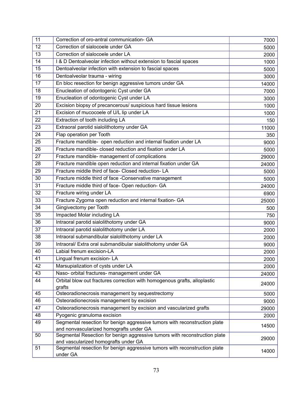| 11 | Correction of oro-antral communication- GA                                                                         | 7000  |
|----|--------------------------------------------------------------------------------------------------------------------|-------|
| 12 | Correction of sialocoele under GA                                                                                  | 5000  |
| 13 | Correction of sialocoele under LA                                                                                  | 2000  |
| 14 | I & D Dentoalveolar infection without extension to fascial spaces                                                  | 1000  |
| 15 | Dentoalveolar infection with extension to fascial spaces                                                           | 5000  |
| 16 | Dentoalveolar trauma - wiring                                                                                      | 3000  |
| 17 | En bloc resection for benign aggressive tumors under GA                                                            | 14000 |
| 18 | Enucleation of odontogenic Cyst under GA                                                                           | 7000  |
| 19 | Enucleation of odontogenic Cyst under LA                                                                           | 3000  |
| 20 | Excision biopsy of precancerous/ suspicious hard tissue lesions                                                    | 1000  |
| 21 | Excision of mucocoele of U/L lip under LA                                                                          | 1000  |
| 22 | Extraction of tooth including LA                                                                                   | 150   |
| 23 | Extraoral parotid sialolithotomy under GA                                                                          | 11000 |
| 24 | Flap operation per Tooth                                                                                           | 350   |
| 25 | Fracture mandible- open reduction and internal fixation under LA                                                   | 9000  |
| 26 | Fracture mandible-closed reduction and fixation under LA                                                           | 5000  |
| 27 | Fracture mandible- management of complications                                                                     | 29000 |
| 28 | Fracture mandible open reduction and internal fixation under GA                                                    | 24000 |
| 29 | Fracture middle third of face- Closed reduction-LA                                                                 | 5000  |
| 30 | Fracture middle third of face -Conservative management                                                             | 5000  |
| 31 | Fracture middle third of face- Open reduction- GA                                                                  | 24000 |
| 32 | Fracture wiring under LA                                                                                           | 6900  |
| 33 | Fracture Zygoma open reduction and internal fixation- GA                                                           | 25000 |
| 34 | Gingivectomy per Tooth                                                                                             | 500   |
| 35 | Impacted Molar including LA                                                                                        | 750   |
| 36 | Intraoral parotid sialolithotomy under GA                                                                          | 9000  |
| 37 | Intraoral parotid sialolithotomy under LA                                                                          | 2000  |
| 38 | Intraoral submandibular sialolithotomy under LA                                                                    | 2000  |
| 39 | Intraoral/ Extra oral submandibular sialolithotomy under GA                                                        | 9000  |
| 40 | Labial frenum excision-LA                                                                                          | 2000  |
| 41 | Lingual frenum excision-LA                                                                                         | 2000  |
| 42 | Marsupialization of cysts under LA                                                                                 | 2000  |
| 43 | Naso- orbital fractures- management under GA                                                                       | 24000 |
| 44 | Orbital blow out fractures correction with homogenous grafts, alloplastic                                          |       |
|    | grafts                                                                                                             | 24000 |
| 45 | Osteoradionecrosis management by sequestrectomy                                                                    | 5000  |
| 46 | Osteoradionecrosis management by excision                                                                          | 9000  |
| 47 | Osteoradionecrosis management by excision and vascularized grafts                                                  | 29000 |
| 48 | Pyogenic granuloma excision                                                                                        | 2000  |
| 49 | Segmental resection for benign aggressive tumors with reconstruction plate                                         | 14500 |
|    | and nonvascularized homografts under GA                                                                            |       |
| 50 | Segmental Resection for benign aggressive tumors with reconstruction plate                                         | 29000 |
| 51 | and vascularized homografts under GA<br>Segmental resection for benign aggressive tumors with reconstruction plate |       |
|    | under GA                                                                                                           | 14000 |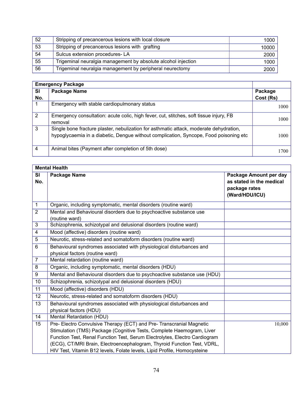| 52 | Stripping of precancerous lesions with local closure          | 1000  |
|----|---------------------------------------------------------------|-------|
| 53 | Stripping of precancerous lesions with grafting               | 10000 |
| 54 | Sulcus extension procedures-LA                                | 2000  |
| 55 | Trigeminal neuralgia management by absolute alcohol injection | 1000  |
| 56 | Trigeminal neuralgia management by peripheral neurectomy      | 2000  |

|                | <b>Emergency Package</b>                                                                                                                                                        |           |  |  |
|----------------|---------------------------------------------------------------------------------------------------------------------------------------------------------------------------------|-----------|--|--|
| SI             | <b>Package Name</b>                                                                                                                                                             | Package   |  |  |
| No.            |                                                                                                                                                                                 | Cost (Rs) |  |  |
|                | Emergency with stable cardiopulmonary status                                                                                                                                    | 1000      |  |  |
| $\overline{2}$ | Emergency consultation: acute colic, high fever, cut, stitches, soft tissue injury, FB<br>removal                                                                               | 1000      |  |  |
| 3              | Single bone fracture plaster, nebulization for asthmatic attack, moderate dehydration,<br>hypoglycaemia in a diabetic, Dengue without complication, Syncope, Food poisoning etc | 1000-     |  |  |
| 4              | Animal bites (Payment after completion of 5th dose)                                                                                                                             | 1700      |  |  |

|                         | <b>Mental Health</b>                                                                                                                                                                                                                                                                                                                                                               |                                                                                       |
|-------------------------|------------------------------------------------------------------------------------------------------------------------------------------------------------------------------------------------------------------------------------------------------------------------------------------------------------------------------------------------------------------------------------|---------------------------------------------------------------------------------------|
| SI<br>No.               | <b>Package Name</b>                                                                                                                                                                                                                                                                                                                                                                | Package Amount per day<br>as stated in the medical<br>package rates<br>(Ward/HDU/ICU) |
| $\mathbf 1$             | Organic, including symptomatic, mental disorders (routine ward)                                                                                                                                                                                                                                                                                                                    |                                                                                       |
| $\overline{2}$          | Mental and Behavioural disorders due to psychoactive substance use<br>(routine ward)                                                                                                                                                                                                                                                                                               |                                                                                       |
| 3                       | Schizophrenia, schizotypal and delusional disorders (routine ward)                                                                                                                                                                                                                                                                                                                 |                                                                                       |
| $\overline{\mathbf{4}}$ | Mood (affective) disorders (routine ward)                                                                                                                                                                                                                                                                                                                                          |                                                                                       |
| 5                       | Neurotic, stress-related and somatoform disorders (routine ward)                                                                                                                                                                                                                                                                                                                   |                                                                                       |
| $6\phantom{1}6$         | Behavioural syndromes associated with physiological disturbances and                                                                                                                                                                                                                                                                                                               |                                                                                       |
|                         | physical factors (routine ward)                                                                                                                                                                                                                                                                                                                                                    |                                                                                       |
| $\overline{7}$          | Mental retardation (routine ward)                                                                                                                                                                                                                                                                                                                                                  |                                                                                       |
| 8                       | Organic, including symptomatic, mental disorders (HDU)                                                                                                                                                                                                                                                                                                                             |                                                                                       |
| 9                       | Mental and Behavioural disorders due to psychoactive substance use (HDU)                                                                                                                                                                                                                                                                                                           |                                                                                       |
| 10                      | Schizophrenia, schizotypal and delusional disorders (HDU)                                                                                                                                                                                                                                                                                                                          |                                                                                       |
| 11                      | Mood (affective) disorders (HDU)                                                                                                                                                                                                                                                                                                                                                   |                                                                                       |
| 12                      | Neurotic, stress-related and somatoform disorders (HDU)                                                                                                                                                                                                                                                                                                                            |                                                                                       |
| 13                      | Behavioural syndromes associated with physiological disturbances and<br>physical factors (HDU)                                                                                                                                                                                                                                                                                     |                                                                                       |
| 14                      | Mental Retardation (HDU)                                                                                                                                                                                                                                                                                                                                                           |                                                                                       |
| 15                      | Pre- Electro Convulsive Therapy (ECT) and Pre- Transcranial Magnetic<br>Stimulation (TMS) Package (Cognitive Tests, Complete Haemogram, Liver<br>Function Test, Renal Function Test, Serum Electrolytes, Electro Cardiogram<br>(ECG), CT/MRI Brain, Electroencephalogram, Thyroid Function Test, VDRL,<br>HIV Test, Vitamin B12 levels, Folate levels, Lipid Profile, Homocysteine | 10,000                                                                                |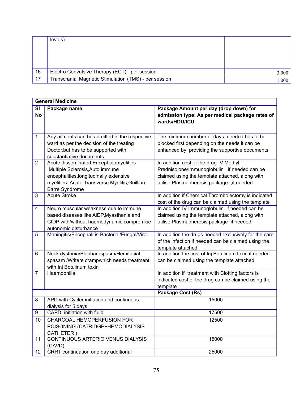|    | levels)                                               |       |
|----|-------------------------------------------------------|-------|
|    |                                                       |       |
|    |                                                       |       |
|    |                                                       |       |
| 16 | Electro Convulsive Therapy (ECT) - per session        |       |
|    |                                                       | 3,000 |
| 17 | Transcranial Magnetic Stimulation (TMS) - per session | 1,000 |

|                                      | <b>General Medicine</b>                                                                                                                                                                         |                                                                                                                                                                                          |  |  |
|--------------------------------------|-------------------------------------------------------------------------------------------------------------------------------------------------------------------------------------------------|------------------------------------------------------------------------------------------------------------------------------------------------------------------------------------------|--|--|
| $\overline{\mathbf{S}}$<br><b>No</b> | Package name                                                                                                                                                                                    | Package Amount per day (drop down) for<br>admission type: As per medical package rates of<br>wards/HDU/ICU                                                                               |  |  |
| $\mathbf{1}$                         | Any ailments can be admitted in the respective<br>ward as per the decision of the treating<br>Doctor, but has to be supported with<br>substantiative documents.                                 | The minimum number of days needed has to be<br>blocked first, depending on the needs it can be<br>enhanced by providing the supportive documents                                         |  |  |
| $\overline{2}$                       | Acute disseminated Encephalomyelities<br>,Multiple Sclerosis,Auto immune<br>encephalities, longitudinally extensive<br>myelities , Acute Transverse Myelitis, Guillian<br><b>Barre Syndrome</b> | In addition cost of the drug-IV Methyl<br>Prednisolone/Immunoglobulin if needed can be<br>claimed using the template attached, along with<br>utilise Plasmapheresis package , if needed. |  |  |
| 3                                    | <b>Acute Stroke</b>                                                                                                                                                                             | In addition if Chemical Thrombolectomy is indicated<br>cost of the drug can be claimed using the template                                                                                |  |  |
| 4                                    | Neuro muscular weakness due to immune<br>based diseases like AIDP, Myasthenia and<br>CIDP with/without haemodynamic compromise<br>autonomic disturbance                                         | In addition IV Immunoglobulin if needed can be<br>claimed using the template attached, along with<br>utilise Plasmapheresis package, if needed.                                          |  |  |
| 5                                    | Meningitis/Encephalitis-Bacterial/Fungal/Viral                                                                                                                                                  | In addition the drugs needed exclusively for the care<br>of the infection if needed can be claimed using the<br>template attached                                                        |  |  |
| 6                                    | Neck dystonia/Blepharospasm/Hemifacial<br>spasam /Writers crampwhich needs treatment<br>with Inj Botulinum toxin                                                                                | In addition the cost of Inj Botulinum toxin if needed<br>can be claimed using the template attached                                                                                      |  |  |
| $\overline{7}$                       | Haemophilia                                                                                                                                                                                     | In addition if treatment with Clotting factors is<br>indicated cost of the drug can be claimed using the<br>template                                                                     |  |  |
|                                      |                                                                                                                                                                                                 | Package Cost (Rs)                                                                                                                                                                        |  |  |
| 8                                    | APD with Cycler initiation and continuous<br>dialysis for 5 days                                                                                                                                | 15000                                                                                                                                                                                    |  |  |
| 9                                    | CAPD initiation with fluid                                                                                                                                                                      | 17500                                                                                                                                                                                    |  |  |
| 10                                   | <b>CHARCOAL HEMOPERFUSION FOR</b><br>POISONING (CATRIDGE+HEMODIALYSIS<br>CATHETER)                                                                                                              | 12500                                                                                                                                                                                    |  |  |
| 11                                   | CONTINUOUS ARTERIO VENUS DIALYSIS<br>(CAVD)                                                                                                                                                     | 15000                                                                                                                                                                                    |  |  |
| 12                                   | CRRT continuation one day additional                                                                                                                                                            | 25000                                                                                                                                                                                    |  |  |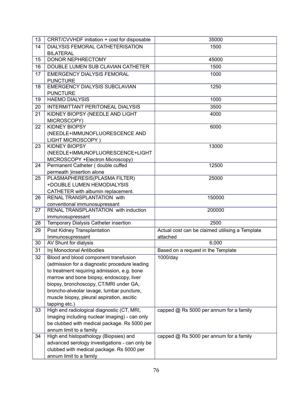| 13 | CRRT/CVVHDF initiation + cost for disposable                      | 35000                                                       |
|----|-------------------------------------------------------------------|-------------------------------------------------------------|
| 14 | DIALYSIS FEMORAL CATHETERISATION                                  | 1500                                                        |
|    | <b>BILATERAL</b>                                                  |                                                             |
| 15 | DONOR NEPHRECTOMY                                                 | 45000                                                       |
| 16 | DOUBLE LUMEN SUB CLAVIAN CATHETER                                 | 1500                                                        |
| 17 | <b>EMERGENCY DIALYSIS FEMORAL</b>                                 | 1000                                                        |
|    | <b>PUNCTURE</b>                                                   |                                                             |
| 18 | <b>EMERGENCY DIALYSIS SUBCLAVIAN</b>                              | 1250                                                        |
|    | <b>PUNCTURE</b>                                                   |                                                             |
| 19 | <b>HAEMO DIALYSIS</b>                                             | 1000                                                        |
| 20 | <b>INTERMITTANT PERITONEAL DIALYSIS</b>                           | 3500                                                        |
| 21 | KIDNEY BIOPSY (NEEDLE AND LIGHT                                   | 4000                                                        |
|    | MICROSCOPY)                                                       |                                                             |
| 22 | <b>KIDNEY BIOPSY</b>                                              | 6000                                                        |
|    | (NEEDLE+IMMUNOFLUORESCENCE AND                                    |                                                             |
|    | LIGHT MICROSCOPY)                                                 |                                                             |
| 23 | <b>KIDNEY BIOPSY</b>                                              | 13000                                                       |
|    | (NEEDLE+IMMUNOFLUORESCENCE+LIGHT                                  |                                                             |
|    | MICROSCOPY +Electron Microscopy)                                  |                                                             |
| 24 | Permanent Catheter (double cuffed                                 | 12500                                                       |
|    | permeath )insertion alone                                         |                                                             |
| 25 | PLASMAPHERESIS(PLASMA FILTER)                                     | 25000                                                       |
|    | +DOUBLE LUMEN HEMODIALYSIS                                        |                                                             |
|    | CATHETER with albumin replacement.                                |                                                             |
| 26 | <b>RENAL TRANSPLANTATION with</b>                                 | 150000                                                      |
|    | conventional immunosupressant                                     |                                                             |
| 27 | RENAL TRANSPLANTATION with induction                              | 200000                                                      |
|    | immunosupressant                                                  | 2500                                                        |
| 28 | Temporary Dialysis Catheter insertion                             |                                                             |
| 29 | Post Kidney Transplantation<br>Immunosupressant                   | Actual cost can be claimed utilising a Template<br>attached |
| 30 | AV Shunt for dialysis                                             | 6,000                                                       |
| 31 | Inj Monoclonal Antibodies                                         | Based on a request in the Template                          |
|    |                                                                   |                                                             |
| 32 | Blood and blood component transfusion                             | 1000/day                                                    |
|    | (admission for a diagnostic procedure leading                     |                                                             |
|    | to treatment requiring admission, e.g. bone                       |                                                             |
|    | marrow and bone biopsy, endoscopy, liver                          |                                                             |
|    | biopsy, bronchoscopy, CT/MRI under GA,                            |                                                             |
|    | broncho-alveolar lavage, lumbar puncture,                         |                                                             |
|    | muscle biopsy, pleural aspiration, ascitic                        |                                                             |
|    | tapping etc.)                                                     |                                                             |
| 33 | High end radiological diagnostic (CT, MRI,                        | capped @ Rs 5000 per annum for a family                     |
|    | Imaging including nuclear imaging) - can only                     |                                                             |
|    | be clubbed with medical package. Rs 5000 per                      |                                                             |
|    | annum limit to a family<br>High end histopathology (Biopsies) and | capped @ Rs 5000 per annum for a family                     |
| 34 | advanced serology investigations - can only be                    |                                                             |
|    |                                                                   |                                                             |
|    | clubbed with medical package. Rs 5000 per                         |                                                             |
|    | annum limit to a family                                           |                                                             |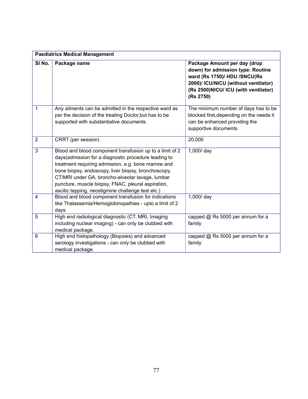| <b>Paediatrics Medical Management</b> |                                                                                                                                                                                                                                                                                                                                                                                                |                                                                                                                                                                                                |  |  |
|---------------------------------------|------------------------------------------------------------------------------------------------------------------------------------------------------------------------------------------------------------------------------------------------------------------------------------------------------------------------------------------------------------------------------------------------|------------------------------------------------------------------------------------------------------------------------------------------------------------------------------------------------|--|--|
| SI <sub>No.</sub>                     | Package name                                                                                                                                                                                                                                                                                                                                                                                   | Package Amount per day (drop<br>down) for admission type: Routine<br>ward (Rs 1750)/ HDU /SNCU(Rs<br>2000)/ ICU/NICU (without ventilator)<br>(Rs 2500)NICU/ ICU (with ventilator)<br>(Rs 2750) |  |  |
| 1                                     | Any ailments can be admitted in the respective ward as<br>per the decision of the treating Doctor, but has to be<br>supported with substantiative documents.                                                                                                                                                                                                                                   | The minimum number of days has to be<br>blocked first, depending on the needs it<br>can be enhanced providing the<br>supportive documents                                                      |  |  |
| $\overline{2}$                        | CRRT (per session)                                                                                                                                                                                                                                                                                                                                                                             | 20,000                                                                                                                                                                                         |  |  |
| 3                                     | Blood and blood component transfusion up to a limit of 2<br>days (admission for a diagnostic procedure leading to<br>treatment requiring admission, e.g. bone marrow and<br>bone biopsy, endoscopy, liver biopsy, bronchoscopy,<br>CT/MRI under GA, broncho-alveolar lavage, lumbar<br>puncture, muscle biopsy, FNAC, pleural aspiration,<br>ascitic tapping, neostigmine challenge test etc.) | 1,000/ day                                                                                                                                                                                     |  |  |
| 4                                     | Blood and blood component transfusion for indications<br>like Thalassemia/Hemoglobinopathies - upto a limit of 2<br>days                                                                                                                                                                                                                                                                       | 1,000/ day                                                                                                                                                                                     |  |  |
| 5                                     | High end radiological diagnostic (CT, MRI, Imaging<br>including nuclear imaging) - can only be clubbed with<br>medical package.                                                                                                                                                                                                                                                                | capped @ Rs 5000 per annum for a<br>family                                                                                                                                                     |  |  |
| 6                                     | High end histopathology (Biopsies) and advanced<br>serology investigations - can only be clubbed with<br>medical package.                                                                                                                                                                                                                                                                      | capped @ Rs 5000 per annum for a<br>family                                                                                                                                                     |  |  |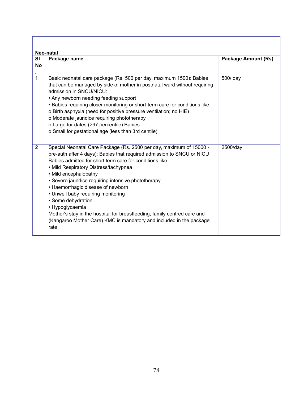| Neo-natal<br><b>SI</b><br>Package name<br><b>No</b> |                                                                                                                                                                                                                                                                                                                                                                                                                                                                                                                                                                                                                  | <b>Package Amount (Rs)</b> |  |
|-----------------------------------------------------|------------------------------------------------------------------------------------------------------------------------------------------------------------------------------------------------------------------------------------------------------------------------------------------------------------------------------------------------------------------------------------------------------------------------------------------------------------------------------------------------------------------------------------------------------------------------------------------------------------------|----------------------------|--|
| $\overline{1}$                                      | Basic neonatal care package (Rs. 500 per day, maximum 1500): Babies<br>that can be managed by side of mother in postnatal ward without requiring<br>admission in SNCU/NICU:<br>• Any newborn needing feeding support<br>. Babies requiring closer monitoring or short-term care for conditions like:<br>o Birth asphyxia (need for positive pressure ventilation; no HIE)<br>o Moderate jaundice requiring phototherapy<br>o Large for dates (>97 percentile) Babies<br>o Small for gestational age (less than 3rd centile)                                                                                      | 500/ day                   |  |
| 2                                                   | Special Neonatal Care Package (Rs. 2500 per day, maximum of 15000 -<br>pre-auth after 4 days): Babies that required admission to SNCU or NICU<br>Babies admitted for short term care for conditions like:<br>• Mild Respiratory Distress/tachypnea<br>• Mild encephalopathy<br>• Severe jaundice requiring intensive phototherapy<br>• Haemorrhagic disease of newborn<br>• Unwell baby requiring monitoring<br>· Some dehydration<br>• Hypoglycaemia<br>Mother's stay in the hospital for breastfeeding, family centred care and<br>(Kangaroo Mother Care) KMC is mandatory and included in the package<br>rate | 2500/day                   |  |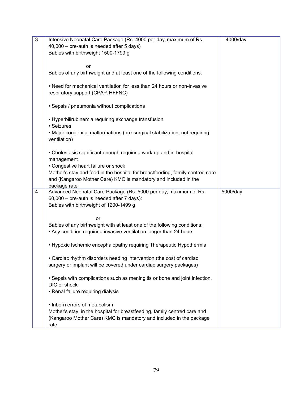| $\mathfrak{Z}$ | Intensive Neonatal Care Package (Rs. 4000 per day, maximum of Rs.                                                                                                                                                                                                                                                                                                                                                                                                                                                                                                                                                                                                                                                                 | 4000/day |
|----------------|-----------------------------------------------------------------------------------------------------------------------------------------------------------------------------------------------------------------------------------------------------------------------------------------------------------------------------------------------------------------------------------------------------------------------------------------------------------------------------------------------------------------------------------------------------------------------------------------------------------------------------------------------------------------------------------------------------------------------------------|----------|
|                | 40,000 - pre-auth is needed after 5 days)                                                                                                                                                                                                                                                                                                                                                                                                                                                                                                                                                                                                                                                                                         |          |
|                | Babies with birthweight 1500-1799 g                                                                                                                                                                                                                                                                                                                                                                                                                                                                                                                                                                                                                                                                                               |          |
|                |                                                                                                                                                                                                                                                                                                                                                                                                                                                                                                                                                                                                                                                                                                                                   |          |
|                | <b>or</b>                                                                                                                                                                                                                                                                                                                                                                                                                                                                                                                                                                                                                                                                                                                         |          |
|                | Babies of any birthweight and at least one of the following conditions:                                                                                                                                                                                                                                                                                                                                                                                                                                                                                                                                                                                                                                                           |          |
|                |                                                                                                                                                                                                                                                                                                                                                                                                                                                                                                                                                                                                                                                                                                                                   |          |
|                | • Need for mechanical ventilation for less than 24 hours or non-invasive                                                                                                                                                                                                                                                                                                                                                                                                                                                                                                                                                                                                                                                          |          |
|                | respiratory support (CPAP, HFFNC)                                                                                                                                                                                                                                                                                                                                                                                                                                                                                                                                                                                                                                                                                                 |          |
|                |                                                                                                                                                                                                                                                                                                                                                                                                                                                                                                                                                                                                                                                                                                                                   |          |
|                | • Sepsis / pneumonia without complications                                                                                                                                                                                                                                                                                                                                                                                                                                                                                                                                                                                                                                                                                        |          |
|                |                                                                                                                                                                                                                                                                                                                                                                                                                                                                                                                                                                                                                                                                                                                                   |          |
|                | • Hyperbilirubinemia requiring exchange transfusion                                                                                                                                                                                                                                                                                                                                                                                                                                                                                                                                                                                                                                                                               |          |
|                | • Seizures                                                                                                                                                                                                                                                                                                                                                                                                                                                                                                                                                                                                                                                                                                                        |          |
|                |                                                                                                                                                                                                                                                                                                                                                                                                                                                                                                                                                                                                                                                                                                                                   |          |
|                | . Major congenital malformations (pre-surgical stabilization, not requiring                                                                                                                                                                                                                                                                                                                                                                                                                                                                                                                                                                                                                                                       |          |
|                | ventilation)                                                                                                                                                                                                                                                                                                                                                                                                                                                                                                                                                                                                                                                                                                                      |          |
|                |                                                                                                                                                                                                                                                                                                                                                                                                                                                                                                                                                                                                                                                                                                                                   |          |
|                | • Cholestasis significant enough requiring work up and in-hospital                                                                                                                                                                                                                                                                                                                                                                                                                                                                                                                                                                                                                                                                |          |
|                | management                                                                                                                                                                                                                                                                                                                                                                                                                                                                                                                                                                                                                                                                                                                        |          |
|                | • Congestive heart failure or shock                                                                                                                                                                                                                                                                                                                                                                                                                                                                                                                                                                                                                                                                                               |          |
|                |                                                                                                                                                                                                                                                                                                                                                                                                                                                                                                                                                                                                                                                                                                                                   |          |
|                |                                                                                                                                                                                                                                                                                                                                                                                                                                                                                                                                                                                                                                                                                                                                   |          |
|                |                                                                                                                                                                                                                                                                                                                                                                                                                                                                                                                                                                                                                                                                                                                                   |          |
|                |                                                                                                                                                                                                                                                                                                                                                                                                                                                                                                                                                                                                                                                                                                                                   |          |
|                |                                                                                                                                                                                                                                                                                                                                                                                                                                                                                                                                                                                                                                                                                                                                   |          |
|                |                                                                                                                                                                                                                                                                                                                                                                                                                                                                                                                                                                                                                                                                                                                                   |          |
|                |                                                                                                                                                                                                                                                                                                                                                                                                                                                                                                                                                                                                                                                                                                                                   |          |
|                | or                                                                                                                                                                                                                                                                                                                                                                                                                                                                                                                                                                                                                                                                                                                                |          |
|                |                                                                                                                                                                                                                                                                                                                                                                                                                                                                                                                                                                                                                                                                                                                                   |          |
|                |                                                                                                                                                                                                                                                                                                                                                                                                                                                                                                                                                                                                                                                                                                                                   |          |
|                |                                                                                                                                                                                                                                                                                                                                                                                                                                                                                                                                                                                                                                                                                                                                   |          |
|                | • Hypoxic Ischemic encephalopathy requiring Therapeutic Hypothermia                                                                                                                                                                                                                                                                                                                                                                                                                                                                                                                                                                                                                                                               |          |
|                |                                                                                                                                                                                                                                                                                                                                                                                                                                                                                                                                                                                                                                                                                                                                   |          |
|                | • Cardiac rhythm disorders needing intervention (the cost of cardiac                                                                                                                                                                                                                                                                                                                                                                                                                                                                                                                                                                                                                                                              |          |
|                | surgery or implant will be covered under cardiac surgery packages)                                                                                                                                                                                                                                                                                                                                                                                                                                                                                                                                                                                                                                                                |          |
|                |                                                                                                                                                                                                                                                                                                                                                                                                                                                                                                                                                                                                                                                                                                                                   |          |
|                |                                                                                                                                                                                                                                                                                                                                                                                                                                                                                                                                                                                                                                                                                                                                   |          |
|                |                                                                                                                                                                                                                                                                                                                                                                                                                                                                                                                                                                                                                                                                                                                                   |          |
|                |                                                                                                                                                                                                                                                                                                                                                                                                                                                                                                                                                                                                                                                                                                                                   |          |
|                |                                                                                                                                                                                                                                                                                                                                                                                                                                                                                                                                                                                                                                                                                                                                   |          |
|                |                                                                                                                                                                                                                                                                                                                                                                                                                                                                                                                                                                                                                                                                                                                                   |          |
|                |                                                                                                                                                                                                                                                                                                                                                                                                                                                                                                                                                                                                                                                                                                                                   |          |
|                |                                                                                                                                                                                                                                                                                                                                                                                                                                                                                                                                                                                                                                                                                                                                   |          |
|                | (Kangaroo Mother Care) KMC is mandatory and included in the package                                                                                                                                                                                                                                                                                                                                                                                                                                                                                                                                                                                                                                                               |          |
| 4              | Mother's stay and food in the hospital for breastfeeding, family centred care<br>and (Kangaroo Mother Care) KMC is mandatory and included in the<br>package rate<br>Advanced Neonatal Care Package (Rs. 5000 per day, maximum of Rs.<br>60,000 - pre-auth is needed after 7 days):<br>Babies with birthweight of 1200-1499 g<br>Babies of any birthweight with at least one of the following conditions:<br>. Any condition requiring invasive ventilation longer than 24 hours<br>• Sepsis with complications such as meningitis or bone and joint infection,<br>DIC or shock<br>• Renal failure requiring dialysis<br>• Inborn errors of metabolism<br>Mother's stay in the hospital for breastfeeding, family centred care and | 5000/day |